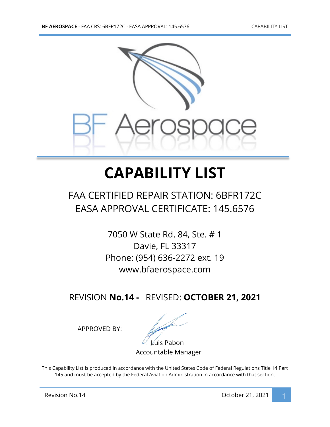

## **CAPABILITY LIST**

## FAA CERTIFIED REPAIR STATION: 6BFR172C EASA APPROVAL CERTIFICATE: 145.6576

7050 W State Rd. 84, Ste. # 1 Davie, FL 33317 Phone: (954) 636-2272 ext. 19 www.bfaerospace.com

REVISION **No.14 -** REVISED: **OCTOBER 21, 2021**

APPROVED BY:

Luis Pabon

Accountable Manager

This Capability List is produced in accordance with the United States Code of Federal Regulations Title 14 Part 145 and must be accepted by the Federal Aviation Administration in accordance with that section.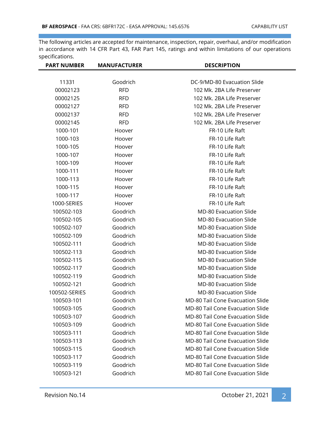| <b>PART NUMBER</b> | <b>MANUFACTURER</b> | <b>DESCRIPTION</b>                      |
|--------------------|---------------------|-----------------------------------------|
|                    |                     |                                         |
| 11331              | Goodrich            | DC-9/MD-80 Evacuation Slide             |
| 00002123           | <b>RFD</b>          | 102 Mk. 2BA Life Preserver              |
| 00002125           | <b>RFD</b>          | 102 Mk. 2BA Life Preserver              |
| 00002127           | <b>RFD</b>          | 102 Mk. 2BA Life Preserver              |
| 00002137           | <b>RFD</b>          | 102 Mk. 2BA Life Preserver              |
| 00002145           | <b>RFD</b>          | 102 Mk. 2BA Life Preserver              |
| 1000-101           | Hoover              | FR-10 Life Raft                         |
| 1000-103           | Hoover              | FR-10 Life Raft                         |
| 1000-105           | Hoover              | FR-10 Life Raft                         |
| 1000-107           | Hoover              | FR-10 Life Raft                         |
| 1000-109           | Hoover              | FR-10 Life Raft                         |
| 1000-111           | Hoover              | FR-10 Life Raft                         |
| 1000-113           | Hoover              | FR-10 Life Raft                         |
| 1000-115           | Hoover              | FR-10 Life Raft                         |
| 1000-117           | Hoover              | FR-10 Life Raft                         |
| 1000-SERIES        | Hoover              | FR-10 Life Raft                         |
| 100502-103         | Goodrich            | <b>MD-80 Evacuation Slide</b>           |
| 100502-105         | Goodrich            | <b>MD-80 Evacuation Slide</b>           |
| 100502-107         | Goodrich            | <b>MD-80 Evacuation Slide</b>           |
| 100502-109         | Goodrich            | <b>MD-80 Evacuation Slide</b>           |
| 100502-111         | Goodrich            | <b>MD-80 Evacuation Slide</b>           |
| 100502-113         | Goodrich            | <b>MD-80 Evacuation Slide</b>           |
| 100502-115         | Goodrich            | <b>MD-80 Evacuation Slide</b>           |
| 100502-117         | Goodrich            | <b>MD-80 Evacuation Slide</b>           |
| 100502-119         | Goodrich            | <b>MD-80 Evacuation Slide</b>           |
| 100502-121         | Goodrich            | <b>MD-80 Evacuation Slide</b>           |
| 100502-SERIES      | Goodrich            | <b>MD-80 Evacuation Slide</b>           |
| 100503-101         | Goodrich            | <b>MD-80 Tail Cone Evacuation Slide</b> |
| 100503-105         | Goodrich            | MD-80 Tail Cone Evacuation Slide        |
| 100503-107         | Goodrich            | <b>MD-80 Tail Cone Evacuation Slide</b> |
| 100503-109         | Goodrich            | MD-80 Tail Cone Evacuation Slide        |
| 100503-111         | Goodrich            | MD-80 Tail Cone Evacuation Slide        |
| 100503-113         | Goodrich            | <b>MD-80 Tail Cone Evacuation Slide</b> |
| 100503-115         | Goodrich            | MD-80 Tail Cone Evacuation Slide        |
| 100503-117         | Goodrich            | MD-80 Tail Cone Evacuation Slide        |
| 100503-119         | Goodrich            | MD-80 Tail Cone Evacuation Slide        |
| 100503-121         | Goodrich            | MD-80 Tail Cone Evacuation Slide        |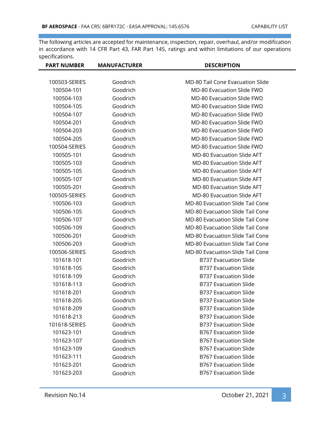| <b>PART NUMBER</b> | <b>MANUFACTURER</b> | <b>DESCRIPTION</b>                      |
|--------------------|---------------------|-----------------------------------------|
|                    |                     |                                         |
| 100503-SERIES      | Goodrich            | <b>MD-80 Tail Cone Evacuation Slide</b> |
| 100504-101         | Goodrich            | MD-80 Evacuation Slide FWD              |
| 100504-103         | Goodrich            | <b>MD-80 Evacuation Slide FWD</b>       |
| 100504-105         | Goodrich            | <b>MD-80 Evacuation Slide FWD</b>       |
| 100504-107         | Goodrich            | <b>MD-80 Evacuation Slide FWD</b>       |
| 100504-201         | Goodrich            | <b>MD-80 Evacuation Slide FWD</b>       |
| 100504-203         | Goodrich            | <b>MD-80 Evacuation Slide FWD</b>       |
| 100504-205         | Goodrich            | <b>MD-80 Evacuation Slide FWD</b>       |
| 100504-SERIES      | Goodrich            | <b>MD-80 Evacuation Slide FWD</b>       |
| 100505-101         | Goodrich            | <b>MD-80 Evacuation Slide AFT</b>       |
| 100505-103         | Goodrich            | <b>MD-80 Evacuation Slide AFT</b>       |
| 100505-105         | Goodrich            | <b>MD-80 Evacuation Slide AFT</b>       |
| 100505-107         | Goodrich            | <b>MD-80 Evacuation Slide AFT</b>       |
| 100505-201         | Goodrich            | <b>MD-80 Evacuation Slide AFT</b>       |
| 100505-SERIES      | Goodrich            | <b>MD-80 Evacuation Slide AFT</b>       |
| 100506-103         | Goodrich            | <b>MD-80 Evacuation Slide Tail Cone</b> |
| 100506-105         | Goodrich            | <b>MD-80 Evacuation Slide Tail Cone</b> |
| 100506-107         | Goodrich            | <b>MD-80 Evacuation Slide Tail Cone</b> |
| 100506-109         | Goodrich            | <b>MD-80 Evacuation Slide Tail Cone</b> |
| 100506-201         | Goodrich            | <b>MD-80 Evacuation Slide Tail Cone</b> |
| 100506-203         | Goodrich            | <b>MD-80 Evacuation Slide Tail Cone</b> |
| 100506-SERIES      | Goodrich            | <b>MD-80 Evacuation Slide Tail Cone</b> |
| 101618-101         | Goodrich            | <b>B737 Evacuation Slide</b>            |
| 101618-105         | Goodrich            | <b>B737 Evacuation Slide</b>            |
| 101618-109         | Goodrich            | <b>B737 Evacuation Slide</b>            |
| 101618-113         | Goodrich            | <b>B737 Evacuation Slide</b>            |
| 101618-201         | Goodrich            | <b>B737 Evacuation Slide</b>            |
| 101618-205         | Goodrich            | <b>B737 Evacuation Slide</b>            |
| 101618-209         | Goodrich            | <b>B737 Evacuation Slide</b>            |
| 101618-213         | Goodrich            | <b>B737 Evacuation Slide</b>            |
| 101618-SERIES      | Goodrich            | <b>B737 Evacuation Slide</b>            |
| 101623-101         | Goodrich            | <b>B767 Evacuation Slide</b>            |
| 101623-107         | Goodrich            | <b>B767 Evacuation Slide</b>            |
| 101623-109         | Goodrich            | <b>B767 Evacuation Slide</b>            |
| 101623-111         | Goodrich            | <b>B767 Evacuation Slide</b>            |
| 101623-201         | Goodrich            | <b>B767 Evacuation Slide</b>            |
| 101623-203         | Goodrich            | <b>B767 Evacuation Slide</b>            |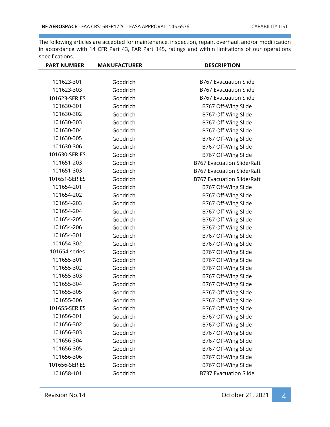| <b>PART NUMBER</b> | <b>MANUFACTURER</b> | <b>DESCRIPTION</b>                |
|--------------------|---------------------|-----------------------------------|
|                    |                     |                                   |
| 101623-301         | Goodrich            | <b>B767 Evacuation Slide</b>      |
| 101623-303         | Goodrich            | <b>B767 Evacuation Slide</b>      |
| 101623-SERIES      | Goodrich            | <b>B767 Evacuation Slide</b>      |
| 101630-301         | Goodrich            | B767 Off-Wing Slide               |
| 101630-302         | Goodrich            | B767 Off-Wing Slide               |
| 101630-303         | Goodrich            | B767 Off-Wing Slide               |
| 101630-304         | Goodrich            | B767 Off-Wing Slide               |
| 101630-305         | Goodrich            | B767 Off-Wing Slide               |
| 101630-306         | Goodrich            | B767 Off-Wing Slide               |
| 101630-SERIES      | Goodrich            | B767 Off-Wing Slide               |
| 101651-203         | Goodrich            | <b>B767 Evacuation Slide/Raft</b> |
| 101651-303         | Goodrich            | B767 Evacuation Slide/Raft        |
| 101651-SERIES      | Goodrich            | <b>B767 Evacuation Slide/Raft</b> |
| 101654-201         | Goodrich            | B767 Off-Wing Slide               |
| 101654-202         | Goodrich            | B767 Off-Wing Slide               |
| 101654-203         | Goodrich            | B767 Off-Wing Slide               |
| 101654-204         | Goodrich            | B767 Off-Wing Slide               |
| 101654-205         | Goodrich            | B767 Off-Wing Slide               |
| 101654-206         | Goodrich            | B767 Off-Wing Slide               |
| 101654-301         | Goodrich            | B767 Off-Wing Slide               |
| 101654-302         | Goodrich            | B767 Off-Wing Slide               |
| 101654-series      | Goodrich            | B767 Off-Wing Slide               |
| 101655-301         | Goodrich            | B767 Off-Wing Slide               |
| 101655-302         | Goodrich            | B767 Off-Wing Slide               |
| 101655-303         | Goodrich            | B767 Off-Wing Slide               |
| 101655-304         | Goodrich            | B767 Off-Wing Slide               |
| 101655-305         | Goodrich            | B767 Off-Wing Slide               |
| 101655-306         | Goodrich            | B767 Off-Wing Slide               |
| 101655-SERIES      | Goodrich            | B767 Off-Wing Slide               |
| 101656-301         | Goodrich            | B767 Off-Wing Slide               |
| 101656-302         | Goodrich            | B767 Off-Wing Slide               |
| 101656-303         | Goodrich            | B767 Off-Wing Slide               |
| 101656-304         | Goodrich            | B767 Off-Wing Slide               |
| 101656-305         | Goodrich            | B767 Off-Wing Slide               |
| 101656-306         | Goodrich            | B767 Off-Wing Slide               |
| 101656-SERIES      | Goodrich            | B767 Off-Wing Slide               |
| 101658-101         | Goodrich            | <b>B737 Evacuation Slide</b>      |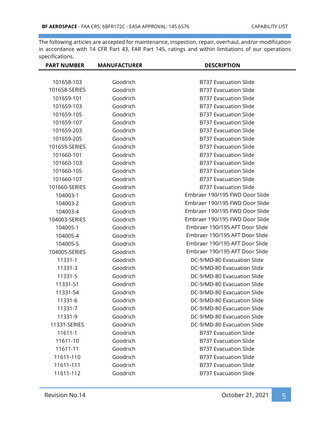| <b>PART NUMBER</b> | <b>MANUFACTURER</b> | <b>DESCRIPTION</b>             |
|--------------------|---------------------|--------------------------------|
|                    |                     |                                |
| 101658-103         | Goodrich            | <b>B737 Evacuation Slide</b>   |
| 101658-SERIES      | Goodrich            | <b>B737 Evacuation Slide</b>   |
| 101659-101         | Goodrich            | <b>B737 Evacuation Slide</b>   |
| 101659-103         | Goodrich            | <b>B737 Evacuation Slide</b>   |
| 101659-105         | Goodrich            | <b>B737 Evacuation Slide</b>   |
| 101659-107         | Goodrich            | <b>B737 Evacuation Slide</b>   |
| 101659-203         | Goodrich            | <b>B737 Evacuation Slide</b>   |
| 101659-205         | Goodrich            | <b>B737 Evacuation Slide</b>   |
| 101659-SERIES      | Goodrich            | <b>B737 Evacuation Slide</b>   |
| 101660-101         | Goodrich            | <b>B737 Evacuation Slide</b>   |
| 101660-103         | Goodrich            | <b>B737 Evacuation Slide</b>   |
| 101660-105         | Goodrich            | <b>B737 Evacuation Slide</b>   |
| 101660-107         | Goodrich            | <b>B737 Evacuation Slide</b>   |
| 101660-SERIES      | Goodrich            | <b>B737 Evacuation Slide</b>   |
| 104003-1           | Goodrich            | Embraer 190/195 FWD Door Slide |
| 104003-2           | Goodrich            | Embraer 190/195 FWD Door Slide |
| 104003-4           | Goodrich            | Embraer 190/195 FWD Door Slide |
| 104003-SERIES      | Goodrich            | Embraer 190/195 FWD Door Slide |
| 104005-1           | Goodrich            | Embraer 190/195 AFT Door Slide |
| 104005-4           | Goodrich            | Embraer 190/195 AFT Door Slide |
| 104005-5           | Goodrich            | Embraer 190/195 AFT Door Slide |
| 104005-SERIES      | Goodrich            | Embraer 190/195 AFT Door Slide |
| 11331-1            | Goodrich            | DC-9/MD-80 Evacuation Slide    |
| 11331-3            | Goodrich            | DC-9/MD-80 Evacuation Slide    |
| 11331-5            | Goodrich            | DC-9/MD-80 Evacuation Slide    |
| 11331-51           | Goodrich            | DC-9/MD-80 Evacuation Slide    |
| 11331-54           | Goodrich            | DC-9/MD-80 Evacuation Slide    |
| 11331-6            | Goodrich            | DC-9/MD-80 Evacuation Slide    |
| 11331-7            | Goodrich            | DC-9/MD-80 Evacuation Slide    |
| 11331-9            | Goodrich            | DC-9/MD-80 Evacuation Slide    |
| 11331-SERIES       | Goodrich            | DC-9/MD-80 Evacuation Slide    |
| 11611-1            | Goodrich            | <b>B737 Evacuation Slide</b>   |
| 11611-10           | Goodrich            | <b>B737 Evacuation Slide</b>   |
| 11611-11           | Goodrich            | <b>B737 Evacuation Slide</b>   |
| 11611-110          | Goodrich            | <b>B737 Evacuation Slide</b>   |
| 11611-111          | Goodrich            | <b>B737 Evacuation Slide</b>   |
| 11611-112          | Goodrich            | <b>B737 Evacuation Slide</b>   |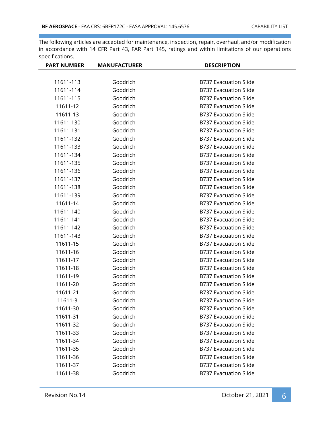| <b>PART NUMBER</b> | <b>MANUFACTURER</b> | <b>DESCRIPTION</b>           |
|--------------------|---------------------|------------------------------|
|                    |                     |                              |
| 11611-113          | Goodrich            | <b>B737 Evacuation Slide</b> |
| 11611-114          | Goodrich            | <b>B737 Evacuation Slide</b> |
| 11611-115          | Goodrich            | <b>B737 Evacuation Slide</b> |
| 11611-12           | Goodrich            | <b>B737 Evacuation Slide</b> |
| 11611-13           | Goodrich            | <b>B737 Evacuation Slide</b> |
| 11611-130          | Goodrich            | <b>B737 Evacuation Slide</b> |
| 11611-131          | Goodrich            | <b>B737 Evacuation Slide</b> |
| 11611-132          | Goodrich            | <b>B737 Evacuation Slide</b> |
| 11611-133          | Goodrich            | <b>B737 Evacuation Slide</b> |
| 11611-134          | Goodrich            | <b>B737 Evacuation Slide</b> |
| 11611-135          | Goodrich            | <b>B737 Evacuation Slide</b> |
| 11611-136          | Goodrich            | <b>B737 Evacuation Slide</b> |
| 11611-137          | Goodrich            | <b>B737 Evacuation Slide</b> |
| 11611-138          | Goodrich            | <b>B737 Evacuation Slide</b> |
| 11611-139          | Goodrich            | <b>B737 Evacuation Slide</b> |
| 11611-14           | Goodrich            | <b>B737 Evacuation Slide</b> |
| 11611-140          | Goodrich            | <b>B737 Evacuation Slide</b> |
| 11611-141          | Goodrich            | <b>B737 Evacuation Slide</b> |
| 11611-142          | Goodrich            | <b>B737 Evacuation Slide</b> |
| 11611-143          | Goodrich            | <b>B737 Evacuation Slide</b> |
| 11611-15           | Goodrich            | <b>B737 Evacuation Slide</b> |
| 11611-16           | Goodrich            | <b>B737 Evacuation Slide</b> |
| 11611-17           | Goodrich            | <b>B737 Evacuation Slide</b> |
| 11611-18           | Goodrich            | <b>B737 Evacuation Slide</b> |
| 11611-19           | Goodrich            | <b>B737 Evacuation Slide</b> |
| 11611-20           | Goodrich            | <b>B737 Evacuation Slide</b> |
| 11611-21           | Goodrich            | <b>B737 Evacuation Slide</b> |
| 11611-3            | Goodrich            | <b>B737 Evacuation Slide</b> |
| 11611-30           | Goodrich            | <b>B737 Evacuation Slide</b> |
| 11611-31           | Goodrich            | <b>B737 Evacuation Slide</b> |
| 11611-32           | Goodrich            | <b>B737 Evacuation Slide</b> |
| 11611-33           | Goodrich            | <b>B737 Evacuation Slide</b> |
| 11611-34           | Goodrich            | <b>B737 Evacuation Slide</b> |
| 11611-35           | Goodrich            | <b>B737 Evacuation Slide</b> |
| 11611-36           | Goodrich            | <b>B737 Evacuation Slide</b> |
| 11611-37           | Goodrich            | <b>B737 Evacuation Slide</b> |
| 11611-38           | Goodrich            | <b>B737 Evacuation Slide</b> |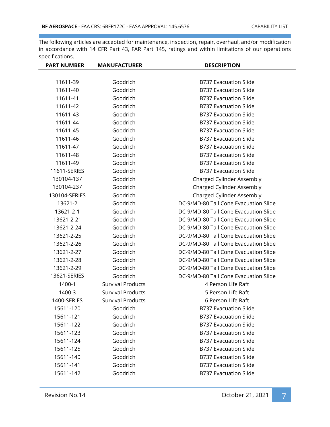| <b>PART NUMBER</b> | <b>MANUFACTURER</b>      | <b>DESCRIPTION</b>                    |
|--------------------|--------------------------|---------------------------------------|
|                    |                          |                                       |
| 11611-39           | Goodrich                 | <b>B737 Evacuation Slide</b>          |
| 11611-40           | Goodrich                 | <b>B737 Evacuation Slide</b>          |
| 11611-41           | Goodrich                 | <b>B737 Evacuation Slide</b>          |
| 11611-42           | Goodrich                 | <b>B737 Evacuation Slide</b>          |
| 11611-43           | Goodrich                 | <b>B737 Evacuation Slide</b>          |
| 11611-44           | Goodrich                 | <b>B737 Evacuation Slide</b>          |
| 11611-45           | Goodrich                 | <b>B737 Evacuation Slide</b>          |
| 11611-46           | Goodrich                 | <b>B737 Evacuation Slide</b>          |
| 11611-47           | Goodrich                 | <b>B737 Evacuation Slide</b>          |
| 11611-48           | Goodrich                 | <b>B737 Evacuation Slide</b>          |
| 11611-49           | Goodrich                 | <b>B737 Evacuation Slide</b>          |
| 11611-SERIES       | Goodrich                 | <b>B737 Evacuation Slide</b>          |
| 130104-137         | Goodrich                 | Charged Cylinder Assembly             |
| 130104-237         | Goodrich                 | Charged Cylinder Assembly             |
| 130104-SERIES      | Goodrich                 | Charged Cylinder Assembly             |
| 13621-2            | Goodrich                 | DC-9/MD-80 Tail Cone Evacuation Slide |
| 13621-2-1          | Goodrich                 | DC-9/MD-80 Tail Cone Evacuation Slide |
| 13621-2-21         | Goodrich                 | DC-9/MD-80 Tail Cone Evacuation Slide |
| 13621-2-24         | Goodrich                 | DC-9/MD-80 Tail Cone Evacuation Slide |
| 13621-2-25         | Goodrich                 | DC-9/MD-80 Tail Cone Evacuation Slide |
| 13621-2-26         | Goodrich                 | DC-9/MD-80 Tail Cone Evacuation Slide |
| 13621-2-27         | Goodrich                 | DC-9/MD-80 Tail Cone Evacuation Slide |
| 13621-2-28         | Goodrich                 | DC-9/MD-80 Tail Cone Evacuation Slide |
| 13621-2-29         | Goodrich                 | DC-9/MD-80 Tail Cone Evacuation Slide |
| 13621-SERIES       | Goodrich                 | DC-9/MD-80 Tail Cone Evacuation Slide |
| 1400-1             | <b>Survival Products</b> | 4 Person Life Raft                    |
| 1400-3             | <b>Survival Products</b> | 5 Person Life Raft                    |
| 1400-SERIES        | <b>Survival Products</b> | 6 Person Life Raft                    |
| 15611-120          | Goodrich                 | <b>B737 Evacuation Slide</b>          |
| 15611-121          | Goodrich                 | <b>B737 Evacuation Slide</b>          |
| 15611-122          | Goodrich                 | <b>B737 Evacuation Slide</b>          |
| 15611-123          | Goodrich                 | <b>B737 Evacuation Slide</b>          |
| 15611-124          | Goodrich                 | <b>B737 Evacuation Slide</b>          |
| 15611-125          | Goodrich                 | <b>B737 Evacuation Slide</b>          |
| 15611-140          | Goodrich                 | <b>B737 Evacuation Slide</b>          |
| 15611-141          | Goodrich                 | <b>B737 Evacuation Slide</b>          |
| 15611-142          | Goodrich                 | <b>B737 Evacuation Slide</b>          |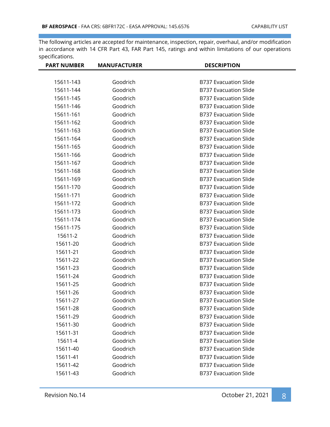| <b>PART NUMBER</b> | <b>MANUFACTURER</b> | <b>DESCRIPTION</b>           |
|--------------------|---------------------|------------------------------|
|                    |                     |                              |
| 15611-143          | Goodrich            | <b>B737 Evacuation Slide</b> |
| 15611-144          | Goodrich            | <b>B737 Evacuation Slide</b> |
| 15611-145          | Goodrich            | <b>B737 Evacuation Slide</b> |
| 15611-146          | Goodrich            | <b>B737 Evacuation Slide</b> |
| 15611-161          | Goodrich            | <b>B737 Evacuation Slide</b> |
| 15611-162          | Goodrich            | <b>B737 Evacuation Slide</b> |
| 15611-163          | Goodrich            | <b>B737 Evacuation Slide</b> |
| 15611-164          | Goodrich            | <b>B737 Evacuation Slide</b> |
| 15611-165          | Goodrich            | <b>B737 Evacuation Slide</b> |
| 15611-166          | Goodrich            | <b>B737 Evacuation Slide</b> |
| 15611-167          | Goodrich            | <b>B737 Evacuation Slide</b> |
| 15611-168          | Goodrich            | <b>B737 Evacuation Slide</b> |
| 15611-169          | Goodrich            | <b>B737 Evacuation Slide</b> |
| 15611-170          | Goodrich            | <b>B737 Evacuation Slide</b> |
| 15611-171          | Goodrich            | <b>B737 Evacuation Slide</b> |
| 15611-172          | Goodrich            | <b>B737 Evacuation Slide</b> |
| 15611-173          | Goodrich            | <b>B737 Evacuation Slide</b> |
| 15611-174          | Goodrich            | <b>B737 Evacuation Slide</b> |
| 15611-175          | Goodrich            | <b>B737 Evacuation Slide</b> |
| 15611-2            | Goodrich            | <b>B737 Evacuation Slide</b> |
| 15611-20           | Goodrich            | <b>B737 Evacuation Slide</b> |
| 15611-21           | Goodrich            | <b>B737 Evacuation Slide</b> |
| 15611-22           | Goodrich            | <b>B737 Evacuation Slide</b> |
| 15611-23           | Goodrich            | <b>B737 Evacuation Slide</b> |
| 15611-24           | Goodrich            | <b>B737 Evacuation Slide</b> |
| 15611-25           | Goodrich            | <b>B737 Evacuation Slide</b> |
| 15611-26           | Goodrich            | <b>B737 Evacuation Slide</b> |
| 15611-27           | Goodrich            | <b>B737 Evacuation Slide</b> |
| 15611-28           | Goodrich            | <b>B737 Evacuation Slide</b> |
| 15611-29           | Goodrich            | <b>B737 Evacuation Slide</b> |
| 15611-30           | Goodrich            | <b>B737 Evacuation Slide</b> |
| 15611-31           | Goodrich            | <b>B737 Evacuation Slide</b> |
| 15611-4            | Goodrich            | <b>B737 Evacuation Slide</b> |
| 15611-40           | Goodrich            | <b>B737 Evacuation Slide</b> |
| 15611-41           | Goodrich            | <b>B737 Evacuation Slide</b> |
| 15611-42           | Goodrich            | <b>B737 Evacuation Slide</b> |
| 15611-43           | Goodrich            | <b>B737 Evacuation Slide</b> |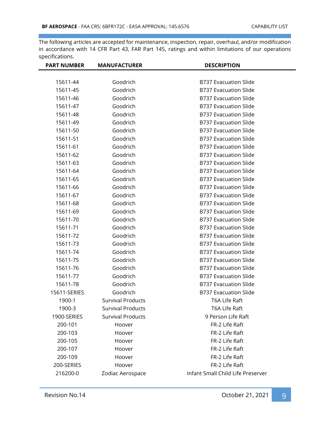| <b>PART NUMBER</b> | <b>MANUFACTURER</b>      | <b>DESCRIPTION</b>                |
|--------------------|--------------------------|-----------------------------------|
|                    |                          |                                   |
| 15611-44           | Goodrich                 | <b>B737 Evacuation Slide</b>      |
| 15611-45           | Goodrich                 | <b>B737 Evacuation Slide</b>      |
| 15611-46           | Goodrich                 | <b>B737 Evacuation Slide</b>      |
| 15611-47           | Goodrich                 | <b>B737 Evacuation Slide</b>      |
| 15611-48           | Goodrich                 | <b>B737 Evacuation Slide</b>      |
| 15611-49           | Goodrich                 | <b>B737 Evacuation Slide</b>      |
| 15611-50           | Goodrich                 | <b>B737 Evacuation Slide</b>      |
| 15611-51           | Goodrich                 | <b>B737 Evacuation Slide</b>      |
| 15611-61           | Goodrich                 | <b>B737 Evacuation Slide</b>      |
| 15611-62           | Goodrich                 | <b>B737 Evacuation Slide</b>      |
| 15611-63           | Goodrich                 | <b>B737 Evacuation Slide</b>      |
| 15611-64           | Goodrich                 | <b>B737 Evacuation Slide</b>      |
| 15611-65           | Goodrich                 | <b>B737 Evacuation Slide</b>      |
| 15611-66           | Goodrich                 | <b>B737 Evacuation Slide</b>      |
| 15611-67           | Goodrich                 | <b>B737 Evacuation Slide</b>      |
| 15611-68           | Goodrich                 | <b>B737 Evacuation Slide</b>      |
| 15611-69           | Goodrich                 | <b>B737 Evacuation Slide</b>      |
| 15611-70           | Goodrich                 | <b>B737 Evacuation Slide</b>      |
| 15611-71           | Goodrich                 | <b>B737 Evacuation Slide</b>      |
| 15611-72           | Goodrich                 | <b>B737 Evacuation Slide</b>      |
| 15611-73           | Goodrich                 | <b>B737 Evacuation Slide</b>      |
| 15611-74           | Goodrich                 | <b>B737 Evacuation Slide</b>      |
| 15611-75           | Goodrich                 | <b>B737 Evacuation Slide</b>      |
| 15611-76           | Goodrich                 | <b>B737 Evacuation Slide</b>      |
| 15611-77           | Goodrich                 | <b>B737 Evacuation Slide</b>      |
| 15611-78           | Goodrich                 | <b>B737 Evacuation Slide</b>      |
| 15611-SERIES       | Goodrich                 | <b>B737 Evacuation Slide</b>      |
| 1900-1             | <b>Survival Products</b> | T6A Life Raft                     |
| 1900-3             | <b>Survival Products</b> | T6A Life Raft                     |
| 1900-SERIES        | <b>Survival Products</b> | 9 Person Life Raft                |
| 200-101            | Hoover                   | FR-2 Life Raft                    |
| 200-103            | Hoover                   | FR-2 Life Raft                    |
| 200-105            | Hoover                   | FR-2 Life Raft                    |
| 200-107            | Hoover                   | FR-2 Life Raft                    |
| 200-109            | Hoover                   | FR-2 Life Raft                    |
| 200-SERIES         | Hoover                   | FR-2 Life Raft                    |
| 216200-0           | Zodiac Aerospace         | Infant Small Child Life Preserver |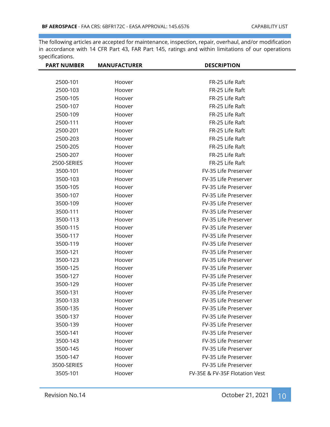| <b>PART NUMBER</b> | <b>MANUFACTURER</b> | <b>DESCRIPTION</b>             |
|--------------------|---------------------|--------------------------------|
|                    |                     |                                |
| 2500-101           | Hoover              | FR-25 Life Raft                |
| 2500-103           | Hoover              | FR-25 Life Raft                |
| 2500-105           | Hoover              | FR-25 Life Raft                |
| 2500-107           | Hoover              | FR-25 Life Raft                |
| 2500-109           | Hoover              | FR-25 Life Raft                |
| 2500-111           | Hoover              | FR-25 Life Raft                |
| 2500-201           | Hoover              | FR-25 Life Raft                |
| 2500-203           | Hoover              | FR-25 Life Raft                |
| 2500-205           | Hoover              | FR-25 Life Raft                |
| 2500-207           | Hoover              | FR-25 Life Raft                |
| 2500-SERIES        | Hoover              | FR-25 Life Raft                |
| 3500-101           | Hoover              | FV-35 Life Preserver           |
| 3500-103           | Hoover              | FV-35 Life Preserver           |
| 3500-105           | Hoover              | FV-35 Life Preserver           |
| 3500-107           | Hoover              | FV-35 Life Preserver           |
| 3500-109           | Hoover              | FV-35 Life Preserver           |
| 3500-111           | Hoover              | FV-35 Life Preserver           |
| 3500-113           | Hoover              | FV-35 Life Preserver           |
| 3500-115           | Hoover              | FV-35 Life Preserver           |
| 3500-117           | Hoover              | FV-35 Life Preserver           |
| 3500-119           | Hoover              | FV-35 Life Preserver           |
| 3500-121           | Hoover              | FV-35 Life Preserver           |
| 3500-123           | Hoover              | FV-35 Life Preserver           |
| 3500-125           | Hoover              | FV-35 Life Preserver           |
| 3500-127           | Hoover              | FV-35 Life Preserver           |
| 3500-129           | Hoover              | FV-35 Life Preserver           |
| 3500-131           | Hoover              | FV-35 Life Preserver           |
| 3500-133           | Hoover              | FV-35 Life Preserver           |
| 3500-135           | Hoover              | FV-35 Life Preserver           |
| 3500-137           | Hoover              | FV-35 Life Preserver           |
| 3500-139           | Hoover              | FV-35 Life Preserver           |
| 3500-141           | Hoover              | FV-35 Life Preserver           |
| 3500-143           | Hoover              | FV-35 Life Preserver           |
| 3500-145           | Hoover              | FV-35 Life Preserver           |
| 3500-147           | Hoover              | FV-35 Life Preserver           |
| 3500-SERIES        | Hoover              | FV-35 Life Preserver           |
| 3505-101           | Hoover              | FV-35E & FV-35F Flotation Vest |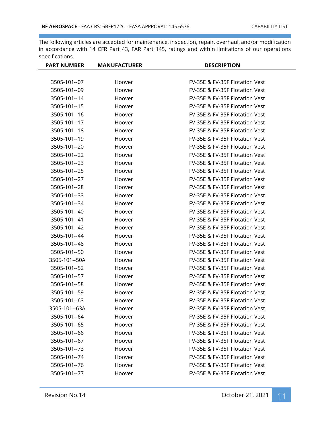| <b>PART NUMBER</b> | <b>MANUFACTURER</b> | <b>DESCRIPTION</b>             |
|--------------------|---------------------|--------------------------------|
|                    |                     |                                |
| 3505-101--07       | Hoover              | FV-35E & FV-35F Flotation Vest |
| 3505-101--09       | Hoover              | FV-35E & FV-35F Flotation Vest |
| 3505-101--14       | Hoover              | FV-35E & FV-35F Flotation Vest |
| 3505-101--15       | Hoover              | FV-35E & FV-35F Flotation Vest |
| 3505-101--16       | Hoover              | FV-35E & FV-35F Flotation Vest |
| 3505-101--17       | Hoover              | FV-35E & FV-35F Flotation Vest |
| 3505-101--18       | Hoover              | FV-35E & FV-35F Flotation Vest |
| 3505-101--19       | Hoover              | FV-35E & FV-35F Flotation Vest |
| 3505-101--20       | Hoover              | FV-35E & FV-35F Flotation Vest |
| 3505-101--22       | Hoover              | FV-35E & FV-35F Flotation Vest |
| 3505-101--23       | Hoover              | FV-35E & FV-35F Flotation Vest |
| 3505-101--25       | Hoover              | FV-35E & FV-35F Flotation Vest |
| 3505-101--27       | Hoover              | FV-35E & FV-35F Flotation Vest |
| 3505-101--28       | Hoover              | FV-35E & FV-35F Flotation Vest |
| 3505-101--33       | Hoover              | FV-35E & FV-35F Flotation Vest |
| 3505-101--34       | Hoover              | FV-35E & FV-35F Flotation Vest |
| 3505-101--40       | Hoover              | FV-35E & FV-35F Flotation Vest |
| 3505-101--41       | Hoover              | FV-35E & FV-35F Flotation Vest |
| 3505-101--42       | Hoover              | FV-35E & FV-35F Flotation Vest |
| 3505-101--44       | Hoover              | FV-35E & FV-35F Flotation Vest |
| 3505-101--48       | Hoover              | FV-35E & FV-35F Flotation Vest |
| 3505-101--50       | Hoover              | FV-35E & FV-35F Flotation Vest |
| 3505-101--50A      | Hoover              | FV-35E & FV-35F Flotation Vest |
| 3505-101--52       | Hoover              | FV-35E & FV-35F Flotation Vest |
| 3505-101--57       | Hoover              | FV-35E & FV-35F Flotation Vest |
| 3505-101--58       | Hoover              | FV-35E & FV-35F Flotation Vest |
| 3505-101--59       | Hoover              | FV-35E & FV-35F Flotation Vest |
| 3505-101--63       | Hoover              | FV-35E & FV-35F Flotation Vest |
| 3505-101--63A      | Hoover              | FV-35E & FV-35F Flotation Vest |
| 3505-101--64       | Hoover              | FV-35E & FV-35F Flotation Vest |
| 3505-101--65       | Hoover              | FV-35E & FV-35F Flotation Vest |
| 3505-101--66       | Hoover              | FV-35E & FV-35F Flotation Vest |
| 3505-101--67       | Hoover              | FV-35E & FV-35F Flotation Vest |
| 3505-101--73       | Hoover              | FV-35E & FV-35F Flotation Vest |
| 3505-101--74       | Hoover              | FV-35E & FV-35F Flotation Vest |
| 3505-101--76       | Hoover              | FV-35E & FV-35F Flotation Vest |
| 3505-101--77       | Hoover              | FV-35E & FV-35F Flotation Vest |
|                    |                     |                                |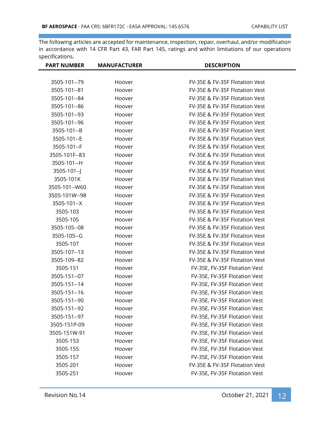| <b>PART NUMBER</b> | <b>MANUFACTURER</b> | <b>DESCRIPTION</b>             |
|--------------------|---------------------|--------------------------------|
|                    |                     |                                |
| 3505-101--79       | Hoover              | FV-35E & FV-35F Flotation Vest |
| 3505-101--81       | Hoover              | FV-35E & FV-35F Flotation Vest |
| 3505-101--84       | Hoover              | FV-35E & FV-35F Flotation Vest |
| 3505-101--86       | Hoover              | FV-35E & FV-35F Flotation Vest |
| 3505-101--93       | Hoover              | FV-35E & FV-35F Flotation Vest |
| 3505-101--96       | Hoover              | FV-35E & FV-35F Flotation Vest |
| 3505-101--B        | Hoover              | FV-35E & FV-35F Flotation Vest |
| 3505-101--E        | Hoover              | FV-35E & FV-35F Flotation Vest |
| 3505-101--F        | Hoover              | FV-35E & FV-35F Flotation Vest |
| 3505-101F--83      | Hoover              | FV-35E & FV-35F Flotation Vest |
| 3505-101--H        | Hoover              | FV-35E & FV-35F Flotation Vest |
| $3505-101-$        | Hoover              | FV-35E & FV-35F Flotation Vest |
| 3505-101K          | Hoover              | FV-35E & FV-35F Flotation Vest |
| 3505-101--W60      | Hoover              | FV-35E & FV-35F Flotation Vest |
| 3505-101W--98      | Hoover              | FV-35E & FV-35F Flotation Vest |
| 3505-101--X        | Hoover              | FV-35E & FV-35F Flotation Vest |
| 3505-103           | Hoover              | FV-35E & FV-35F Flotation Vest |
| 3505-105           | Hoover              | FV-35E & FV-35F Flotation Vest |
| 3505-105--08       | Hoover              | FV-35E & FV-35F Flotation Vest |
| 3505-105--G        | Hoover              | FV-35E & FV-35F Flotation Vest |
| 3505-107           | Hoover              | FV-35E & FV-35F Flotation Vest |
| 3505-107--13       | Hoover              | FV-35E & FV-35F Flotation Vest |
| 3505-109--82       | Hoover              | FV-35E & FV-35F Flotation Vest |
| 3505-151           | Hoover              | FV-35E, FV-35F Flotation Vest  |
| 3505-151--07       | Hoover              | FV-35E, FV-35F Flotation Vest  |
| 3505-151--14       | Hoover              | FV-35E, FV-35F Flotation Vest  |
| 3505-151--16       | Hoover              | FV-35E, FV-35F Flotation Vest  |
| 3505-151--90       | Hoover              | FV-35E, FV-35F Flotation Vest  |
| 3505-151--92       | Hoover              | FV-35E, FV-35F Flotation Vest  |
| 3505-151--97       | Hoover              | FV-35E, FV-35F Flotation Vest  |
| 3505-151P-09       | Hoover              | FV-35E, FV-35F Flotation Vest  |
| 3505-151W-91       | Hoover              | FV-35E, FV-35F Flotation Vest  |
| 3505-153           | Hoover              | FV-35E, FV-35F Flotation Vest  |
| 3505-155           | Hoover              | FV-35E, FV-35F Flotation Vest  |
| 3505-157           | Hoover              | FV-35E, FV-35F Flotation Vest  |
| 3505-201           | Hoover              | FV-35E & FV-35F Flotation Vest |
| 3505-251           | Hoover              | FV-35E, FV-35F Flotation Vest  |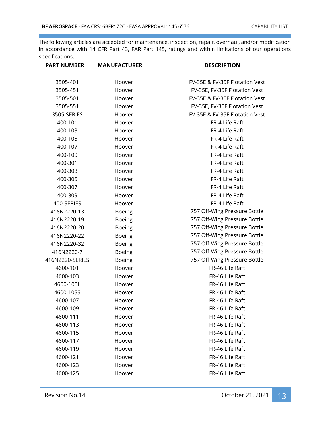| <b>PART NUMBER</b> | <b>MANUFACTURER</b> | <b>DESCRIPTION</b>             |
|--------------------|---------------------|--------------------------------|
| 3505-401           | Hoover              | FV-35E & FV-35F Flotation Vest |
| 3505-451           | Hoover              | FV-35E, FV-35F Flotation Vest  |
| 3505-501           | Hoover              | FV-35E & FV-35F Flotation Vest |
| 3505-551           | Hoover              | FV-35E, FV-35F Flotation Vest  |
| 3505-SERIES        | Hoover              | FV-35E & FV-35F Flotation Vest |
|                    |                     | FR-4 Life Raft                 |
| 400-101            | Hoover              |                                |
| 400-103            | Hoover              | FR-4 Life Raft                 |
| 400-105            | Hoover              | FR-4 Life Raft                 |
| 400-107            | Hoover              | FR-4 Life Raft                 |
| 400-109            | Hoover              | FR-4 Life Raft                 |
| 400-301            | Hoover              | FR-4 Life Raft                 |
| 400-303            | Hoover              | FR-4 Life Raft                 |
| 400-305            | Hoover              | FR-4 Life Raft                 |
| 400-307            | Hoover              | FR-4 Life Raft                 |
| 400-309            | Hoover              | FR-4 Life Raft                 |
| 400-SERIES         | Hoover              | FR-4 Life Raft                 |
| 416N2220-13        | <b>Boeing</b>       | 757 Off-Wing Pressure Bottle   |
| 416N2220-19        | <b>Boeing</b>       | 757 Off-Wing Pressure Bottle   |
| 416N2220-20        | <b>Boeing</b>       | 757 Off-Wing Pressure Bottle   |
| 416N2220-22        | <b>Boeing</b>       | 757 Off-Wing Pressure Bottle   |
| 416N2220-32        | <b>Boeing</b>       | 757 Off-Wing Pressure Bottle   |
| 416N2220-7         | <b>Boeing</b>       | 757 Off-Wing Pressure Bottle   |
| 416N2220-SERIES    | <b>Boeing</b>       | 757 Off-Wing Pressure Bottle   |
| 4600-101           | Hoover              | FR-46 Life Raft                |
| 4600-103           | Hoover              | FR-46 Life Raft                |
| 4600-105L          | Hoover              | FR-46 Life Raft                |
| 4600-105S          | Hoover              | FR-46 Life Raft                |
| 4600-107           | Hoover              | FR-46 Life Raft                |
| 4600-109           | Hoover              | FR-46 Life Raft                |
| 4600-111           | Hoover              | FR-46 Life Raft                |
| 4600-113           | Hoover              | FR-46 Life Raft                |
| 4600-115           | Hoover              | FR-46 Life Raft                |
| 4600-117           | Hoover              | FR-46 Life Raft                |
| 4600-119           | Hoover              | FR-46 Life Raft                |
| 4600-121           | Hoover              | FR-46 Life Raft                |
| 4600-123           | Hoover              | FR-46 Life Raft                |
| 4600-125           | Hoover              | FR-46 Life Raft                |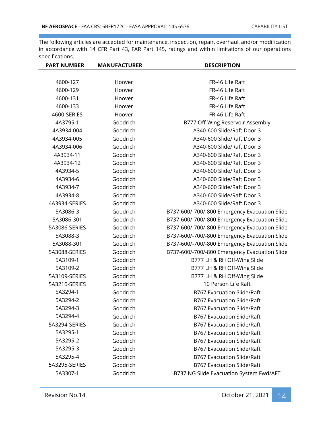| <b>PART NUMBER</b> | <b>MANUFACTURER</b> | <b>DESCRIPTION</b>                            |
|--------------------|---------------------|-----------------------------------------------|
|                    |                     |                                               |
| 4600-127           | Hoover              | FR-46 Life Raft                               |
| 4600-129           | Hoover              | FR-46 Life Raft                               |
| 4600-131           | Hoover              | FR-46 Life Raft                               |
| 4600-133           | Hoover              | FR-46 Life Raft                               |
| 4600-SERIES        | Hoover              | FR-46 Life Raft                               |
| 4A3795-1           | Goodrich            | B777 Off-Wing Reservoir Assembly              |
| 4A3934-004         | Goodrich            | A340-600 Slide/Raft Door 3                    |
| 4A3934-005         | Goodrich            | A340-600 Slide/Raft Door 3                    |
| 4A3934-006         | Goodrich            | A340-600 Slide/Raft Door 3                    |
| 4A3934-11          | Goodrich            | A340-600 Slide/Raft Door 3                    |
| 4A3934-12          | Goodrich            | A340-600 Slide/Raft Door 3                    |
| 4A3934-5           | Goodrich            | A340-600 Slide/Raft Door 3                    |
| 4A3934-6           | Goodrich            | A340-600 Slide/Raft Door 3                    |
| 4A3934-7           | Goodrich            | A340-600 Slide/Raft Door 3                    |
| 4A3934-8           | Goodrich            | A340-600 Slide/Raft Door 3                    |
| 4A3934-SERIES      | Goodrich            | A340-600 Slide/Raft Door 3                    |
| 5A3086-3           | Goodrich            | B737-600/-700/-800 Emergency Evacuation Slide |
| 5A3086-301         | Goodrich            | B737-600/-700/-800 Emergency Evacuation Slide |
| 5A3086-SERIES      | Goodrich            | B737-600/-700/-800 Emergency Evacuation Slide |
| 5A3088-3           | Goodrich            | B737-600/-700/-800 Emergency Evacuation Slide |
| 5A3088-301         | Goodrich            | B737-600/-700/-800 Emergency Evacuation Slide |
| 5A3088-SERIES      | Goodrich            | B737-600/-700/-800 Emergency Evacuation Slide |
| 5A3109-1           | Goodrich            | B777 LH & RH Off-Wing Slide                   |
| 5A3109-2           | Goodrich            | B777 LH & RH Off-Wing Slide                   |
| 5A3109-SERIES      | Goodrich            | B777 LH & RH Off-Wing Slide                   |
| 5A3210-SERIES      | Goodrich            | 10 Person Life Raft                           |
| 5A3294-1           | Goodrich            | <b>B767 Evacuation Slide/Raft</b>             |
| 5A3294-2           | Goodrich            | <b>B767 Evacuation Slide/Raft</b>             |
| 5A3294-3           | Goodrich            | <b>B767 Evacuation Slide/Raft</b>             |
| 5A3294-4           | Goodrich            | <b>B767 Evacuation Slide/Raft</b>             |
| 5A3294-SERIES      | Goodrich            | <b>B767 Evacuation Slide/Raft</b>             |
| 5A3295-1           | Goodrich            | <b>B767 Evacuation Slide/Raft</b>             |
| 5A3295-2           | Goodrich            | <b>B767 Evacuation Slide/Raft</b>             |
| 5A3295-3           | Goodrich            | <b>B767 Evacuation Slide/Raft</b>             |
| 5A3295-4           | Goodrich            | <b>B767 Evacuation Slide/Raft</b>             |
| 5A3295-SERIES      | Goodrich            | <b>B767 Evacuation Slide/Raft</b>             |
| 5A3307-1           | Goodrich            | B737 NG Slide Evacuation System Fwd/AFT       |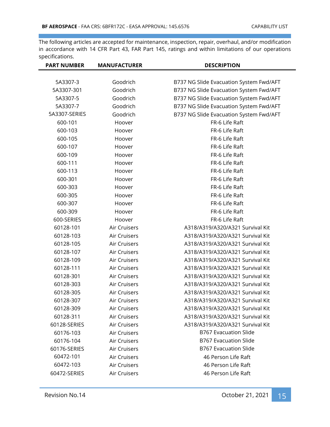| <b>PART NUMBER</b> | <b>MANUFACTURER</b> | <b>DESCRIPTION</b>                      |
|--------------------|---------------------|-----------------------------------------|
|                    |                     |                                         |
| 5A3307-3           | Goodrich            | B737 NG Slide Evacuation System Fwd/AFT |
| 5A3307-301         | Goodrich            | B737 NG Slide Evacuation System Fwd/AFT |
| 5A3307-5           | Goodrich            | B737 NG Slide Evacuation System Fwd/AFT |
| 5A3307-7           | Goodrich            | B737 NG Slide Evacuation System Fwd/AFT |
| 5A3307-SERIES      | Goodrich            | B737 NG Slide Evacuation System Fwd/AFT |
| 600-101            | Hoover              | FR-6 Life Raft                          |
| 600-103            | Hoover              | FR-6 Life Raft                          |
| 600-105            | Hoover              | FR-6 Life Raft                          |
| 600-107            | Hoover              | FR-6 Life Raft                          |
| 600-109            | Hoover              | FR-6 Life Raft                          |
| 600-111            | Hoover              | FR-6 Life Raft                          |
| 600-113            | Hoover              | FR-6 Life Raft                          |
| 600-301            | Hoover              | FR-6 Life Raft                          |
| 600-303            | Hoover              | FR-6 Life Raft                          |
| 600-305            | Hoover              | FR-6 Life Raft                          |
| 600-307            | Hoover              | FR-6 Life Raft                          |
| 600-309            | Hoover              | FR-6 Life Raft                          |
| 600-SERIES         | Hoover              | FR-6 Life Raft                          |
| 60128-101          | Air Cruisers        | A318/A319/A320/A321 Survival Kit        |
| 60128-103          | Air Cruisers        | A318/A319/A320/A321 Survival Kit        |
| 60128-105          | Air Cruisers        | A318/A319/A320/A321 Survival Kit        |
| 60128-107          | Air Cruisers        | A318/A319/A320/A321 Survival Kit        |
| 60128-109          | Air Cruisers        | A318/A319/A320/A321 Survival Kit        |
| 60128-111          | Air Cruisers        | A318/A319/A320/A321 Survival Kit        |
| 60128-301          | Air Cruisers        | A318/A319/A320/A321 Survival Kit        |
| 60128-303          | Air Cruisers        | A318/A319/A320/A321 Survival Kit        |
| 60128-305          | Air Cruisers        | A318/A319/A320/A321 Survival Kit        |
| 60128-307          | Air Cruisers        | A318/A319/A320/A321 Survival Kit        |
| 60128-309          | Air Cruisers        | A318/A319/A320/A321 Survival Kit        |
| 60128-311          | Air Cruisers        | A318/A319/A320/A321 Survival Kit        |
| 60128-SERIES       | Air Cruisers        | A318/A319/A320/A321 Survival Kit        |
| 60176-103          | Air Cruisers        | <b>B767 Evacuation Slide</b>            |
| 60176-104          | Air Cruisers        | <b>B767 Evacuation Slide</b>            |
| 60176-SERIES       | Air Cruisers        | <b>B767 Evacuation Slide</b>            |
| 60472-101          | Air Cruisers        | 46 Person Life Raft                     |
| 60472-103          | Air Cruisers        | 46 Person Life Raft                     |
| 60472-SERIES       | Air Cruisers        | 46 Person Life Raft                     |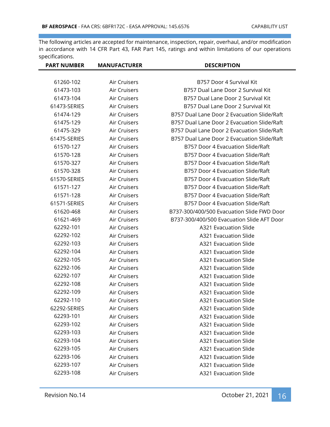| <b>PART NUMBER</b> | <b>MANUFACTURER</b> | <b>DESCRIPTION</b>                          |
|--------------------|---------------------|---------------------------------------------|
|                    |                     |                                             |
| 61260-102          | Air Cruisers        | B757 Door 4 Survival Kit                    |
| 61473-103          | Air Cruisers        | B757 Dual Lane Door 2 Survival Kit          |
| 61473-104          | Air Cruisers        | B757 Dual Lane Door 2 Survival Kit          |
| 61473-SERIES       | Air Cruisers        | B757 Dual Lane Door 2 Survival Kit          |
| 61474-129          | Air Cruisers        | B757 Dual Lane Door 2 Evacuation Slide/Raft |
| 61475-129          | Air Cruisers        | B757 Dual Lane Door 2 Evacuation Slide/Raft |
| 61475-329          | Air Cruisers        | B757 Dual Lane Door 2 Evacuation Slide/Raft |
| 61475-SERIES       | Air Cruisers        | B757 Dual Lane Door 2 Evacuation Slide/Raft |
| 61570-127          | Air Cruisers        | B757 Door 4 Evacuation Slide/Raft           |
| 61570-128          | Air Cruisers        | B757 Door 4 Evacuation Slide/Raft           |
| 61570-327          | Air Cruisers        | B757 Door 4 Evacuation Slide/Raft           |
| 61570-328          | Air Cruisers        | B757 Door 4 Evacuation Slide/Raft           |
| 61570-SERIES       | Air Cruisers        | B757 Door 4 Evacuation Slide/Raft           |
| 61571-127          | Air Cruisers        | B757 Door 4 Evacuation Slide/Raft           |
| 61571-128          | Air Cruisers        | B757 Door 4 Evacuation Slide/Raft           |
| 61571-SERIES       | Air Cruisers        | B757 Door 4 Evacuation Slide/Raft           |
| 61620-468          | Air Cruisers        | B737-300/400/500 Evacuation Slide FWD Door  |
| 61621-469          | Air Cruisers        | B737-300/400/500 Evacuation Slide AFT Door  |
| 62292-101          | Air Cruisers        | A321 Evacuation Slide                       |
| 62292-102          | Air Cruisers        | A321 Evacuation Slide                       |
| 62292-103          | Air Cruisers        | A321 Evacuation Slide                       |
| 62292-104          | Air Cruisers        | A321 Evacuation Slide                       |
| 62292-105          | Air Cruisers        | A321 Evacuation Slide                       |
| 62292-106          | Air Cruisers        | A321 Evacuation Slide                       |
| 62292-107          | Air Cruisers        | A321 Evacuation Slide                       |
| 62292-108          | Air Cruisers        | A321 Evacuation Slide                       |
| 62292-109          | Air Cruisers        | A321 Evacuation Slide                       |
| 62292-110          | Air Cruisers        | <b>A321 Evacuation Slide</b>                |
| 62292-SERIES       | Air Cruisers        | <b>A321 Evacuation Slide</b>                |
| 62293-101          | Air Cruisers        | A321 Evacuation Slide                       |
| 62293-102          | Air Cruisers        | <b>A321 Evacuation Slide</b>                |
| 62293-103          | Air Cruisers        | <b>A321 Evacuation Slide</b>                |
| 62293-104          | Air Cruisers        | A321 Evacuation Slide                       |
| 62293-105          | Air Cruisers        | A321 Evacuation Slide                       |
| 62293-106          | Air Cruisers        | <b>A321 Evacuation Slide</b>                |
| 62293-107          | Air Cruisers        | A321 Evacuation Slide                       |
| 62293-108          | Air Cruisers        | A321 Evacuation Slide                       |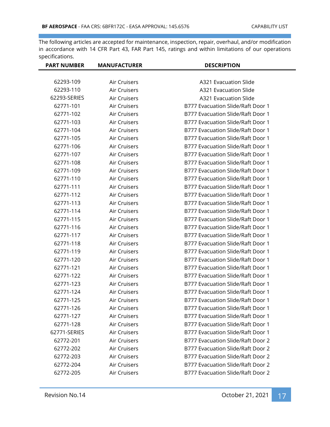| <b>PART NUMBER</b> | <b>MANUFACTURER</b> | <b>DESCRIPTION</b>                |
|--------------------|---------------------|-----------------------------------|
|                    |                     |                                   |
| 62293-109          | Air Cruisers        | <b>A321 Evacuation Slide</b>      |
| 62293-110          | Air Cruisers        | <b>A321 Evacuation Slide</b>      |
| 62293-SERIES       | Air Cruisers        | A321 Evacuation Slide             |
| 62771-101          | Air Cruisers        | B777 Evacuation Slide/Raft Door 1 |
| 62771-102          | Air Cruisers        | B777 Evacuation Slide/Raft Door 1 |
| 62771-103          | Air Cruisers        | B777 Evacuation Slide/Raft Door 1 |
| 62771-104          | Air Cruisers        | B777 Evacuation Slide/Raft Door 1 |
| 62771-105          | Air Cruisers        | B777 Evacuation Slide/Raft Door 1 |
| 62771-106          | Air Cruisers        | B777 Evacuation Slide/Raft Door 1 |
| 62771-107          | Air Cruisers        | B777 Evacuation Slide/Raft Door 1 |
| 62771-108          | Air Cruisers        | B777 Evacuation Slide/Raft Door 1 |
| 62771-109          | Air Cruisers        | B777 Evacuation Slide/Raft Door 1 |
| 62771-110          | Air Cruisers        | B777 Evacuation Slide/Raft Door 1 |
| 62771-111          | Air Cruisers        | B777 Evacuation Slide/Raft Door 1 |
| 62771-112          | Air Cruisers        | B777 Evacuation Slide/Raft Door 1 |
| 62771-113          | Air Cruisers        | B777 Evacuation Slide/Raft Door 1 |
| 62771-114          | Air Cruisers        | B777 Evacuation Slide/Raft Door 1 |
| 62771-115          | Air Cruisers        | B777 Evacuation Slide/Raft Door 1 |
| 62771-116          | Air Cruisers        | B777 Evacuation Slide/Raft Door 1 |
| 62771-117          | Air Cruisers        | B777 Evacuation Slide/Raft Door 1 |
| 62771-118          | Air Cruisers        | B777 Evacuation Slide/Raft Door 1 |
| 62771-119          | Air Cruisers        | B777 Evacuation Slide/Raft Door 1 |
| 62771-120          | Air Cruisers        | B777 Evacuation Slide/Raft Door 1 |
| 62771-121          | Air Cruisers        | B777 Evacuation Slide/Raft Door 1 |
| 62771-122          | Air Cruisers        | B777 Evacuation Slide/Raft Door 1 |
| 62771-123          | Air Cruisers        | B777 Evacuation Slide/Raft Door 1 |
| 62771-124          | Air Cruisers        | B777 Evacuation Slide/Raft Door 1 |
| 62771-125          | Air Cruisers        | B777 Evacuation Slide/Raft Door 1 |
| 62771-126          | Air Cruisers        | B777 Evacuation Slide/Raft Door 1 |
| 62771-127          | Air Cruisers        | B777 Evacuation Slide/Raft Door 1 |
| 62771-128          | Air Cruisers        | B777 Evacuation Slide/Raft Door 1 |
| 62771-SERIES       | Air Cruisers        | B777 Evacuation Slide/Raft Door 1 |
| 62772-201          | Air Cruisers        | B777 Evacuation Slide/Raft Door 2 |
| 62772-202          | Air Cruisers        | B777 Evacuation Slide/Raft Door 2 |
| 62772-203          | Air Cruisers        | B777 Evacuation Slide/Raft Door 2 |
| 62772-204          | Air Cruisers        | B777 Evacuation Slide/Raft Door 2 |
| 62772-205          | Air Cruisers        | B777 Evacuation Slide/Raft Door 2 |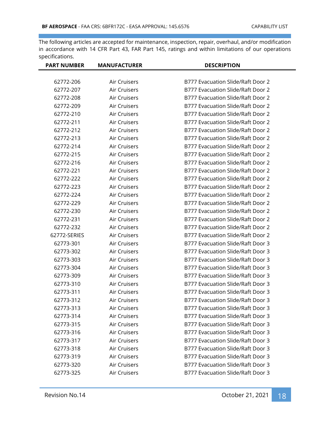| <b>PART NUMBER</b> | <b>MANUFACTURER</b> | <b>DESCRIPTION</b>                |
|--------------------|---------------------|-----------------------------------|
| 62772-206          | Air Cruisers        | B777 Evacuation Slide/Raft Door 2 |
| 62772-207          | Air Cruisers        | B777 Evacuation Slide/Raft Door 2 |
| 62772-208          | Air Cruisers        | B777 Evacuation Slide/Raft Door 2 |
| 62772-209          | Air Cruisers        | B777 Evacuation Slide/Raft Door 2 |
| 62772-210          | Air Cruisers        | B777 Evacuation Slide/Raft Door 2 |
| 62772-211          | Air Cruisers        | B777 Evacuation Slide/Raft Door 2 |
| 62772-212          | Air Cruisers        | B777 Evacuation Slide/Raft Door 2 |
| 62772-213          | Air Cruisers        | B777 Evacuation Slide/Raft Door 2 |
| 62772-214          | Air Cruisers        | B777 Evacuation Slide/Raft Door 2 |
| 62772-215          | Air Cruisers        | B777 Evacuation Slide/Raft Door 2 |
| 62772-216          | Air Cruisers        | B777 Evacuation Slide/Raft Door 2 |
| 62772-221          | Air Cruisers        | B777 Evacuation Slide/Raft Door 2 |
| 62772-222          | Air Cruisers        | B777 Evacuation Slide/Raft Door 2 |
| 62772-223          | Air Cruisers        | B777 Evacuation Slide/Raft Door 2 |
| 62772-224          | Air Cruisers        | B777 Evacuation Slide/Raft Door 2 |
| 62772-229          | Air Cruisers        | B777 Evacuation Slide/Raft Door 2 |
| 62772-230          | Air Cruisers        | B777 Evacuation Slide/Raft Door 2 |
| 62772-231          | Air Cruisers        | B777 Evacuation Slide/Raft Door 2 |
| 62772-232          | Air Cruisers        | B777 Evacuation Slide/Raft Door 2 |
| 62772-SERIES       | Air Cruisers        | B777 Evacuation Slide/Raft Door 2 |
| 62773-301          | Air Cruisers        | B777 Evacuation Slide/Raft Door 3 |
| 62773-302          | Air Cruisers        | B777 Evacuation Slide/Raft Door 3 |
| 62773-303          | Air Cruisers        | B777 Evacuation Slide/Raft Door 3 |
| 62773-304          | Air Cruisers        | B777 Evacuation Slide/Raft Door 3 |
| 62773-309          | Air Cruisers        | B777 Evacuation Slide/Raft Door 3 |
| 62773-310          | Air Cruisers        | B777 Evacuation Slide/Raft Door 3 |
| 62773-311          | Air Cruisers        | B777 Evacuation Slide/Raft Door 3 |
| 62773-312          | Air Cruisers        | B777 Evacuation Slide/Raft Door 3 |
| 62773-313          | Air Cruisers        | B777 Evacuation Slide/Raft Door 3 |
| 62773-314          | Air Cruisers        | B777 Evacuation Slide/Raft Door 3 |
| 62773-315          | Air Cruisers        | B777 Evacuation Slide/Raft Door 3 |
| 62773-316          | Air Cruisers        | B777 Evacuation Slide/Raft Door 3 |
| 62773-317          | Air Cruisers        | B777 Evacuation Slide/Raft Door 3 |
| 62773-318          | Air Cruisers        | B777 Evacuation Slide/Raft Door 3 |
| 62773-319          | Air Cruisers        | B777 Evacuation Slide/Raft Door 3 |
| 62773-320          | Air Cruisers        | B777 Evacuation Slide/Raft Door 3 |
| 62773-325          | Air Cruisers        | B777 Evacuation Slide/Raft Door 3 |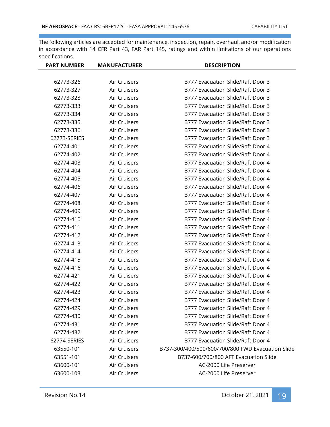| <b>PART NUMBER</b> | <b>MANUFACTURER</b> | <b>DESCRIPTION</b>                                |
|--------------------|---------------------|---------------------------------------------------|
|                    |                     |                                                   |
| 62773-326          | Air Cruisers        | B777 Evacuation Slide/Raft Door 3                 |
| 62773-327          | Air Cruisers        | B777 Evacuation Slide/Raft Door 3                 |
| 62773-328          | Air Cruisers        | B777 Evacuation Slide/Raft Door 3                 |
| 62773-333          | Air Cruisers        | B777 Evacuation Slide/Raft Door 3                 |
| 62773-334          | Air Cruisers        | B777 Evacuation Slide/Raft Door 3                 |
| 62773-335          | Air Cruisers        | B777 Evacuation Slide/Raft Door 3                 |
| 62773-336          | Air Cruisers        | B777 Evacuation Slide/Raft Door 3                 |
| 62773-SERIES       | Air Cruisers        | B777 Evacuation Slide/Raft Door 3                 |
| 62774-401          | Air Cruisers        | B777 Evacuation Slide/Raft Door 4                 |
| 62774-402          | Air Cruisers        | B777 Evacuation Slide/Raft Door 4                 |
| 62774-403          | Air Cruisers        | B777 Evacuation Slide/Raft Door 4                 |
| 62774-404          | Air Cruisers        | B777 Evacuation Slide/Raft Door 4                 |
| 62774-405          | Air Cruisers        | B777 Evacuation Slide/Raft Door 4                 |
| 62774-406          | Air Cruisers        | B777 Evacuation Slide/Raft Door 4                 |
| 62774-407          | Air Cruisers        | B777 Evacuation Slide/Raft Door 4                 |
| 62774-408          | Air Cruisers        | B777 Evacuation Slide/Raft Door 4                 |
| 62774-409          | Air Cruisers        | B777 Evacuation Slide/Raft Door 4                 |
| 62774-410          | Air Cruisers        | B777 Evacuation Slide/Raft Door 4                 |
| 62774-411          | Air Cruisers        | B777 Evacuation Slide/Raft Door 4                 |
| 62774-412          | Air Cruisers        | B777 Evacuation Slide/Raft Door 4                 |
| 62774-413          | Air Cruisers        | B777 Evacuation Slide/Raft Door 4                 |
| 62774-414          | Air Cruisers        | B777 Evacuation Slide/Raft Door 4                 |
| 62774-415          | Air Cruisers        | B777 Evacuation Slide/Raft Door 4                 |
| 62774-416          | Air Cruisers        | B777 Evacuation Slide/Raft Door 4                 |
| 62774-421          | Air Cruisers        | B777 Evacuation Slide/Raft Door 4                 |
| 62774-422          | Air Cruisers        | B777 Evacuation Slide/Raft Door 4                 |
| 62774-423          | Air Cruisers        | B777 Evacuation Slide/Raft Door 4                 |
| 62774-424          | Air Cruisers        | B777 Evacuation Slide/Raft Door 4                 |
| 62774-429          | Air Cruisers        | B777 Evacuation Slide/Raft Door 4                 |
| 62774-430          | Air Cruisers        | B777 Evacuation Slide/Raft Door 4                 |
| 62774-431          | Air Cruisers        | B777 Evacuation Slide/Raft Door 4                 |
| 62774-432          | Air Cruisers        | B777 Evacuation Slide/Raft Door 4                 |
| 62774-SERIES       | Air Cruisers        | B777 Evacuation Slide/Raft Door 4                 |
| 63550-101          | Air Cruisers        | B737-300/400/500/600/700/800 FWD Evacuation Slide |
| 63551-101          | Air Cruisers        | B737-600/700/800 AFT Evacuation Slide             |
| 63600-101          | Air Cruisers        | AC-2000 Life Preserver                            |
| 63600-103          | Air Cruisers        | AC-2000 Life Preserver                            |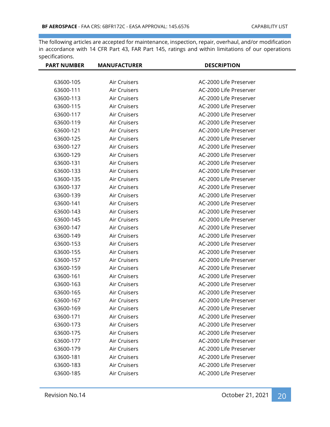| <b>PART NUMBER</b> | <b>MANUFACTURER</b> | <b>DESCRIPTION</b>     |
|--------------------|---------------------|------------------------|
|                    |                     |                        |
| 63600-105          | Air Cruisers        | AC-2000 Life Preserver |
| 63600-111          | Air Cruisers        | AC-2000 Life Preserver |
| 63600-113          | Air Cruisers        | AC-2000 Life Preserver |
| 63600-115          | Air Cruisers        | AC-2000 Life Preserver |
| 63600-117          | Air Cruisers        | AC-2000 Life Preserver |
| 63600-119          | Air Cruisers        | AC-2000 Life Preserver |
| 63600-121          | Air Cruisers        | AC-2000 Life Preserver |
| 63600-125          | Air Cruisers        | AC-2000 Life Preserver |
| 63600-127          | Air Cruisers        | AC-2000 Life Preserver |
| 63600-129          | Air Cruisers        | AC-2000 Life Preserver |
| 63600-131          | Air Cruisers        | AC-2000 Life Preserver |
| 63600-133          | Air Cruisers        | AC-2000 Life Preserver |
| 63600-135          | Air Cruisers        | AC-2000 Life Preserver |
| 63600-137          | Air Cruisers        | AC-2000 Life Preserver |
| 63600-139          | Air Cruisers        | AC-2000 Life Preserver |
| 63600-141          | Air Cruisers        | AC-2000 Life Preserver |
| 63600-143          | Air Cruisers        | AC-2000 Life Preserver |
| 63600-145          | Air Cruisers        | AC-2000 Life Preserver |
| 63600-147          | Air Cruisers        | AC-2000 Life Preserver |
| 63600-149          | Air Cruisers        | AC-2000 Life Preserver |
| 63600-153          | Air Cruisers        | AC-2000 Life Preserver |
| 63600-155          | Air Cruisers        | AC-2000 Life Preserver |
| 63600-157          | Air Cruisers        | AC-2000 Life Preserver |
| 63600-159          | Air Cruisers        | AC-2000 Life Preserver |
| 63600-161          | Air Cruisers        | AC-2000 Life Preserver |
| 63600-163          | Air Cruisers        | AC-2000 Life Preserver |
| 63600-165          | Air Cruisers        | AC-2000 Life Preserver |
| 63600-167          | Air Cruisers        | AC-2000 Life Preserver |
| 63600-169          | Air Cruisers        | AC-2000 Life Preserver |
| 63600-171          | Air Cruisers        | AC-2000 Life Preserver |
| 63600-173          | Air Cruisers        | AC-2000 Life Preserver |
| 63600-175          | Air Cruisers        | AC-2000 Life Preserver |
| 63600-177          | Air Cruisers        | AC-2000 Life Preserver |
| 63600-179          | Air Cruisers        | AC-2000 Life Preserver |
| 63600-181          | Air Cruisers        | AC-2000 Life Preserver |
| 63600-183          | Air Cruisers        | AC-2000 Life Preserver |
| 63600-185          | Air Cruisers        | AC-2000 Life Preserver |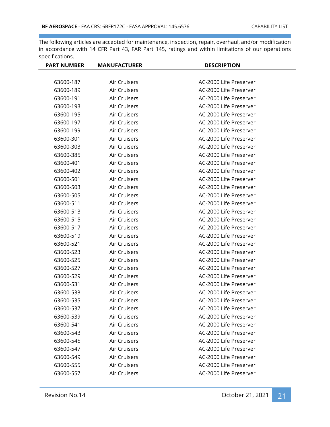| <b>PART NUMBER</b> | <b>MANUFACTURER</b> | <b>DESCRIPTION</b>     |
|--------------------|---------------------|------------------------|
|                    |                     |                        |
| 63600-187          | Air Cruisers        | AC-2000 Life Preserver |
| 63600-189          | Air Cruisers        | AC-2000 Life Preserver |
| 63600-191          | Air Cruisers        | AC-2000 Life Preserver |
| 63600-193          | Air Cruisers        | AC-2000 Life Preserver |
| 63600-195          | Air Cruisers        | AC-2000 Life Preserver |
| 63600-197          | Air Cruisers        | AC-2000 Life Preserver |
| 63600-199          | Air Cruisers        | AC-2000 Life Preserver |
| 63600-301          | Air Cruisers        | AC-2000 Life Preserver |
| 63600-303          | Air Cruisers        | AC-2000 Life Preserver |
| 63600-385          | Air Cruisers        | AC-2000 Life Preserver |
| 63600-401          | Air Cruisers        | AC-2000 Life Preserver |
| 63600-402          | Air Cruisers        | AC-2000 Life Preserver |
| 63600-501          | Air Cruisers        | AC-2000 Life Preserver |
| 63600-503          | Air Cruisers        | AC-2000 Life Preserver |
| 63600-505          | Air Cruisers        | AC-2000 Life Preserver |
| 63600-511          | Air Cruisers        | AC-2000 Life Preserver |
| 63600-513          | Air Cruisers        | AC-2000 Life Preserver |
| 63600-515          | Air Cruisers        | AC-2000 Life Preserver |
| 63600-517          | Air Cruisers        | AC-2000 Life Preserver |
| 63600-519          | Air Cruisers        | AC-2000 Life Preserver |
| 63600-521          | Air Cruisers        | AC-2000 Life Preserver |
| 63600-523          | Air Cruisers        | AC-2000 Life Preserver |
| 63600-525          | Air Cruisers        | AC-2000 Life Preserver |
| 63600-527          | Air Cruisers        | AC-2000 Life Preserver |
| 63600-529          | Air Cruisers        | AC-2000 Life Preserver |
| 63600-531          | Air Cruisers        | AC-2000 Life Preserver |
| 63600-533          | Air Cruisers        | AC-2000 Life Preserver |
| 63600-535          | Air Cruisers        | AC-2000 Life Preserver |
| 63600-537          | Air Cruisers        | AC-2000 Life Preserver |
| 63600-539          | Air Cruisers        | AC-2000 Life Preserver |
| 63600-541          | Air Cruisers        | AC-2000 Life Preserver |
| 63600-543          | Air Cruisers        | AC-2000 Life Preserver |
| 63600-545          | Air Cruisers        | AC-2000 Life Preserver |
| 63600-547          | Air Cruisers        | AC-2000 Life Preserver |
| 63600-549          | Air Cruisers        | AC-2000 Life Preserver |
| 63600-555          | Air Cruisers        | AC-2000 Life Preserver |
| 63600-557          | Air Cruisers        | AC-2000 Life Preserver |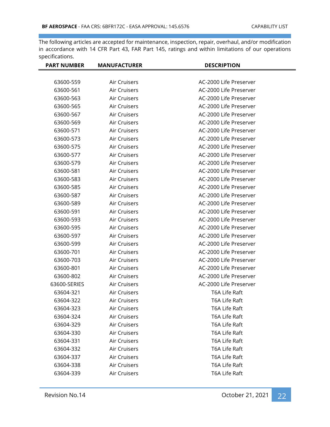| <b>PART NUMBER</b> | <b>MANUFACTURER</b> | <b>DESCRIPTION</b>     |
|--------------------|---------------------|------------------------|
|                    |                     |                        |
| 63600-559          | Air Cruisers        | AC-2000 Life Preserver |
| 63600-561          | Air Cruisers        | AC-2000 Life Preserver |
| 63600-563          | Air Cruisers        | AC-2000 Life Preserver |
| 63600-565          | Air Cruisers        | AC-2000 Life Preserver |
| 63600-567          | Air Cruisers        | AC-2000 Life Preserver |
| 63600-569          | Air Cruisers        | AC-2000 Life Preserver |
| 63600-571          | Air Cruisers        | AC-2000 Life Preserver |
| 63600-573          | Air Cruisers        | AC-2000 Life Preserver |
| 63600-575          | Air Cruisers        | AC-2000 Life Preserver |
| 63600-577          | Air Cruisers        | AC-2000 Life Preserver |
| 63600-579          | Air Cruisers        | AC-2000 Life Preserver |
| 63600-581          | Air Cruisers        | AC-2000 Life Preserver |
| 63600-583          | Air Cruisers        | AC-2000 Life Preserver |
| 63600-585          | Air Cruisers        | AC-2000 Life Preserver |
| 63600-587          | Air Cruisers        | AC-2000 Life Preserver |
| 63600-589          | Air Cruisers        | AC-2000 Life Preserver |
| 63600-591          | Air Cruisers        | AC-2000 Life Preserver |
| 63600-593          | Air Cruisers        | AC-2000 Life Preserver |
| 63600-595          | Air Cruisers        | AC-2000 Life Preserver |
| 63600-597          | Air Cruisers        | AC-2000 Life Preserver |
| 63600-599          | Air Cruisers        | AC-2000 Life Preserver |
| 63600-701          | Air Cruisers        | AC-2000 Life Preserver |
| 63600-703          | Air Cruisers        | AC-2000 Life Preserver |
| 63600-801          | Air Cruisers        | AC-2000 Life Preserver |
| 63600-802          | Air Cruisers        | AC-2000 Life Preserver |
| 63600-SERIES       | Air Cruisers        | AC-2000 Life Preserver |
| 63604-321          | Air Cruisers        | T6A Life Raft          |
| 63604-322          | Air Cruisers        | T6A Life Raft          |
| 63604-323          | Air Cruisers        | T6A Life Raft          |
| 63604-324          | Air Cruisers        | T6A Life Raft          |
| 63604-329          | Air Cruisers        | T6A Life Raft          |
| 63604-330          | Air Cruisers        | T6A Life Raft          |
| 63604-331          | Air Cruisers        | T6A Life Raft          |
| 63604-332          | Air Cruisers        | T6A Life Raft          |
| 63604-337          | Air Cruisers        | T6A Life Raft          |
| 63604-338          | Air Cruisers        | T6A Life Raft          |
| 63604-339          | Air Cruisers        | T6A Life Raft          |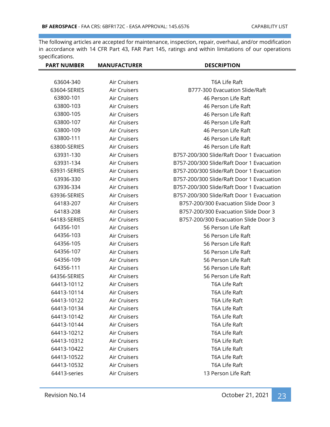| <b>PART NUMBER</b> | <b>MANUFACTURER</b> | <b>DESCRIPTION</b>                        |
|--------------------|---------------------|-------------------------------------------|
|                    |                     |                                           |
| 63604-340          | Air Cruisers        | T6A Life Raft                             |
| 63604-SERIES       | Air Cruisers        | B777-300 Evacuation Slide/Raft            |
| 63800-101          | Air Cruisers        | 46 Person Life Raft                       |
| 63800-103          | Air Cruisers        | 46 Person Life Raft                       |
| 63800-105          | Air Cruisers        | 46 Person Life Raft                       |
| 63800-107          | Air Cruisers        | 46 Person Life Raft                       |
| 63800-109          | Air Cruisers        | 46 Person Life Raft                       |
| 63800-111          | Air Cruisers        | 46 Person Life Raft                       |
| 63800-SERIES       | Air Cruisers        | 46 Person Life Raft                       |
| 63931-130          | Air Cruisers        | B757-200/300 Slide/Raft Door 1 Evacuation |
| 63931-134          | Air Cruisers        | B757-200/300 Slide/Raft Door 1 Evacuation |
| 63931-SERIES       | Air Cruisers        | B757-200/300 Slide/Raft Door 1 Evacuation |
| 63936-330          | Air Cruisers        | B757-200/300 Slide/Raft Door 1 Evacuation |
| 63936-334          | Air Cruisers        | B757-200/300 Slide/Raft Door 1 Evacuation |
| 63936-SERIES       | Air Cruisers        | B757-200/300 Slide/Raft Door 1 Evacuation |
| 64183-207          | Air Cruisers        | B757-200/300 Evacuation Slide Door 3      |
| 64183-208          | Air Cruisers        | B757-200/300 Evacuation Slide Door 3      |
| 64183-SERIES       | Air Cruisers        | B757-200/300 Evacuation Slide Door 3      |
| 64356-101          | Air Cruisers        | 56 Person Life Raft                       |
| 64356-103          | Air Cruisers        | 56 Person Life Raft                       |
| 64356-105          | Air Cruisers        | 56 Person Life Raft                       |
| 64356-107          | Air Cruisers        | 56 Person Life Raft                       |
| 64356-109          | Air Cruisers        | 56 Person Life Raft                       |
| 64356-111          | Air Cruisers        | 56 Person Life Raft                       |
| 64356-SERIES       | Air Cruisers        | 56 Person Life Raft                       |
| 64413-10112        | Air Cruisers        | T6A Life Raft                             |
| 64413-10114        | Air Cruisers        | T6A Life Raft                             |
| 64413-10122        | Air Cruisers        | T6A Life Raft                             |
| 64413-10134        | Air Cruisers        | T6A Life Raft                             |
| 64413-10142        | Air Cruisers        | T6A Life Raft                             |
| 64413-10144        | Air Cruisers        | T6A Life Raft                             |
| 64413-10212        | Air Cruisers        | T6A Life Raft                             |
| 64413-10312        | Air Cruisers        | T6A Life Raft                             |
| 64413-10422        | Air Cruisers        | T6A Life Raft                             |
| 64413-10522        | Air Cruisers        | T6A Life Raft                             |
| 64413-10532        | Air Cruisers        | T6A Life Raft                             |
| 64413-series       | Air Cruisers        | 13 Person Life Raft                       |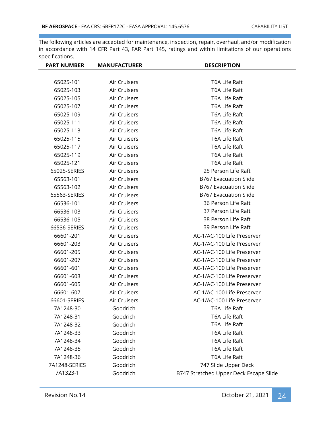| <b>PART NUMBER</b> | <b>MANUFACTURER</b> | <b>DESCRIPTION</b>                     |
|--------------------|---------------------|----------------------------------------|
|                    |                     |                                        |
| 65025-101          | Air Cruisers        | T6A Life Raft                          |
| 65025-103          | Air Cruisers        | T6A Life Raft                          |
| 65025-105          | Air Cruisers        | T6A Life Raft                          |
| 65025-107          | Air Cruisers        | T6A Life Raft                          |
| 65025-109          | Air Cruisers        | T6A Life Raft                          |
| 65025-111          | Air Cruisers        | T6A Life Raft                          |
| 65025-113          | Air Cruisers        | T6A Life Raft                          |
| 65025-115          | Air Cruisers        | T6A Life Raft                          |
| 65025-117          | Air Cruisers        | T6A Life Raft                          |
| 65025-119          | Air Cruisers        | T6A Life Raft                          |
| 65025-121          | Air Cruisers        | T6A Life Raft                          |
| 65025-SERIES       | Air Cruisers        | 25 Person Life Raft                    |
| 65563-101          | Air Cruisers        | <b>B767 Evacuation Slide</b>           |
| 65563-102          | Air Cruisers        | <b>B767 Evacuation Slide</b>           |
| 65563-SERIES       | Air Cruisers        | <b>B767 Evacuation Slide</b>           |
| 66536-101          | Air Cruisers        | 36 Person Life Raft                    |
| 66536-103          | Air Cruisers        | 37 Person Life Raft                    |
| 66536-105          | Air Cruisers        | 38 Person Life Raft                    |
| 66536-SERIES       | Air Cruisers        | 39 Person Life Raft                    |
| 66601-201          | Air Cruisers        | AC-1/AC-100 Life Preserver             |
| 66601-203          | Air Cruisers        | AC-1/AC-100 Life Preserver             |
| 66601-205          | Air Cruisers        | AC-1/AC-100 Life Preserver             |
| 66601-207          | Air Cruisers        | AC-1/AC-100 Life Preserver             |
| 66601-601          | Air Cruisers        | AC-1/AC-100 Life Preserver             |
| 66601-603          | Air Cruisers        | AC-1/AC-100 Life Preserver             |
| 66601-605          | Air Cruisers        | AC-1/AC-100 Life Preserver             |
| 66601-607          | Air Cruisers        | AC-1/AC-100 Life Preserver             |
| 66601-SERIES       | Air Cruisers        | AC-1/AC-100 Life Preserver             |
| 7A1248-30          | Goodrich            | T6A Life Raft                          |
| 7A1248-31          | Goodrich            | T6A Life Raft                          |
| 7A1248-32          | Goodrich            | T6A Life Raft                          |
| 7A1248-33          | Goodrich            | T6A Life Raft                          |
| 7A1248-34          | Goodrich            | T6A Life Raft                          |
| 7A1248-35          | Goodrich            | T6A Life Raft                          |
| 7A1248-36          | Goodrich            | T6A Life Raft                          |
| 7A1248-SERIES      | Goodrich            | 747 Slide Upper Deck                   |
| 7A1323-1           | Goodrich            | B747 Stretched Upper Deck Escape Slide |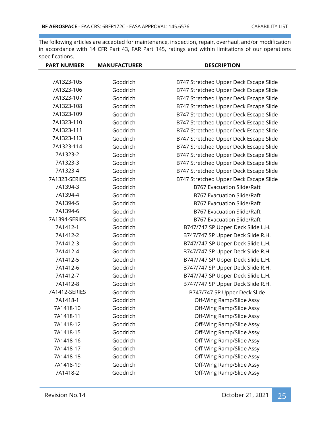| <b>PART NUMBER</b> | <b>MANUFACTURER</b> | <b>DESCRIPTION</b>                     |
|--------------------|---------------------|----------------------------------------|
|                    |                     |                                        |
| 7A1323-105         | Goodrich            | B747 Stretched Upper Deck Escape Slide |
| 7A1323-106         | Goodrich            | B747 Stretched Upper Deck Escape Slide |
| 7A1323-107         | Goodrich            | B747 Stretched Upper Deck Escape Slide |
| 7A1323-108         | Goodrich            | B747 Stretched Upper Deck Escape Slide |
| 7A1323-109         | Goodrich            | B747 Stretched Upper Deck Escape Slide |
| 7A1323-110         | Goodrich            | B747 Stretched Upper Deck Escape Slide |
| 7A1323-111         | Goodrich            | B747 Stretched Upper Deck Escape Slide |
| 7A1323-113         | Goodrich            | B747 Stretched Upper Deck Escape Slide |
| 7A1323-114         | Goodrich            | B747 Stretched Upper Deck Escape Slide |
| 7A1323-2           | Goodrich            | B747 Stretched Upper Deck Escape Slide |
| 7A1323-3           | Goodrich            | B747 Stretched Upper Deck Escape Slide |
| 7A1323-4           | Goodrich            | B747 Stretched Upper Deck Escape Slide |
| 7A1323-SERIES      | Goodrich            | B747 Stretched Upper Deck Escape Slide |
| 7A1394-3           | Goodrich            | <b>B767 Evacuation Slide/Raft</b>      |
| 7A1394-4           | Goodrich            | <b>B767 Evacuation Slide/Raft</b>      |
| 7A1394-5           | Goodrich            | <b>B767 Evacuation Slide/Raft</b>      |
| 7A1394-6           | Goodrich            | <b>B767 Evacuation Slide/Raft</b>      |
| 7A1394-SERIES      | Goodrich            | <b>B767 Evacuation Slide/Raft</b>      |
| 7A1412-1           | Goodrich            | B747/747 SP Upper Deck Slide L.H.      |
| 7A1412-2           | Goodrich            | B747/747 SP Upper Deck Slide R.H.      |
| 7A1412-3           | Goodrich            | B747/747 SP Upper Deck Slide L.H.      |
| 7A1412-4           | Goodrich            | B747/747 SP Upper Deck Slide R.H.      |
| 7A1412-5           | Goodrich            | B747/747 SP Upper Deck Slide L.H.      |
| 7A1412-6           | Goodrich            | B747/747 SP Upper Deck Slide R.H.      |
| 7A1412-7           | Goodrich            | B747/747 SP Upper Deck Slide L.H.      |
| 7A1412-8           | Goodrich            | B747/747 SP Upper Deck Slide R.H.      |
| 7A1412-SERIES      | Goodrich            | B747/747 SP Upper Deck Slide           |
| 7A1418-1           | Goodrich            | Off-Wing Ramp/Slide Assy               |
| 7A1418-10          | Goodrich            | Off-Wing Ramp/Slide Assy               |
| 7A1418-11          | Goodrich            | Off-Wing Ramp/Slide Assy               |
| 7A1418-12          | Goodrich            | Off-Wing Ramp/Slide Assy               |
| 7A1418-15          | Goodrich            | Off-Wing Ramp/Slide Assy               |
| 7A1418-16          | Goodrich            | Off-Wing Ramp/Slide Assy               |
| 7A1418-17          | Goodrich            | Off-Wing Ramp/Slide Assy               |
| 7A1418-18          | Goodrich            | Off-Wing Ramp/Slide Assy               |
| 7A1418-19          | Goodrich            | Off-Wing Ramp/Slide Assy               |
| 7A1418-2           | Goodrich            | Off-Wing Ramp/Slide Assy               |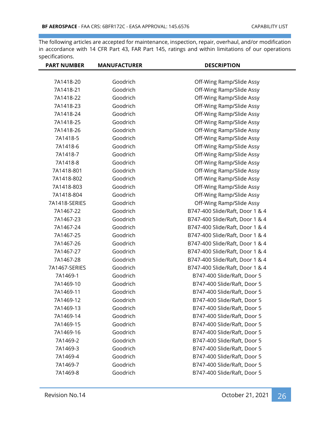| <b>PART NUMBER</b> | <b>MANUFACTURER</b> | <b>DESCRIPTION</b>              |
|--------------------|---------------------|---------------------------------|
|                    |                     |                                 |
| 7A1418-20          | Goodrich            | Off-Wing Ramp/Slide Assy        |
| 7A1418-21          | Goodrich            | Off-Wing Ramp/Slide Assy        |
| 7A1418-22          | Goodrich            | Off-Wing Ramp/Slide Assy        |
| 7A1418-23          | Goodrich            | Off-Wing Ramp/Slide Assy        |
| 7A1418-24          | Goodrich            | Off-Wing Ramp/Slide Assy        |
| 7A1418-25          | Goodrich            | Off-Wing Ramp/Slide Assy        |
| 7A1418-26          | Goodrich            | Off-Wing Ramp/Slide Assy        |
| 7A1418-5           | Goodrich            | Off-Wing Ramp/Slide Assy        |
| 7A1418-6           | Goodrich            | Off-Wing Ramp/Slide Assy        |
| 7A1418-7           | Goodrich            | Off-Wing Ramp/Slide Assy        |
| 7A1418-8           | Goodrich            | Off-Wing Ramp/Slide Assy        |
| 7A1418-801         | Goodrich            | Off-Wing Ramp/Slide Assy        |
| 7A1418-802         | Goodrich            | Off-Wing Ramp/Slide Assy        |
| 7A1418-803         | Goodrich            | Off-Wing Ramp/Slide Assy        |
| 7A1418-804         | Goodrich            | Off-Wing Ramp/Slide Assy        |
| 7A1418-SERIES      | Goodrich            | Off-Wing Ramp/Slide Assy        |
| 7A1467-22          | Goodrich            | B747-400 Slide/Raft, Door 1 & 4 |
| 7A1467-23          | Goodrich            | B747-400 Slide/Raft, Door 1 & 4 |
| 7A1467-24          | Goodrich            | B747-400 Slide/Raft, Door 1 & 4 |
| 7A1467-25          | Goodrich            | B747-400 Slide/Raft, Door 1 & 4 |
| 7A1467-26          | Goodrich            | B747-400 Slide/Raft, Door 1 & 4 |
| 7A1467-27          | Goodrich            | B747-400 Slide/Raft, Door 1 & 4 |
| 7A1467-28          | Goodrich            | B747-400 Slide/Raft, Door 1 & 4 |
| 7A1467-SERIES      | Goodrich            | B747-400 Slide/Raft, Door 1 & 4 |
| 7A1469-1           | Goodrich            | B747-400 Slide/Raft, Door 5     |
| 7A1469-10          | Goodrich            | B747-400 Slide/Raft, Door 5     |
| 7A1469-11          | Goodrich            | B747-400 Slide/Raft, Door 5     |
| 7A1469-12          | Goodrich            | B747-400 Slide/Raft, Door 5     |
| 7A1469-13          | Goodrich            | B747-400 Slide/Raft, Door 5     |
| 7A1469-14          | Goodrich            | B747-400 Slide/Raft, Door 5     |
| 7A1469-15          | Goodrich            | B747-400 Slide/Raft, Door 5     |
| 7A1469-16          | Goodrich            | B747-400 Slide/Raft, Door 5     |
| 7A1469-2           | Goodrich            | B747-400 Slide/Raft, Door 5     |
| 7A1469-3           | Goodrich            | B747-400 Slide/Raft, Door 5     |
| 7A1469-4           | Goodrich            | B747-400 Slide/Raft, Door 5     |
| 7A1469-7           | Goodrich            | B747-400 Slide/Raft, Door 5     |
| 7A1469-8           | Goodrich            | B747-400 Slide/Raft, Door 5     |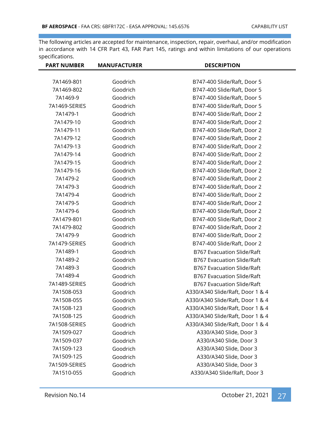| <b>PART NUMBER</b> | <b>MANUFACTURER</b> | <b>DESCRIPTION</b>                |
|--------------------|---------------------|-----------------------------------|
|                    |                     |                                   |
| 7A1469-801         | Goodrich            | B747-400 Slide/Raft, Door 5       |
| 7A1469-802         | Goodrich            | B747-400 Slide/Raft, Door 5       |
| 7A1469-9           | Goodrich            | B747-400 Slide/Raft, Door 5       |
| 7A1469-SERIES      | Goodrich            | B747-400 Slide/Raft, Door 5       |
| 7A1479-1           | Goodrich            | B747-400 Slide/Raft, Door 2       |
| 7A1479-10          | Goodrich            | B747-400 Slide/Raft, Door 2       |
| 7A1479-11          | Goodrich            | B747-400 Slide/Raft, Door 2       |
| 7A1479-12          | Goodrich            | B747-400 Slide/Raft, Door 2       |
| 7A1479-13          | Goodrich            | B747-400 Slide/Raft, Door 2       |
| 7A1479-14          | Goodrich            | B747-400 Slide/Raft, Door 2       |
| 7A1479-15          | Goodrich            | B747-400 Slide/Raft, Door 2       |
| 7A1479-16          | Goodrich            | B747-400 Slide/Raft, Door 2       |
| 7A1479-2           | Goodrich            | B747-400 Slide/Raft, Door 2       |
| 7A1479-3           | Goodrich            | B747-400 Slide/Raft, Door 2       |
| 7A1479-4           | Goodrich            | B747-400 Slide/Raft, Door 2       |
| 7A1479-5           | Goodrich            | B747-400 Slide/Raft, Door 2       |
| 7A1479-6           | Goodrich            | B747-400 Slide/Raft, Door 2       |
| 7A1479-801         | Goodrich            | B747-400 Slide/Raft, Door 2       |
| 7A1479-802         | Goodrich            | B747-400 Slide/Raft, Door 2       |
| 7A1479-9           | Goodrich            | B747-400 Slide/Raft, Door 2       |
| 7A1479-SERIES      | Goodrich            | B747-400 Slide/Raft, Door 2       |
| 7A1489-1           | Goodrich            | <b>B767 Evacuation Slide/Raft</b> |
| 7A1489-2           | Goodrich            | <b>B767 Evacuation Slide/Raft</b> |
| 7A1489-3           | Goodrich            | <b>B767 Evacuation Slide/Raft</b> |
| 7A1489-4           | Goodrich            | <b>B767 Evacuation Slide/Raft</b> |
| 7A1489-SERIES      | Goodrich            | B767 Evacuation Slide/Raft        |
| 7A1508-053         | Goodrich            | A330/A340 Slide/Raft, Door 1 & 4  |
| 7A1508-055         | Goodrich            | A330/A340 Slide/Raft, Door 1 & 4  |
| 7A1508-123         | Goodrich            | A330/A340 Slide/Raft, Door 1 & 4  |
| 7A1508-125         | Goodrich            | A330/A340 Slide/Raft, Door 1 & 4  |
| 7A1508-SERIES      | Goodrich            | A330/A340 Slide/Raft, Door 1 & 4  |
| 7A1509-027         | Goodrich            | A330/A340 Slide, Door 3           |
| 7A1509-037         | Goodrich            | A330/A340 Slide, Door 3           |
| 7A1509-123         | Goodrich            | A330/A340 Slide, Door 3           |
| 7A1509-125         | Goodrich            | A330/A340 Slide, Door 3           |
| 7A1509-SERIES      | Goodrich            | A330/A340 Slide, Door 3           |
| 7A1510-055         | Goodrich            | A330/A340 Slide/Raft, Door 3      |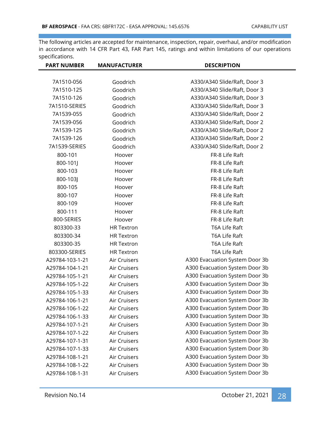| <b>PART NUMBER</b> | <b>MANUFACTURER</b> | <b>DESCRIPTION</b>             |
|--------------------|---------------------|--------------------------------|
|                    |                     |                                |
| 7A1510-056         | Goodrich            | A330/A340 Slide/Raft, Door 3   |
| 7A1510-125         | Goodrich            | A330/A340 Slide/Raft, Door 3   |
| 7A1510-126         | Goodrich            | A330/A340 Slide/Raft, Door 3   |
| 7A1510-SERIES      | Goodrich            | A330/A340 Slide/Raft, Door 3   |
| 7A1539-055         | Goodrich            | A330/A340 Slide/Raft, Door 2   |
| 7A1539-056         | Goodrich            | A330/A340 Slide/Raft, Door 2   |
| 7A1539-125         | Goodrich            | A330/A340 Slide/Raft, Door 2   |
| 7A1539-126         | Goodrich            | A330/A340 Slide/Raft, Door 2   |
| 7A1539-SERIES      | Goodrich            | A330/A340 Slide/Raft, Door 2   |
| 800-101            | Hoover              | FR-8 Life Raft                 |
| 800-101J           | Hoover              | FR-8 Life Raft                 |
| 800-103            | Hoover              | FR-8 Life Raft                 |
| 800-103J           | Hoover              | FR-8 Life Raft                 |
| 800-105            | Hoover              | FR-8 Life Raft                 |
| 800-107            | Hoover              | FR-8 Life Raft                 |
| 800-109            | Hoover              | FR-8 Life Raft                 |
| 800-111            | Hoover              | FR-8 Life Raft                 |
| 800-SERIES         | Hoover              | FR-8 Life Raft                 |
| 803300-33          | <b>HR Textron</b>   | T6A Life Raft                  |
| 803300-34          | <b>HR Textron</b>   | T6A Life Raft                  |
| 803300-35          | <b>HR Textron</b>   | T6A Life Raft                  |
| 803300-SERIES      | <b>HR</b> Textron   | T6A Life Raft                  |
| A29784-103-1-21    | Air Cruisers        | A300 Evacuation System Door 3b |
| A29784-104-1-21    | Air Cruisers        | A300 Evacuation System Door 3b |
| A29784-105-1-21    | Air Cruisers        | A300 Evacuation System Door 3b |
| A29784-105-1-22    | Air Cruisers        | A300 Evacuation System Door 3b |
| A29784-105-1-33    | Air Cruisers        | A300 Evacuation System Door 3b |
| A29784-106-1-21    | Air Cruisers        | A300 Evacuation System Door 3b |
| A29784-106-1-22    | Air Cruisers        | A300 Evacuation System Door 3b |
| A29784-106-1-33    | Air Cruisers        | A300 Evacuation System Door 3b |
| A29784-107-1-21    | Air Cruisers        | A300 Evacuation System Door 3b |
| A29784-107-1-22    | Air Cruisers        | A300 Evacuation System Door 3b |
| A29784-107-1-31    | Air Cruisers        | A300 Evacuation System Door 3b |
| A29784-107-1-33    | Air Cruisers        | A300 Evacuation System Door 3b |
| A29784-108-1-21    | Air Cruisers        | A300 Evacuation System Door 3b |
| A29784-108-1-22    | Air Cruisers        | A300 Evacuation System Door 3b |
| A29784-108-1-31    | Air Cruisers        | A300 Evacuation System Door 3b |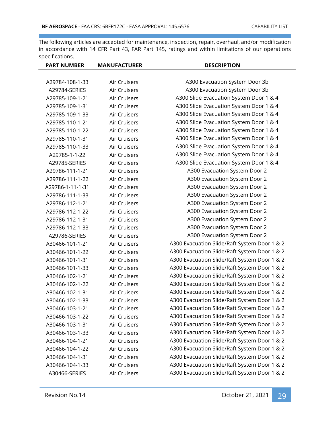| <b>PART NUMBER</b> | <b>MANUFACTURER</b> | <b>DESCRIPTION</b>                           |
|--------------------|---------------------|----------------------------------------------|
|                    |                     |                                              |
| A29784-108-1-33    | Air Cruisers        | A300 Evacuation System Door 3b               |
| A29784-SERIES      | Air Cruisers        | A300 Evacuation System Door 3b               |
| A29785-109-1-21    | <b>Air Cruisers</b> | A300 Slide Evacuation System Door 1 & 4      |
| A29785-109-1-31    | Air Cruisers        | A300 Slide Evacuation System Door 1 & 4      |
| A29785-109-1-33    | Air Cruisers        | A300 Slide Evacuation System Door 1 & 4      |
| A29785-110-1-21    | Air Cruisers        | A300 Slide Evacuation System Door 1 & 4      |
| A29785-110-1-22    | Air Cruisers        | A300 Slide Evacuation System Door 1 & 4      |
| A29785-110-1-31    | Air Cruisers        | A300 Slide Evacuation System Door 1 & 4      |
| A29785-110-1-33    | Air Cruisers        | A300 Slide Evacuation System Door 1 & 4      |
| A29785-1-1-22      | Air Cruisers        | A300 Slide Evacuation System Door 1 & 4      |
| A29785-SERIES      | Air Cruisers        | A300 Slide Evacuation System Door 1 & 4      |
| A29786-111-1-21    | Air Cruisers        | A300 Evacuation System Door 2                |
| A29786-111-1-22    | Air Cruisers        | A300 Evacuation System Door 2                |
| A29786-1-11-1-31   | Air Cruisers        | A300 Evacuation System Door 2                |
| A29786-111-1-33    | Air Cruisers        | A300 Evacuation System Door 2                |
| A29786-112-1-21    | Air Cruisers        | A300 Evacuation System Door 2                |
| A29786-112-1-22    | Air Cruisers        | A300 Evacuation System Door 2                |
| A29786-112-1-31    | Air Cruisers        | A300 Evacuation System Door 2                |
| A29786-112-1-33    | Air Cruisers        | A300 Evacuation System Door 2                |
| A29786-SERIES      | Air Cruisers        | A300 Evacuation System Door 2                |
| A30466-101-1-21    | Air Cruisers        | A300 Evacuation Slide/Raft System Door 1 & 2 |
| A30466-101-1-22    | Air Cruisers        | A300 Evacuation Slide/Raft System Door 1 & 2 |
| A30466-101-1-31    | Air Cruisers        | A300 Evacuation Slide/Raft System Door 1 & 2 |
| A30466-101-1-33    | Air Cruisers        | A300 Evacuation Slide/Raft System Door 1 & 2 |
| A30466-102-1-21    | Air Cruisers        | A300 Evacuation Slide/Raft System Door 1 & 2 |
| A30466-102-1-22    | Air Cruisers        | A300 Evacuation Slide/Raft System Door 1 & 2 |
| A30466-102-1-31    | Air Cruisers        | A300 Evacuation Slide/Raft System Door 1 & 2 |
| A30466-102-1-33    | Air Cruisers        | A300 Evacuation Slide/Raft System Door 1 & 2 |
| A30466-103-1-21    | Air Cruisers        | A300 Evacuation Slide/Raft System Door 1 & 2 |
| A30466-103-1-22    | Air Cruisers        | A300 Evacuation Slide/Raft System Door 1 & 2 |
| A30466-103-1-31    | Air Cruisers        | A300 Evacuation Slide/Raft System Door 1 & 2 |
| A30466-103-1-33    | Air Cruisers        | A300 Evacuation Slide/Raft System Door 1 & 2 |
| A30466-104-1-21    | Air Cruisers        | A300 Evacuation Slide/Raft System Door 1 & 2 |
| A30466-104-1-22    | Air Cruisers        | A300 Evacuation Slide/Raft System Door 1 & 2 |
| A30466-104-1-31    | Air Cruisers        | A300 Evacuation Slide/Raft System Door 1 & 2 |
| A30466-104-1-33    | Air Cruisers        | A300 Evacuation Slide/Raft System Door 1 & 2 |
| A30466-SERIES      | Air Cruisers        | A300 Evacuation Slide/Raft System Door 1 & 2 |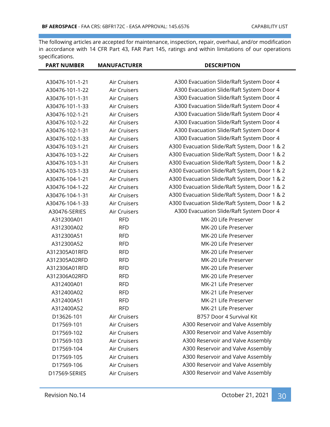| <b>PART NUMBER</b> | <b>MANUFACTURER</b> | <b>DESCRIPTION</b>                            |
|--------------------|---------------------|-----------------------------------------------|
|                    |                     |                                               |
| A30476-101-1-21    | Air Cruisers        | A300 Evacuation Slide/Raft System Door 4      |
| A30476-101-1-22    | Air Cruisers        | A300 Evacuation Slide/Raft System Door 4      |
| A30476-101-1-31    | <b>Air Cruisers</b> | A300 Evacuation Slide/Raft System Door 4      |
| A30476-101-1-33    | Air Cruisers        | A300 Evacuation Slide/Raft System Door 4      |
| A30476-102-1-21    | Air Cruisers        | A300 Evacuation Slide/Raft System Door 4      |
| A30476-102-1-22    | <b>Air Cruisers</b> | A300 Evacuation Slide/Raft System Door 4      |
| A30476-102-1-31    | Air Cruisers        | A300 Evacuation Slide/Raft System Door 4      |
| A30476-102-1-33    | Air Cruisers        | A300 Evacuation Slide/Raft System Door 4      |
| A30476-103-1-21    | Air Cruisers        | A300 Evacuation Slide/Raft System, Door 1 & 2 |
| A30476-103-1-22    | Air Cruisers        | A300 Evacuation Slide/Raft System, Door 1 & 2 |
| A30476-103-1-31    | Air Cruisers        | A300 Evacuation Slide/Raft System, Door 1 & 2 |
| A30476-103-1-33    | Air Cruisers        | A300 Evacuation Slide/Raft System, Door 1 & 2 |
| A30476-104-1-21    | Air Cruisers        | A300 Evacuation Slide/Raft System, Door 1 & 2 |
| A30476-104-1-22    | <b>Air Cruisers</b> | A300 Evacuation Slide/Raft System, Door 1 & 2 |
| A30476-104-1-31    | Air Cruisers        | A300 Evacuation Slide/Raft System, Door 1 & 2 |
| A30476-104-1-33    | Air Cruisers        | A300 Evacuation Slide/Raft System, Door 1 & 2 |
| A30476-SERIES      | Air Cruisers        | A300 Evacuation Slide/Raft System Door 4      |
| A312300A01         | <b>RFD</b>          | MK-20 Life Preserver                          |
| A312300A02         | <b>RFD</b>          | MK-20 Life Preserver                          |
| A312300A51         | <b>RFD</b>          | MK-20 Life Preserver                          |
| A312300A52         | <b>RFD</b>          | MK-20 Life Preserver                          |
| A312305A01RFD      | <b>RFD</b>          | MK-20 Life Preserver                          |
| A312305A02RFD      | <b>RFD</b>          | MK-20 Life Preserver                          |
| A312306A01RFD      | <b>RFD</b>          | MK-20 Life Preserver                          |
| A312306A02RFD      | <b>RFD</b>          | MK-20 Life Preserver                          |
| A312400A01         | <b>RFD</b>          | MK-21 Life Preserver                          |
| A312400A02         | <b>RFD</b>          | MK-21 Life Preserver                          |
| A312400A51         | <b>RFD</b>          | MK-21 Life Preserver                          |
| A312400A52         | <b>RFD</b>          | MK-21 Life Preserver                          |
| D13626-101         | Air Cruisers        | B757 Door 4 Survival Kit                      |
| D17569-101         | <b>Air Cruisers</b> | A300 Reservoir and Valve Assembly             |
| D17569-102         | Air Cruisers        | A300 Reservoir and Valve Assembly             |
| D17569-103         | Air Cruisers        | A300 Reservoir and Valve Assembly             |
| D17569-104         | Air Cruisers        | A300 Reservoir and Valve Assembly             |
| D17569-105         | Air Cruisers        | A300 Reservoir and Valve Assembly             |
| D17569-106         | Air Cruisers        | A300 Reservoir and Valve Assembly             |
| D17569-SERIES      | Air Cruisers        | A300 Reservoir and Valve Assembly             |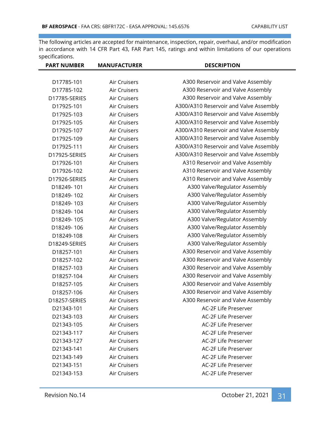| <b>PART NUMBER</b> | <b>MANUFACTURER</b> | <b>DESCRIPTION</b>                     |
|--------------------|---------------------|----------------------------------------|
|                    |                     |                                        |
| D17785-101         | Air Cruisers        | A300 Reservoir and Valve Assembly      |
| D17785-102         | Air Cruisers        | A300 Reservoir and Valve Assembly      |
| D17785-SERIES      | Air Cruisers        | A300 Reservoir and Valve Assembly      |
| D17925-101         | Air Cruisers        | A300/A310 Reservoir and Valve Assembly |
| D17925-103         | Air Cruisers        | A300/A310 Reservoir and Valve Assembly |
| D17925-105         | <b>Air Cruisers</b> | A300/A310 Reservoir and Valve Assembly |
| D17925-107         | Air Cruisers        | A300/A310 Reservoir and Valve Assembly |
| D17925-109         | Air Cruisers        | A300/A310 Reservoir and Valve Assembly |
| D17925-111         | Air Cruisers        | A300/A310 Reservoir and Valve Assembly |
| D17925-SERIES      | Air Cruisers        | A300/A310 Reservoir and Valve Assembly |
| D17926-101         | Air Cruisers        | A310 Reservoir and Valve Assembly      |
| D17926-102         | Air Cruisers        | A310 Reservoir and Valve Assembly      |
| D17926-SERIES      | Air Cruisers        | A310 Reservoir and Valve Assembly      |
| D18249-101         | Air Cruisers        | A300 Valve/Regulator Assembly          |
| D18249-102         | Air Cruisers        | A300 Valve/Regulator Assembly          |
| D18249-103         | Air Cruisers        | A300 Valve/Regulator Assembly          |
| D18249-104         | Air Cruisers        | A300 Valve/Regulator Assembly          |
| D18249-105         | Air Cruisers        | A300 Valve/Regulator Assembly          |
| D18249-106         | Air Cruisers        | A300 Valve/Regulator Assembly          |
| D18249-108         | Air Cruisers        | A300 Valve/Regulator Assembly          |
| D18249-SERIES      | Air Cruisers        | A300 Valve/Regulator Assembly          |
| D18257-101         | Air Cruisers        | A300 Reservoir and Valve Assembly      |
| D18257-102         | Air Cruisers        | A300 Reservoir and Valve Assembly      |
| D18257-103         | Air Cruisers        | A300 Reservoir and Valve Assembly      |
| D18257-104         | Air Cruisers        | A300 Reservoir and Valve Assembly      |
| D18257-105         | Air Cruisers        | A300 Reservoir and Valve Assembly      |
| D18257-106         | Air Cruisers        | A300 Reservoir and Valve Assembly      |
| D18257-SERIES      | Air Cruisers        | A300 Reservoir and Valve Assembly      |
| D21343-101         | Air Cruisers        | AC-2F Life Preserver                   |
| D21343-103         | Air Cruisers        | AC-2F Life Preserver                   |
| D21343-105         | Air Cruisers        | AC-2F Life Preserver                   |
| D21343-117         | Air Cruisers        | AC-2F Life Preserver                   |
| D21343-127         | Air Cruisers        | AC-2F Life Preserver                   |
| D21343-141         | Air Cruisers        | AC-2F Life Preserver                   |
| D21343-149         | Air Cruisers        | AC-2F Life Preserver                   |
| D21343-151         | Air Cruisers        | AC-2F Life Preserver                   |
| D21343-153         | Air Cruisers        | AC-2F Life Preserver                   |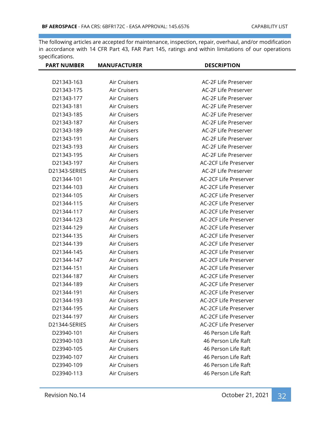| <b>PART NUMBER</b> | <b>MANUFACTURER</b> | <b>DESCRIPTION</b>           |
|--------------------|---------------------|------------------------------|
|                    |                     |                              |
| D21343-163         | Air Cruisers        | AC-2F Life Preserver         |
| D21343-175         | Air Cruisers        | AC-2F Life Preserver         |
| D21343-177         | Air Cruisers        | AC-2F Life Preserver         |
| D21343-181         | Air Cruisers        | AC-2F Life Preserver         |
| D21343-185         | Air Cruisers        | AC-2F Life Preserver         |
| D21343-187         | Air Cruisers        | AC-2F Life Preserver         |
| D21343-189         | Air Cruisers        | AC-2F Life Preserver         |
| D21343-191         | Air Cruisers        | AC-2F Life Preserver         |
| D21343-193         | Air Cruisers        | AC-2F Life Preserver         |
| D21343-195         | Air Cruisers        | AC-2F Life Preserver         |
| D21343-197         | Air Cruisers        | AC-2CF Life Preserver        |
| D21343-SERIES      | Air Cruisers        | AC-2F Life Preserver         |
| D21344-101         | Air Cruisers        | <b>AC-2CF Life Preserver</b> |
| D21344-103         | Air Cruisers        | AC-2CF Life Preserver        |
| D21344-105         | Air Cruisers        | AC-2CF Life Preserver        |
| D21344-115         | Air Cruisers        | AC-2CF Life Preserver        |
| D21344-117         | Air Cruisers        | <b>AC-2CF Life Preserver</b> |
| D21344-123         | Air Cruisers        | AC-2CF Life Preserver        |
| D21344-129         | Air Cruisers        | AC-2CF Life Preserver        |
| D21344-135         | Air Cruisers        | AC-2CF Life Preserver        |
| D21344-139         | Air Cruisers        | <b>AC-2CF Life Preserver</b> |
| D21344-145         | Air Cruisers        | AC-2CF Life Preserver        |
| D21344-147         | Air Cruisers        | AC-2CF Life Preserver        |
| D21344-151         | Air Cruisers        | AC-2CF Life Preserver        |
| D21344-187         | Air Cruisers        | <b>AC-2CF Life Preserver</b> |
| D21344-189         | Air Cruisers        | <b>AC-2CF Life Preserver</b> |
| D21344-191         | Air Cruisers        | AC-2CF Life Preserver        |
| D21344-193         | Air Cruisers        | AC-2CF Life Preserver        |
| D21344-195         | Air Cruisers        | AC-2CF Life Preserver        |
| D21344-197         | Air Cruisers        | <b>AC-2CF Life Preserver</b> |
| D21344-SERIES      | Air Cruisers        | <b>AC-2CF Life Preserver</b> |
| D23940-101         | Air Cruisers        | 46 Person Life Raft          |
| D23940-103         | Air Cruisers        | 46 Person Life Raft          |
| D23940-105         | Air Cruisers        | 46 Person Life Raft          |
| D23940-107         | Air Cruisers        | 46 Person Life Raft          |
| D23940-109         | Air Cruisers        | 46 Person Life Raft          |
| D23940-113         | Air Cruisers        | 46 Person Life Raft          |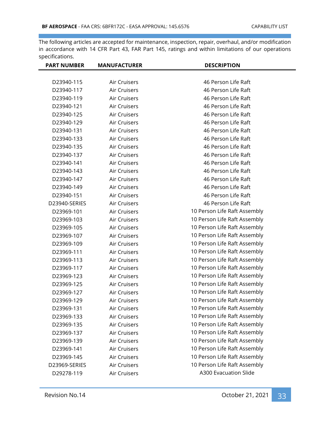| <b>PART NUMBER</b> | <b>MANUFACTURER</b> | <b>DESCRIPTION</b>           |
|--------------------|---------------------|------------------------------|
|                    |                     |                              |
| D23940-115         | Air Cruisers        | 46 Person Life Raft          |
| D23940-117         | Air Cruisers        | 46 Person Life Raft          |
| D23940-119         | Air Cruisers        | 46 Person Life Raft          |
| D23940-121         | Air Cruisers        | 46 Person Life Raft          |
| D23940-125         | Air Cruisers        | 46 Person Life Raft          |
| D23940-129         | Air Cruisers        | 46 Person Life Raft          |
| D23940-131         | Air Cruisers        | 46 Person Life Raft          |
| D23940-133         | Air Cruisers        | 46 Person Life Raft          |
| D23940-135         | Air Cruisers        | 46 Person Life Raft          |
| D23940-137         | Air Cruisers        | 46 Person Life Raft          |
| D23940-141         | Air Cruisers        | 46 Person Life Raft          |
| D23940-143         | Air Cruisers        | 46 Person Life Raft          |
| D23940-147         | Air Cruisers        | 46 Person Life Raft          |
| D23940-149         | Air Cruisers        | 46 Person Life Raft          |
| D23940-151         | Air Cruisers        | 46 Person Life Raft          |
| D23940-SERIES      | Air Cruisers        | 46 Person Life Raft          |
| D23969-101         | Air Cruisers        | 10 Person Life Raft Assembly |
| D23969-103         | Air Cruisers        | 10 Person Life Raft Assembly |
| D23969-105         | Air Cruisers        | 10 Person Life Raft Assembly |
| D23969-107         | Air Cruisers        | 10 Person Life Raft Assembly |
| D23969-109         | Air Cruisers        | 10 Person Life Raft Assembly |
| D23969-111         | Air Cruisers        | 10 Person Life Raft Assembly |
| D23969-113         | Air Cruisers        | 10 Person Life Raft Assembly |
| D23969-117         | Air Cruisers        | 10 Person Life Raft Assembly |
| D23969-123         | Air Cruisers        | 10 Person Life Raft Assembly |
| D23969-125         | Air Cruisers        | 10 Person Life Raft Assembly |
| D23969-127         | Air Cruisers        | 10 Person Life Raft Assembly |
| D23969-129         | Air Cruisers        | 10 Person Life Raft Assembly |
| D23969-131         | Air Cruisers        | 10 Person Life Raft Assembly |
| D23969-133         | Air Cruisers        | 10 Person Life Raft Assembly |
| D23969-135         | Air Cruisers        | 10 Person Life Raft Assembly |
| D23969-137         | Air Cruisers        | 10 Person Life Raft Assembly |
| D23969-139         | Air Cruisers        | 10 Person Life Raft Assembly |
| D23969-141         | Air Cruisers        | 10 Person Life Raft Assembly |
| D23969-145         | Air Cruisers        | 10 Person Life Raft Assembly |
| D23969-SERIES      | Air Cruisers        | 10 Person Life Raft Assembly |
| D29278-119         | Air Cruisers        | <b>A300 Evacuation Slide</b> |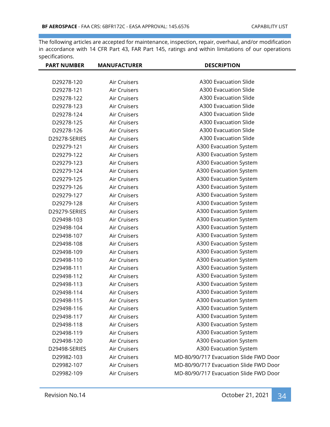| <b>PART NUMBER</b> | <b>MANUFACTURER</b> | <b>DESCRIPTION</b>                     |
|--------------------|---------------------|----------------------------------------|
|                    |                     |                                        |
| D29278-120         | Air Cruisers        | <b>A300 Evacuation Slide</b>           |
| D29278-121         | Air Cruisers        | <b>A300 Evacuation Slide</b>           |
| D29278-122         | Air Cruisers        | <b>A300 Evacuation Slide</b>           |
| D29278-123         | Air Cruisers        | <b>A300 Evacuation Slide</b>           |
| D29278-124         | Air Cruisers        | <b>A300 Evacuation Slide</b>           |
| D29278-125         | Air Cruisers        | <b>A300 Evacuation Slide</b>           |
| D29278-126         | Air Cruisers        | <b>A300 Evacuation Slide</b>           |
| D29278-SERIES      | <b>Air Cruisers</b> | <b>A300 Evacuation Slide</b>           |
| D29279-121         | Air Cruisers        | A300 Evacuation System                 |
| D29279-122         | Air Cruisers        | A300 Evacuation System                 |
| D29279-123         | Air Cruisers        | A300 Evacuation System                 |
| D29279-124         | Air Cruisers        | A300 Evacuation System                 |
| D29279-125         | Air Cruisers        | A300 Evacuation System                 |
| D29279-126         | Air Cruisers        | A300 Evacuation System                 |
| D29279-127         | Air Cruisers        | A300 Evacuation System                 |
| D29279-128         | Air Cruisers        | A300 Evacuation System                 |
| D29279-SERIES      | Air Cruisers        | A300 Evacuation System                 |
| D29498-103         | Air Cruisers        | A300 Evacuation System                 |
| D29498-104         | Air Cruisers        | A300 Evacuation System                 |
| D29498-107         | Air Cruisers        | A300 Evacuation System                 |
| D29498-108         | Air Cruisers        | A300 Evacuation System                 |
| D29498-109         | Air Cruisers        | A300 Evacuation System                 |
| D29498-110         | Air Cruisers        | A300 Evacuation System                 |
| D29498-111         | Air Cruisers        | A300 Evacuation System                 |
| D29498-112         | Air Cruisers        | A300 Evacuation System                 |
| D29498-113         | Air Cruisers        | A300 Evacuation System                 |
| D29498-114         | Air Cruisers        | A300 Evacuation System                 |
| D29498-115         | <b>Air Cruisers</b> | A300 Evacuation System                 |
| D29498-116         | Air Cruisers        | A300 Evacuation System                 |
| D29498-117         | Air Cruisers        | A300 Evacuation System                 |
| D29498-118         | Air Cruisers        | A300 Evacuation System                 |
| D29498-119         | Air Cruisers        | A300 Evacuation System                 |
| D29498-120         | Air Cruisers        | A300 Evacuation System                 |
| D29498-SERIES      | Air Cruisers        | A300 Evacuation System                 |
| D29982-103         | Air Cruisers        | MD-80/90/717 Evacuation Slide FWD Door |
| D29982-107         | Air Cruisers        | MD-80/90/717 Evacuation Slide FWD Door |
| D29982-109         | Air Cruisers        | MD-80/90/717 Evacuation Slide FWD Door |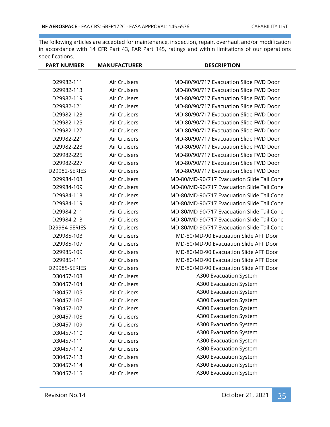| <b>PART NUMBER</b> | <b>MANUFACTURER</b> | <b>DESCRIPTION</b>                         |
|--------------------|---------------------|--------------------------------------------|
|                    |                     |                                            |
| D29982-111         | Air Cruisers        | MD-80/90/717 Evacuation Slide FWD Door     |
| D29982-113         | Air Cruisers        | MD-80/90/717 Evacuation Slide FWD Door     |
| D29982-119         | Air Cruisers        | MD-80/90/717 Evacuation Slide FWD Door     |
| D29982-121         | Air Cruisers        | MD-80/90/717 Evacuation Slide FWD Door     |
| D29982-123         | Air Cruisers        | MD-80/90/717 Evacuation Slide FWD Door     |
| D29982-125         | Air Cruisers        | MD-80/90/717 Evacuation Slide FWD Door     |
| D29982-127         | Air Cruisers        | MD-80/90/717 Evacuation Slide FWD Door     |
| D29982-221         | Air Cruisers        | MD-80/90/717 Evacuation Slide FWD Door     |
| D29982-223         | Air Cruisers        | MD-80/90/717 Evacuation Slide FWD Door     |
| D29982-225         | Air Cruisers        | MD-80/90/717 Evacuation Slide FWD Door     |
| D29982-227         | Air Cruisers        | MD-80/90/717 Evacuation Slide FWD Door     |
| D29982-SERIES      | Air Cruisers        | MD-80/90/717 Evacuation Slide FWD Door     |
| D29984-103         | Air Cruisers        | MD-80/MD-90/717 Evacuation Slide Tail Cone |
| D29984-109         | Air Cruisers        | MD-80/MD-90/717 Evacuation Slide Tail Cone |
| D29984-113         | Air Cruisers        | MD-80/MD-90/717 Evacuation Slide Tail Cone |
| D29984-119         | Air Cruisers        | MD-80/MD-90/717 Evacuation Slide Tail Cone |
| D29984-211         | Air Cruisers        | MD-80/MD-90/717 Evacuation Slide Tail Cone |
| D29984-213         | Air Cruisers        | MD-80/MD-90/717 Evacuation Slide Tail Cone |
| D29984-SERIES      | Air Cruisers        | MD-80/MD-90/717 Evacuation Slide Tail Cone |
| D29985-103         | Air Cruisers        | MD-80/MD-90 Evacuation Slide AFT Door      |
| D29985-107         | Air Cruisers        | MD-80/MD-90 Evacuation Slide AFT Door      |
| D29985-109         | Air Cruisers        | MD-80/MD-90 Evacuation Slide AFT Door      |
| D29985-111         | Air Cruisers        | MD-80/MD-90 Evacuation Slide AFT Door      |
| D29985-SERIES      | Air Cruisers        | MD-80/MD-90 Evacuation Slide AFT Door      |
| D30457-103         | Air Cruisers        | A300 Evacuation System                     |
| D30457-104         | Air Cruisers        | A300 Evacuation System                     |
| D30457-105         | Air Cruisers        | A300 Evacuation System                     |
| D30457-106         | Air Cruisers        | A300 Evacuation System                     |
| D30457-107         | Air Cruisers        | A300 Evacuation System                     |
| D30457-108         | Air Cruisers        | A300 Evacuation System                     |
| D30457-109         | Air Cruisers        | A300 Evacuation System                     |
| D30457-110         | Air Cruisers        | A300 Evacuation System                     |
| D30457-111         | Air Cruisers        | A300 Evacuation System                     |
| D30457-112         | Air Cruisers        | A300 Evacuation System                     |
| D30457-113         | Air Cruisers        | A300 Evacuation System                     |
| D30457-114         | Air Cruisers        | A300 Evacuation System                     |
| D30457-115         | Air Cruisers        | A300 Evacuation System                     |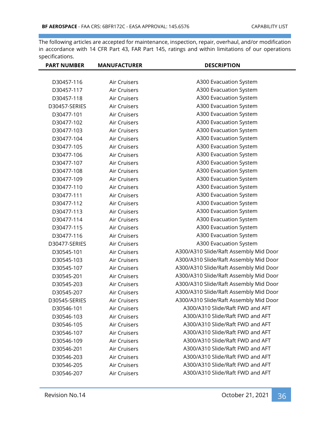| <b>PART NUMBER</b> | <b>MANUFACTURER</b> | <b>DESCRIPTION</b>                     |
|--------------------|---------------------|----------------------------------------|
|                    |                     |                                        |
| D30457-116         | Air Cruisers        | A300 Evacuation System                 |
| D30457-117         | Air Cruisers        | A300 Evacuation System                 |
| D30457-118         | Air Cruisers        | A300 Evacuation System                 |
| D30457-SERIES      | Air Cruisers        | A300 Evacuation System                 |
| D30477-101         | Air Cruisers        | A300 Evacuation System                 |
| D30477-102         | Air Cruisers        | A300 Evacuation System                 |
| D30477-103         | <b>Air Cruisers</b> | A300 Evacuation System                 |
| D30477-104         | Air Cruisers        | A300 Evacuation System                 |
| D30477-105         | Air Cruisers        | A300 Evacuation System                 |
| D30477-106         | Air Cruisers        | A300 Evacuation System                 |
| D30477-107         | Air Cruisers        | A300 Evacuation System                 |
| D30477-108         | Air Cruisers        | A300 Evacuation System                 |
| D30477-109         | Air Cruisers        | A300 Evacuation System                 |
| D30477-110         | <b>Air Cruisers</b> | A300 Evacuation System                 |
| D30477-111         | Air Cruisers        | A300 Evacuation System                 |
| D30477-112         | Air Cruisers        | A300 Evacuation System                 |
| D30477-113         | Air Cruisers        | A300 Evacuation System                 |
| D30477-114         | Air Cruisers        | A300 Evacuation System                 |
| D30477-115         | Air Cruisers        | A300 Evacuation System                 |
| D30477-116         | Air Cruisers        | A300 Evacuation System                 |
| D30477-SERIES      | Air Cruisers        | A300 Evacuation System                 |
| D30545-101         | Air Cruisers        | A300/A310 Slide/Raft Assembly Mid Door |
| D30545-103         | Air Cruisers        | A300/A310 Slide/Raft Assembly Mid Door |
| D30545-107         | Air Cruisers        | A300/A310 Slide/Raft Assembly Mid Door |
| D30545-201         | Air Cruisers        | A300/A310 Slide/Raft Assembly Mid Door |
| D30545-203         | Air Cruisers        | A300/A310 Slide/Raft Assembly Mid Door |
| D30545-207         | Air Cruisers        | A300/A310 Slide/Raft Assembly Mid Door |
| D30545-SERIES      | Air Cruisers        | A300/A310 Slide/Raft Assembly Mid Door |
| D30546-101         | Air Cruisers        | A300/A310 Slide/Raft FWD and AFT       |
| D30546-103         | Air Cruisers        | A300/A310 Slide/Raft FWD and AFT       |
| D30546-105         | Air Cruisers        | A300/A310 Slide/Raft FWD and AFT       |
| D30546-107         | Air Cruisers        | A300/A310 Slide/Raft FWD and AFT       |
| D30546-109         | Air Cruisers        | A300/A310 Slide/Raft FWD and AFT       |
| D30546-201         | Air Cruisers        | A300/A310 Slide/Raft FWD and AFT       |
| D30546-203         | Air Cruisers        | A300/A310 Slide/Raft FWD and AFT       |
| D30546-205         | Air Cruisers        | A300/A310 Slide/Raft FWD and AFT       |
| D30546-207         | Air Cruisers        | A300/A310 Slide/Raft FWD and AFT       |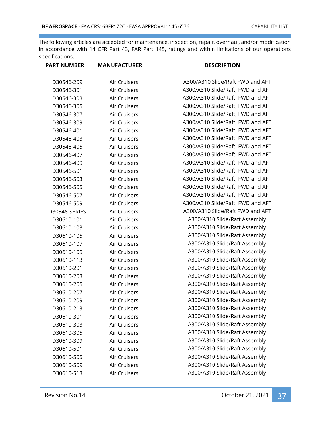| <b>PART NUMBER</b> | <b>MANUFACTURER</b> | <b>DESCRIPTION</b>                |
|--------------------|---------------------|-----------------------------------|
|                    |                     |                                   |
| D30546-209         | Air Cruisers        | A300/A310 Slide/Raft FWD and AFT  |
| D30546-301         | Air Cruisers        | A300/A310 Slide/Raft, FWD and AFT |
| D30546-303         | Air Cruisers        | A300/A310 Slide/Raft, FWD and AFT |
| D30546-305         | Air Cruisers        | A300/A310 Slide/Raft, FWD and AFT |
| D30546-307         | Air Cruisers        | A300/A310 Slide/Raft, FWD and AFT |
| D30546-309         | <b>Air Cruisers</b> | A300/A310 Slide/Raft, FWD and AFT |
| D30546-401         | Air Cruisers        | A300/A310 Slide/Raft, FWD and AFT |
| D30546-403         | Air Cruisers        | A300/A310 Slide/Raft, FWD and AFT |
| D30546-405         | Air Cruisers        | A300/A310 Slide/Raft, FWD and AFT |
| D30546-407         | Air Cruisers        | A300/A310 Slide/Raft, FWD and AFT |
| D30546-409         | Air Cruisers        | A300/A310 Slide/Raft, FWD and AFT |
| D30546-501         | <b>Air Cruisers</b> | A300/A310 Slide/Raft, FWD and AFT |
| D30546-503         | Air Cruisers        | A300/A310 Slide/Raft, FWD and AFT |
| D30546-505         | <b>Air Cruisers</b> | A300/A310 Slide/Raft, FWD and AFT |
| D30546-507         | Air Cruisers        | A300/A310 Slide/Raft, FWD and AFT |
| D30546-509         | Air Cruisers        | A300/A310 Slide/Raft, FWD and AFT |
| D30546-SERIES      | Air Cruisers        | A300/A310 Slide/Raft FWD and AFT  |
| D30610-101         | Air Cruisers        | A300/A310 Slide/Raft Assembly     |
| D30610-103         | Air Cruisers        | A300/A310 Slide/Raft Assembly     |
| D30610-105         | Air Cruisers        | A300/A310 Slide/Raft Assembly     |
| D30610-107         | Air Cruisers        | A300/A310 Slide/Raft Assembly     |
| D30610-109         | Air Cruisers        | A300/A310 Slide/Raft Assembly     |
| D30610-113         | Air Cruisers        | A300/A310 Slide/Raft Assembly     |
| D30610-201         | Air Cruisers        | A300/A310 Slide/Raft Assembly     |
| D30610-203         | Air Cruisers        | A300/A310 Slide/Raft Assembly     |
| D30610-205         | Air Cruisers        | A300/A310 Slide/Raft Assembly     |
| D30610-207         | Air Cruisers        | A300/A310 Slide/Raft Assembly     |
| D30610-209         | Air Cruisers        | A300/A310 Slide/Raft Assembly     |
| D30610-213         | Air Cruisers        | A300/A310 Slide/Raft Assembly     |
| D30610-301         | Air Cruisers        | A300/A310 Slide/Raft Assembly     |
| D30610-303         | Air Cruisers        | A300/A310 Slide/Raft Assembly     |
| D30610-305         | Air Cruisers        | A300/A310 Slide/Raft Assembly     |
| D30610-309         | Air Cruisers        | A300/A310 Slide/Raft Assembly     |
| D30610-501         | Air Cruisers        | A300/A310 Slide/Raft Assembly     |
| D30610-505         | Air Cruisers        | A300/A310 Slide/Raft Assembly     |
| D30610-509         | Air Cruisers        | A300/A310 Slide/Raft Assembly     |
| D30610-513         | Air Cruisers        | A300/A310 Slide/Raft Assembly     |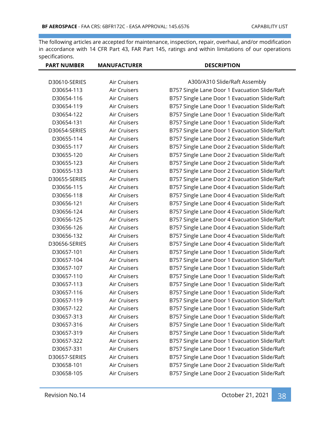| <b>PART NUMBER</b> | <b>MANUFACTURER</b> | <b>DESCRIPTION</b>                            |
|--------------------|---------------------|-----------------------------------------------|
|                    |                     |                                               |
| D30610-SERIES      | Air Cruisers        | A300/A310 Slide/Raft Assembly                 |
| D30654-113         | Air Cruisers        | B757 Single Lane Door 1 Evacuation Slide/Raft |
| D30654-116         | Air Cruisers        | B757 Single Lane Door 1 Evacuation Slide/Raft |
| D30654-119         | Air Cruisers        | B757 Single Lane Door 1 Evacuation Slide/Raft |
| D30654-122         | Air Cruisers        | B757 Single Lane Door 1 Evacuation Slide/Raft |
| D30654-131         | Air Cruisers        | B757 Single Lane Door 1 Evacuation Slide/Raft |
| D30654-SERIES      | Air Cruisers        | B757 Single Lane Door 1 Evacuation Slide/Raft |
| D30655-114         | Air Cruisers        | B757 Single Lane Door 2 Evacuation Slide/Raft |
| D30655-117         | Air Cruisers        | B757 Single Lane Door 2 Evacuation Slide/Raft |
| D30655-120         | Air Cruisers        | B757 Single Lane Door 2 Evacuation Slide/Raft |
| D30655-123         | Air Cruisers        | B757 Single Lane Door 2 Evacuation Slide/Raft |
| D30655-133         | Air Cruisers        | B757 Single Lane Door 2 Evacuation Slide/Raft |
| D30655-SERIES      | Air Cruisers        | B757 Single Lane Door 2 Evacuation Slide/Raft |
| D30656-115         | Air Cruisers        | B757 Single Lane Door 4 Evacuation Slide/Raft |
| D30656-118         | Air Cruisers        | B757 Single Lane Door 4 Evacuation Slide/Raft |
| D30656-121         | Air Cruisers        | B757 Single Lane Door 4 Evacuation Slide/Raft |
| D30656-124         | Air Cruisers        | B757 Single Lane Door 4 Evacuation Slide/Raft |
| D30656-125         | Air Cruisers        | B757 Single Lane Door 4 Evacuation Slide/Raft |
| D30656-126         | Air Cruisers        | B757 Single Lane Door 4 Evacuation Slide/Raft |
| D30656-132         | Air Cruisers        | B757 Single Lane Door 4 Evacuation Slide/Raft |
| D30656-SERIES      | Air Cruisers        | B757 Single Lane Door 4 Evacuation Slide/Raft |
| D30657-101         | Air Cruisers        | B757 Single Lane Door 1 Evacuation Slide/Raft |
| D30657-104         | Air Cruisers        | B757 Single Lane Door 1 Evacuation Slide/Raft |
| D30657-107         | Air Cruisers        | B757 Single Lane Door 1 Evacuation Slide/Raft |
| D30657-110         | Air Cruisers        | B757 Single Lane Door 1 Evacuation Slide/Raft |
| D30657-113         | Air Cruisers        | B757 Single Lane Door 1 Evacuation Slide/Raft |
| D30657-116         | Air Cruisers        | B757 Single Lane Door 1 Evacuation Slide/Raft |
| D30657-119         | Air Cruisers        | B757 Single Lane Door 1 Evacuation Slide/Raft |
| D30657-122         | Air Cruisers        | B757 Single Lane Door 1 Evacuation Slide/Raft |
| D30657-313         | Air Cruisers        | B757 Single Lane Door 1 Evacuation Slide/Raft |
| D30657-316         | Air Cruisers        | B757 Single Lane Door 1 Evacuation Slide/Raft |
| D30657-319         | Air Cruisers        | B757 Single Lane Door 1 Evacuation Slide/Raft |
| D30657-322         | Air Cruisers        | B757 Single Lane Door 1 Evacuation Slide/Raft |
| D30657-331         | Air Cruisers        | B757 Single Lane Door 1 Evacuation Slide/Raft |
| D30657-SERIES      | Air Cruisers        | B757 Single Lane Door 1 Evacuation Slide/Raft |
| D30658-101         | Air Cruisers        | B757 Single Lane Door 2 Evacuation Slide/Raft |
| D30658-105         | Air Cruisers        | B757 Single Lane Door 2 Evacuation Slide/Raft |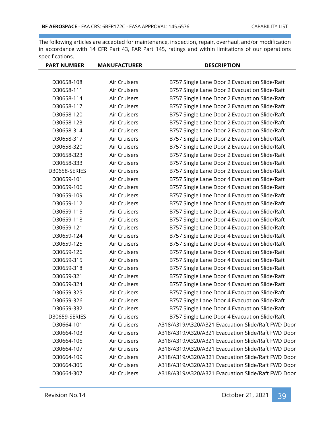| <b>PART NUMBER</b> | <b>MANUFACTURER</b> | <b>DESCRIPTION</b>                                 |
|--------------------|---------------------|----------------------------------------------------|
|                    |                     |                                                    |
| D30658-108         | Air Cruisers        | B757 Single Lane Door 2 Evacuation Slide/Raft      |
| D30658-111         | Air Cruisers        | B757 Single Lane Door 2 Evacuation Slide/Raft      |
| D30658-114         | Air Cruisers        | B757 Single Lane Door 2 Evacuation Slide/Raft      |
| D30658-117         | Air Cruisers        | B757 Single Lane Door 2 Evacuation Slide/Raft      |
| D30658-120         | Air Cruisers        | B757 Single Lane Door 2 Evacuation Slide/Raft      |
| D30658-123         | Air Cruisers        | B757 Single Lane Door 2 Evacuation Slide/Raft      |
| D30658-314         | Air Cruisers        | B757 Single Lane Door 2 Evacuation Slide/Raft      |
| D30658-317         | Air Cruisers        | B757 Single Lane Door 2 Evacuation Slide/Raft      |
| D30658-320         | Air Cruisers        | B757 Single Lane Door 2 Evacuation Slide/Raft      |
| D30658-323         | Air Cruisers        | B757 Single Lane Door 2 Evacuation Slide/Raft      |
| D30658-333         | Air Cruisers        | B757 Single Lane Door 2 Evacuation Slide/Raft      |
| D30658-SERIES      | Air Cruisers        | B757 Single Lane Door 2 Evacuation Slide/Raft      |
| D30659-101         | Air Cruisers        | B757 Single Lane Door 4 Evacuation Slide/Raft      |
| D30659-106         | Air Cruisers        | B757 Single Lane Door 4 Evacuation Slide/Raft      |
| D30659-109         | Air Cruisers        | B757 Single Lane Door 4 Evacuation Slide/Raft      |
| D30659-112         | Air Cruisers        | B757 Single Lane Door 4 Evacuation Slide/Raft      |
| D30659-115         | Air Cruisers        | B757 Single Lane Door 4 Evacuation Slide/Raft      |
| D30659-118         | Air Cruisers        | B757 Single Lane Door 4 Evacuation Slide/Raft      |
| D30659-121         | Air Cruisers        | B757 Single Lane Door 4 Evacuation Slide/Raft      |
| D30659-124         | Air Cruisers        | B757 Single Lane Door 4 Evacuation Slide/Raft      |
| D30659-125         | Air Cruisers        | B757 Single Lane Door 4 Evacuation Slide/Raft      |
| D30659-126         | Air Cruisers        | B757 Single Lane Door 4 Evacuation Slide/Raft      |
| D30659-315         | Air Cruisers        | B757 Single Lane Door 4 Evacuation Slide/Raft      |
| D30659-318         | Air Cruisers        | B757 Single Lane Door 4 Evacuation Slide/Raft      |
| D30659-321         | Air Cruisers        | B757 Single Lane Door 4 Evacuation Slide/Raft      |
| D30659-324         | Air Cruisers        | B757 Single Lane Door 4 Evacuation Slide/Raft      |
| D30659-325         | Air Cruisers        | B757 Single Lane Door 4 Evacuation Slide/Raft      |
| D30659-326         | Air Cruisers        | B757 Single Lane Door 4 Evacuation Slide/Raft      |
| D30659-332         | Air Cruisers        | B757 Single Lane Door 4 Evacuation Slide/Raft      |
| D30659-SERIES      | Air Cruisers        | B757 Single Lane Door 4 Evacuation Slide/Raft      |
| D30664-101         | Air Cruisers        | A318/A319/A320/A321 Evacuation Slide/Raft FWD Door |
| D30664-103         | Air Cruisers        | A318/A319/A320/A321 Evacuation Slide/Raft FWD Door |
| D30664-105         | Air Cruisers        | A318/A319/A320/A321 Evacuation Slide/Raft FWD Door |
| D30664-107         | Air Cruisers        | A318/A319/A320/A321 Evacuation Slide/Raft FWD Door |
| D30664-109         | Air Cruisers        | A318/A319/A320/A321 Evacuation Slide/Raft FWD Door |
| D30664-305         | Air Cruisers        | A318/A319/A320/A321 Evacuation Slide/Raft FWD Door |
| D30664-307         | Air Cruisers        | A318/A319/A320/A321 Evacuation Slide/Raft FWD Door |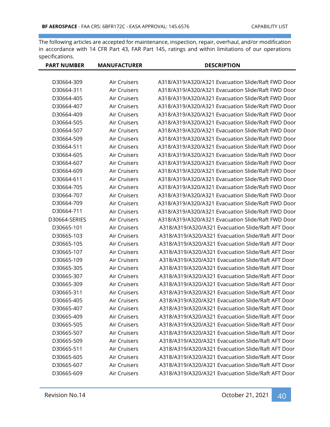| <b>MANUFACTURER</b> | <b>DESCRIPTION</b>                                 |
|---------------------|----------------------------------------------------|
|                     |                                                    |
| Air Cruisers        | A318/A319/A320/A321 Evacuation Slide/Raft FWD Door |
| Air Cruisers        | A318/A319/A320/A321 Evacuation Slide/Raft FWD Door |
| Air Cruisers        | A318/A319/A320/A321 Evacuation Slide/Raft FWD Door |
| Air Cruisers        | A318/A319/A320/A321 Evacuation Slide/Raft FWD Door |
| Air Cruisers        | A318/A319/A320/A321 Evacuation Slide/Raft FWD Door |
| Air Cruisers        | A318/A319/A320/A321 Evacuation Slide/Raft FWD Door |
| Air Cruisers        | A318/A319/A320/A321 Evacuation Slide/Raft FWD Door |
| Air Cruisers        | A318/A319/A320/A321 Evacuation Slide/Raft FWD Door |
| Air Cruisers        | A318/A319/A320/A321 Evacuation Slide/Raft FWD Door |
| Air Cruisers        | A318/A319/A320/A321 Evacuation Slide/Raft FWD Door |
| Air Cruisers        | A318/A319/A320/A321 Evacuation Slide/Raft FWD Door |
| Air Cruisers        | A318/A319/A320/A321 Evacuation Slide/Raft FWD Door |
| Air Cruisers        | A318/A319/A320/A321 Evacuation Slide/Raft FWD Door |
| Air Cruisers        | A318/A319/A320/A321 Evacuation Slide/Raft FWD Door |
| Air Cruisers        | A318/A319/A320/A321 Evacuation Slide/Raft FWD Door |
| Air Cruisers        | A318/A319/A320/A321 Evacuation Slide/Raft FWD Door |
| Air Cruisers        | A318/A319/A320/A321 Evacuation Slide/Raft FWD Door |
| Air Cruisers        | A318/A319/A320/A321 Evacuation Slide/Raft FWD Door |
| Air Cruisers        | A318/A319/A320/A321 Evacuation Slide/Raft AFT Door |
| Air Cruisers        | A318/A319/A320/A321 Evacuation Slide/Raft AFT Door |
| Air Cruisers        | A318/A319/A320/A321 Evacuation Slide/Raft AFT Door |
| Air Cruisers        | A318/A319/A320/A321 Evacuation Slide/Raft AFT Door |
| Air Cruisers        | A318/A319/A320/A321 Evacuation Slide/Raft AFT Door |
| Air Cruisers        | A318/A319/A320/A321 Evacuation Slide/Raft AFT Door |
| Air Cruisers        | A318/A319/A320/A321 Evacuation Slide/Raft AFT Door |
| Air Cruisers        | A318/A319/A320/A321 Evacuation Slide/Raft AFT Door |
| Air Cruisers        | A318/A319/A320/A321 Evacuation Slide/Raft AFT Door |
| Air Cruisers        | A318/A319/A320/A321 Evacuation Slide/Raft AFT Door |
| Air Cruisers        | A318/A319/A320/A321 Evacuation Slide/Raft AFT Door |
| Air Cruisers        | A318/A319/A320/A321 Evacuation Slide/Raft AFT Door |
| Air Cruisers        | A318/A319/A320/A321 Evacuation Slide/Raft AFT Door |
| Air Cruisers        | A318/A319/A320/A321 Evacuation Slide/Raft AFT Door |
| Air Cruisers        | A318/A319/A320/A321 Evacuation Slide/Raft AFT Door |
| Air Cruisers        | A318/A319/A320/A321 Evacuation Slide/Raft AFT Door |
| Air Cruisers        | A318/A319/A320/A321 Evacuation Slide/Raft AFT Door |
| Air Cruisers        | A318/A319/A320/A321 Evacuation Slide/Raft AFT Door |
| Air Cruisers        | A318/A319/A320/A321 Evacuation Slide/Raft AFT Door |
|                     |                                                    |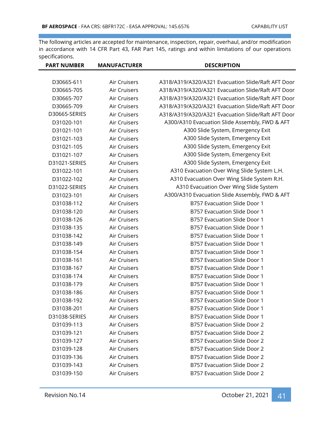| <b>PART NUMBER</b> | <b>MANUFACTURER</b> | <b>DESCRIPTION</b>                                 |
|--------------------|---------------------|----------------------------------------------------|
|                    |                     |                                                    |
| D30665-611         | Air Cruisers        | A318/A319/A320/A321 Evacuation Slide/Raft AFT Door |
| D30665-705         | Air Cruisers        | A318/A319/A320/A321 Evacuation Slide/Raft AFT Door |
| D30665-707         | Air Cruisers        | A318/A319/A320/A321 Evacuation Slide/Raft AFT Door |
| D30665-709         | Air Cruisers        | A318/A319/A320/A321 Evacuation Slide/Raft AFT Door |
| D30665-SERIES      | Air Cruisers        | A318/A319/A320/A321 Evacuation Slide/Raft AFT Door |
| D31020-101         | Air Cruisers        | A300/A310 Evacuation Slide Assembly, FWD & AFT     |
| D31021-101         | Air Cruisers        | A300 Slide System, Emergency Exit                  |
| D31021-103         | Air Cruisers        | A300 Slide System, Emergency Exit                  |
| D31021-105         | Air Cruisers        | A300 Slide System, Emergency Exit                  |
| D31021-107         | Air Cruisers        | A300 Slide System, Emergency Exit                  |
| D31021-SERIES      | Air Cruisers        | A300 Slide System, Emergency Exit                  |
| D31022-101         | Air Cruisers        | A310 Evacuation Over Wing Slide System L.H.        |
| D31022-102         | Air Cruisers        | A310 Evacuation Over Wing Slide System R.H.        |
| D31022-SERIES      | Air Cruisers        | A310 Evacuation Over Wing Slide System             |
| D31023-101         | Air Cruisers        | A300/A310 Evacuation Slide Assembly, FWD & AFT     |
| D31038-112         | Air Cruisers        | B757 Evacuation Slide Door 1                       |
| D31038-120         | Air Cruisers        | B757 Evacuation Slide Door 1                       |
| D31038-126         | Air Cruisers        | B757 Evacuation Slide Door 1                       |
| D31038-135         | Air Cruisers        | B757 Evacuation Slide Door 1                       |
| D31038-142         | Air Cruisers        | B757 Evacuation Slide Door 1                       |
| D31038-149         | Air Cruisers        | B757 Evacuation Slide Door 1                       |
| D31038-154         | Air Cruisers        | B757 Evacuation Slide Door 1                       |
| D31038-161         | Air Cruisers        | B757 Evacuation Slide Door 1                       |
| D31038-167         | Air Cruisers        | B757 Evacuation Slide Door 1                       |
| D31038-174         | Air Cruisers        | B757 Evacuation Slide Door 1                       |
| D31038-179         | Air Cruisers        | B757 Evacuation Slide Door 1                       |
| D31038-186         | Air Cruisers        | B757 Evacuation Slide Door 1                       |
| D31038-192         | Air Cruisers        | B757 Evacuation Slide Door 1                       |
| D31038-201         | Air Cruisers        | B757 Evacuation Slide Door 1                       |
| D31038-SERIES      | Air Cruisers        | B757 Evacuation Slide Door 1                       |
| D31039-113         | Air Cruisers        | B757 Evacuation Slide Door 2                       |
| D31039-121         | Air Cruisers        | B757 Evacuation Slide Door 2                       |
| D31039-127         | Air Cruisers        | B757 Evacuation Slide Door 2                       |
| D31039-128         | Air Cruisers        | B757 Evacuation Slide Door 2                       |
| D31039-136         | Air Cruisers        | B757 Evacuation Slide Door 2                       |
| D31039-143         | Air Cruisers        | B757 Evacuation Slide Door 2                       |
| D31039-150         | Air Cruisers        | B757 Evacuation Slide Door 2                       |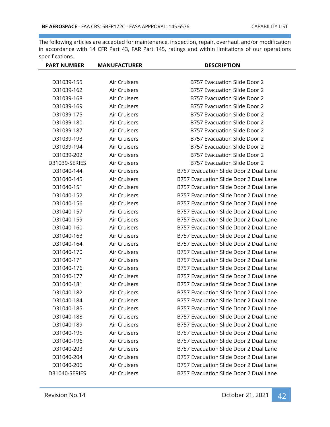| <b>PART NUMBER</b> | <b>MANUFACTURER</b> | <b>DESCRIPTION</b>                     |
|--------------------|---------------------|----------------------------------------|
|                    |                     |                                        |
| D31039-155         | Air Cruisers        | B757 Evacuation Slide Door 2           |
| D31039-162         | Air Cruisers        | B757 Evacuation Slide Door 2           |
| D31039-168         | Air Cruisers        | B757 Evacuation Slide Door 2           |
| D31039-169         | Air Cruisers        | B757 Evacuation Slide Door 2           |
| D31039-175         | Air Cruisers        | B757 Evacuation Slide Door 2           |
| D31039-180         | Air Cruisers        | B757 Evacuation Slide Door 2           |
| D31039-187         | Air Cruisers        | B757 Evacuation Slide Door 2           |
| D31039-193         | Air Cruisers        | B757 Evacuation Slide Door 2           |
| D31039-194         | Air Cruisers        | B757 Evacuation Slide Door 2           |
| D31039-202         | Air Cruisers        | B757 Evacuation Slide Door 2           |
| D31039-SERIES      | Air Cruisers        | B757 Evacuation Slide Door 2           |
| D31040-144         | Air Cruisers        | B757 Evacuation Slide Door 2 Dual Lane |
| D31040-145         | Air Cruisers        | B757 Evacuation Slide Door 2 Dual Lane |
| D31040-151         | Air Cruisers        | B757 Evacuation Slide Door 2 Dual Lane |
| D31040-152         | Air Cruisers        | B757 Evacuation Slide Door 2 Dual Lane |
| D31040-156         | Air Cruisers        | B757 Evacuation Slide Door 2 Dual Lane |
| D31040-157         | Air Cruisers        | B757 Evacuation Slide Door 2 Dual Lane |
| D31040-159         | Air Cruisers        | B757 Evacuation Slide Door 2 Dual Lane |
| D31040-160         | Air Cruisers        | B757 Evacuation Slide Door 2 Dual Lane |
| D31040-163         | Air Cruisers        | B757 Evacuation Slide Door 2 Dual Lane |
| D31040-164         | Air Cruisers        | B757 Evacuation Slide Door 2 Dual Lane |
| D31040-170         | Air Cruisers        | B757 Evacuation Slide Door 2 Dual Lane |
| D31040-171         | Air Cruisers        | B757 Evacuation Slide Door 2 Dual Lane |
| D31040-176         | Air Cruisers        | B757 Evacuation Slide Door 2 Dual Lane |
| D31040-177         | Air Cruisers        | B757 Evacuation Slide Door 2 Dual Lane |
| D31040-181         | Air Cruisers        | B757 Evacuation Slide Door 2 Dual Lane |
| D31040-182         | Air Cruisers        | B757 Evacuation Slide Door 2 Dual Lane |
| D31040-184         | Air Cruisers        | B757 Evacuation Slide Door 2 Dual Lane |
| D31040-185         | Air Cruisers        | B757 Evacuation Slide Door 2 Dual Lane |
| D31040-188         | Air Cruisers        | B757 Evacuation Slide Door 2 Dual Lane |
| D31040-189         | Air Cruisers        | B757 Evacuation Slide Door 2 Dual Lane |
| D31040-195         | Air Cruisers        | B757 Evacuation Slide Door 2 Dual Lane |
| D31040-196         | Air Cruisers        | B757 Evacuation Slide Door 2 Dual Lane |
| D31040-203         | Air Cruisers        | B757 Evacuation Slide Door 2 Dual Lane |
| D31040-204         | Air Cruisers        | B757 Evacuation Slide Door 2 Dual Lane |
| D31040-206         | Air Cruisers        | B757 Evacuation Slide Door 2 Dual Lane |
| D31040-SERIES      | Air Cruisers        | B757 Evacuation Slide Door 2 Dual Lane |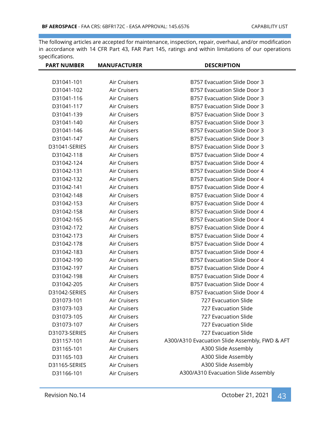| <b>PART NUMBER</b> | <b>MANUFACTURER</b> | <b>DESCRIPTION</b>                             |
|--------------------|---------------------|------------------------------------------------|
|                    |                     |                                                |
| D31041-101         | Air Cruisers        | B757 Evacuation Slide Door 3                   |
| D31041-102         | Air Cruisers        | B757 Evacuation Slide Door 3                   |
| D31041-116         | Air Cruisers        | <b>B757 Evacuation Slide Door 3</b>            |
| D31041-117         | Air Cruisers        | B757 Evacuation Slide Door 3                   |
| D31041-139         | Air Cruisers        | B757 Evacuation Slide Door 3                   |
| D31041-140         | Air Cruisers        | B757 Evacuation Slide Door 3                   |
| D31041-146         | Air Cruisers        | B757 Evacuation Slide Door 3                   |
| D31041-147         | Air Cruisers        | B757 Evacuation Slide Door 3                   |
| D31041-SERIES      | Air Cruisers        | B757 Evacuation Slide Door 3                   |
| D31042-118         | Air Cruisers        | B757 Evacuation Slide Door 4                   |
| D31042-124         | Air Cruisers        | B757 Evacuation Slide Door 4                   |
| D31042-131         | Air Cruisers        | B757 Evacuation Slide Door 4                   |
| D31042-132         | Air Cruisers        | B757 Evacuation Slide Door 4                   |
| D31042-141         | Air Cruisers        | B757 Evacuation Slide Door 4                   |
| D31042-148         | Air Cruisers        | B757 Evacuation Slide Door 4                   |
| D31042-153         | Air Cruisers        | B757 Evacuation Slide Door 4                   |
| D31042-158         | Air Cruisers        | B757 Evacuation Slide Door 4                   |
| D31042-165         | Air Cruisers        | B757 Evacuation Slide Door 4                   |
| D31042-172         | Air Cruisers        | B757 Evacuation Slide Door 4                   |
| D31042-173         | Air Cruisers        | B757 Evacuation Slide Door 4                   |
| D31042-178         | Air Cruisers        | B757 Evacuation Slide Door 4                   |
| D31042-183         | Air Cruisers        | B757 Evacuation Slide Door 4                   |
| D31042-190         | Air Cruisers        | B757 Evacuation Slide Door 4                   |
| D31042-197         | Air Cruisers        | B757 Evacuation Slide Door 4                   |
| D31042-198         | Air Cruisers        | B757 Evacuation Slide Door 4                   |
| D31042-205         | Air Cruisers        | B757 Evacuation Slide Door 4                   |
| D31042-SERIES      | Air Cruisers        | B757 Evacuation Slide Door 4                   |
| D31073-101         | Air Cruisers        | 727 Evacuation Slide                           |
| D31073-103         | Air Cruisers        | 727 Evacuation Slide                           |
| D31073-105         | Air Cruisers        | 727 Evacuation Slide                           |
| D31073-107         | Air Cruisers        | 727 Evacuation Slide                           |
| D31073-SERIES      | Air Cruisers        | 727 Evacuation Slide                           |
| D31157-101         | Air Cruisers        | A300/A310 Evacuation Slide Assembly, FWD & AFT |
| D31165-101         | Air Cruisers        | A300 Slide Assembly                            |
| D31165-103         | Air Cruisers        | A300 Slide Assembly                            |
| D31165-SERIES      | Air Cruisers        | A300 Slide Assembly                            |
| D31166-101         | Air Cruisers        | A300/A310 Evacuation Slide Assembly            |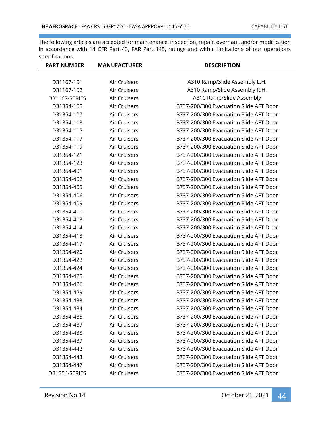| <b>PART NUMBER</b> | <b>MANUFACTURER</b> | <b>DESCRIPTION</b>                     |
|--------------------|---------------------|----------------------------------------|
|                    |                     |                                        |
| D31167-101         | Air Cruisers        | A310 Ramp/Slide Assembly L.H.          |
| D31167-102         | Air Cruisers        | A310 Ramp/Slide Assembly R.H.          |
| D31167-SERIES      | <b>Air Cruisers</b> | A310 Ramp/Slide Assembly               |
| D31354-105         | Air Cruisers        | B737-200/300 Evacuation Slide AFT Door |
| D31354-107         | Air Cruisers        | B737-200/300 Evacuation Slide AFT Door |
| D31354-113         | Air Cruisers        | B737-200/300 Evacuation Slide AFT Door |
| D31354-115         | Air Cruisers        | B737-200/300 Evacuation Slide AFT Door |
| D31354-117         | <b>Air Cruisers</b> | B737-200/300 Evacuation Slide AFT Door |
| D31354-119         | Air Cruisers        | B737-200/300 Evacuation Slide AFT Door |
| D31354-121         | Air Cruisers        | B737-200/300 Evacuation Slide AFT Door |
| D31354-123         | Air Cruisers        | B737-200/300 Evacuation Slide AFT Door |
| D31354-401         | Air Cruisers        | B737-200/300 Evacuation Slide AFT Door |
| D31354-402         | Air Cruisers        | B737-200/300 Evacuation Slide AFT Door |
| D31354-405         | Air Cruisers        | B737-200/300 Evacuation Slide AFT Door |
| D31354-406         | Air Cruisers        | B737-200/300 Evacuation Slide AFT Door |
| D31354-409         | Air Cruisers        | B737-200/300 Evacuation Slide AFT Door |
| D31354-410         | Air Cruisers        | B737-200/300 Evacuation Slide AFT Door |
| D31354-413         | Air Cruisers        | B737-200/300 Evacuation Slide AFT Door |
| D31354-414         | Air Cruisers        | B737-200/300 Evacuation Slide AFT Door |
| D31354-418         | Air Cruisers        | B737-200/300 Evacuation Slide AFT Door |
| D31354-419         | Air Cruisers        | B737-200/300 Evacuation Slide AFT Door |
| D31354-420         | Air Cruisers        | B737-200/300 Evacuation Slide AFT Door |
| D31354-422         | Air Cruisers        | B737-200/300 Evacuation Slide AFT Door |
| D31354-424         | Air Cruisers        | B737-200/300 Evacuation Slide AFT Door |
| D31354-425         | Air Cruisers        | B737-200/300 Evacuation Slide AFT Door |
| D31354-426         | Air Cruisers        | B737-200/300 Evacuation Slide AFT Door |
| D31354-429         | Air Cruisers        | B737-200/300 Evacuation Slide AFT Door |
| D31354-433         | Air Cruisers        | B737-200/300 Evacuation Slide AFT Door |
| D31354-434         | Air Cruisers        | B737-200/300 Evacuation Slide AFT Door |
| D31354-435         | Air Cruisers        | B737-200/300 Evacuation Slide AFT Door |
| D31354-437         | Air Cruisers        | B737-200/300 Evacuation Slide AFT Door |
| D31354-438         | Air Cruisers        | B737-200/300 Evacuation Slide AFT Door |
| D31354-439         | Air Cruisers        | B737-200/300 Evacuation Slide AFT Door |
| D31354-442         | Air Cruisers        | B737-200/300 Evacuation Slide AFT Door |
| D31354-443         | Air Cruisers        | B737-200/300 Evacuation Slide AFT Door |
| D31354-447         | Air Cruisers        | B737-200/300 Evacuation Slide AFT Door |
| D31354-SERIES      | Air Cruisers        | B737-200/300 Evacuation Slide AFT Door |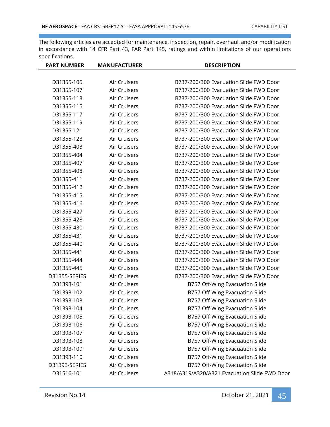| <b>PART NUMBER</b> | <b>MANUFACTURER</b> | <b>DESCRIPTION</b>                            |
|--------------------|---------------------|-----------------------------------------------|
|                    |                     |                                               |
| D31355-105         | Air Cruisers        | B737-200/300 Evacuation Slide FWD Door        |
| D31355-107         | <b>Air Cruisers</b> | B737-200/300 Evacuation Slide FWD Door        |
| D31355-113         | Air Cruisers        | B737-200/300 Evacuation Slide FWD Door        |
| D31355-115         | Air Cruisers        | B737-200/300 Evacuation Slide FWD Door        |
| D31355-117         | Air Cruisers        | B737-200/300 Evacuation Slide FWD Door        |
| D31355-119         | Air Cruisers        | B737-200/300 Evacuation Slide FWD Door        |
| D31355-121         | Air Cruisers        | B737-200/300 Evacuation Slide FWD Door        |
| D31355-123         | Air Cruisers        | B737-200/300 Evacuation Slide FWD Door        |
| D31355-403         | Air Cruisers        | B737-200/300 Evacuation Slide FWD Door        |
| D31355-404         | Air Cruisers        | B737-200/300 Evacuation Slide FWD Door        |
| D31355-407         | Air Cruisers        | B737-200/300 Evacuation Slide FWD Door        |
| D31355-408         | Air Cruisers        | B737-200/300 Evacuation Slide FWD Door        |
| D31355-411         | Air Cruisers        | B737-200/300 Evacuation Slide FWD Door        |
| D31355-412         | Air Cruisers        | B737-200/300 Evacuation Slide FWD Door        |
| D31355-415         | Air Cruisers        | B737-200/300 Evacuation Slide FWD Door        |
| D31355-416         | Air Cruisers        | B737-200/300 Evacuation Slide FWD Door        |
| D31355-427         | Air Cruisers        | B737-200/300 Evacuation Slide FWD Door        |
| D31355-428         | Air Cruisers        | B737-200/300 Evacuation Slide FWD Door        |
| D31355-430         | Air Cruisers        | B737-200/300 Evacuation Slide FWD Door        |
| D31355-431         | Air Cruisers        | B737-200/300 Evacuation Slide FWD Door        |
| D31355-440         | Air Cruisers        | B737-200/300 Evacuation Slide FWD Door        |
| D31355-441         | Air Cruisers        | B737-200/300 Evacuation Slide FWD Door        |
| D31355-444         | Air Cruisers        | B737-200/300 Evacuation Slide FWD Door        |
| D31355-445         | Air Cruisers        | B737-200/300 Evacuation Slide FWD Door        |
| D31355-SERIES      | Air Cruisers        | B737-200/300 Evacuation Slide FWD Door        |
| D31393-101         | Air Cruisers        | B757 Off-Wing Evacuation Slide                |
| D31393-102         | Air Cruisers        | B757 Off-Wing Evacuation Slide                |
| D31393-103         | Air Cruisers        | B757 Off-Wing Evacuation Slide                |
| D31393-104         | Air Cruisers        | B757 Off-Wing Evacuation Slide                |
| D31393-105         | Air Cruisers        | B757 Off-Wing Evacuation Slide                |
| D31393-106         | Air Cruisers        | B757 Off-Wing Evacuation Slide                |
| D31393-107         | Air Cruisers        | B757 Off-Wing Evacuation Slide                |
| D31393-108         | Air Cruisers        | B757 Off-Wing Evacuation Slide                |
| D31393-109         | Air Cruisers        | B757 Off-Wing Evacuation Slide                |
| D31393-110         | Air Cruisers        | B757 Off-Wing Evacuation Slide                |
| D31393-SERIES      | Air Cruisers        | B757 Off-Wing Evacuation Slide                |
| D31516-101         | Air Cruisers        | A318/A319/A320/A321 Evacuation Slide FWD Door |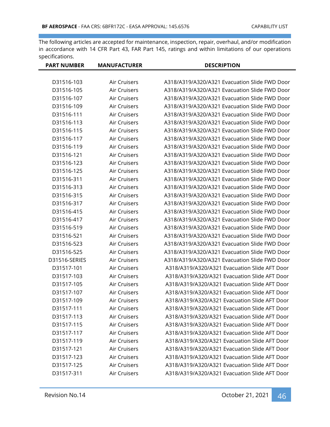| <b>PART NUMBER</b> | <b>MANUFACTURER</b> | <b>DESCRIPTION</b>                            |
|--------------------|---------------------|-----------------------------------------------|
|                    |                     |                                               |
| D31516-103         | Air Cruisers        | A318/A319/A320/A321 Evacuation Slide FWD Door |
| D31516-105         | Air Cruisers        | A318/A319/A320/A321 Evacuation Slide FWD Door |
| D31516-107         | Air Cruisers        | A318/A319/A320/A321 Evacuation Slide FWD Door |
| D31516-109         | Air Cruisers        | A318/A319/A320/A321 Evacuation Slide FWD Door |
| D31516-111         | Air Cruisers        | A318/A319/A320/A321 Evacuation Slide FWD Door |
| D31516-113         | Air Cruisers        | A318/A319/A320/A321 Evacuation Slide FWD Door |
| D31516-115         | Air Cruisers        | A318/A319/A320/A321 Evacuation Slide FWD Door |
| D31516-117         | Air Cruisers        | A318/A319/A320/A321 Evacuation Slide FWD Door |
| D31516-119         | Air Cruisers        | A318/A319/A320/A321 Evacuation Slide FWD Door |
| D31516-121         | Air Cruisers        | A318/A319/A320/A321 Evacuation Slide FWD Door |
| D31516-123         | Air Cruisers        | A318/A319/A320/A321 Evacuation Slide FWD Door |
| D31516-125         | Air Cruisers        | A318/A319/A320/A321 Evacuation Slide FWD Door |
| D31516-311         | Air Cruisers        | A318/A319/A320/A321 Evacuation Slide FWD Door |
| D31516-313         | Air Cruisers        | A318/A319/A320/A321 Evacuation Slide FWD Door |
| D31516-315         | Air Cruisers        | A318/A319/A320/A321 Evacuation Slide FWD Door |
| D31516-317         | Air Cruisers        | A318/A319/A320/A321 Evacuation Slide FWD Door |
| D31516-415         | Air Cruisers        | A318/A319/A320/A321 Evacuation Slide FWD Door |
| D31516-417         | Air Cruisers        | A318/A319/A320/A321 Evacuation Slide FWD Door |
| D31516-519         | Air Cruisers        | A318/A319/A320/A321 Evacuation Slide FWD Door |
| D31516-521         | Air Cruisers        | A318/A319/A320/A321 Evacuation Slide FWD Door |
| D31516-523         | Air Cruisers        | A318/A319/A320/A321 Evacuation Slide FWD Door |
| D31516-525         | Air Cruisers        | A318/A319/A320/A321 Evacuation Slide FWD Door |
| D31516-SERIES      | Air Cruisers        | A318/A319/A320/A321 Evacuation Slide FWD Door |
| D31517-101         | Air Cruisers        | A318/A319/A320/A321 Evacuation Slide AFT Door |
| D31517-103         | Air Cruisers        | A318/A319/A320/A321 Evacuation Slide AFT Door |
| D31517-105         | Air Cruisers        | A318/A319/A320/A321 Evacuation Slide AFT Door |
| D31517-107         | Air Cruisers        | A318/A319/A320/A321 Evacuation Slide AFT Door |
| D31517-109         | Air Cruisers        | A318/A319/A320/A321 Evacuation Slide AFT Door |
| D31517-111         | Air Cruisers        | A318/A319/A320/A321 Evacuation Slide AFT Door |
| D31517-113         | Air Cruisers        | A318/A319/A320/A321 Evacuation Slide AFT Door |
| D31517-115         | Air Cruisers        | A318/A319/A320/A321 Evacuation Slide AFT Door |
| D31517-117         | Air Cruisers        | A318/A319/A320/A321 Evacuation Slide AFT Door |
| D31517-119         | Air Cruisers        | A318/A319/A320/A321 Evacuation Slide AFT Door |
| D31517-121         | Air Cruisers        | A318/A319/A320/A321 Evacuation Slide AFT Door |
| D31517-123         | Air Cruisers        | A318/A319/A320/A321 Evacuation Slide AFT Door |
| D31517-125         | Air Cruisers        | A318/A319/A320/A321 Evacuation Slide AFT Door |
| D31517-311         | Air Cruisers        | A318/A319/A320/A321 Evacuation Slide AFT Door |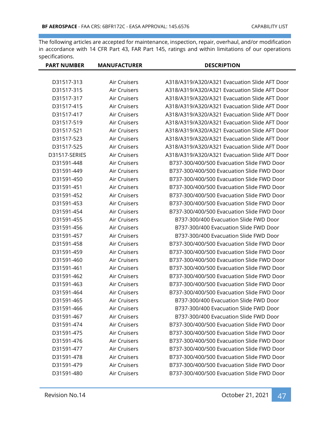| <b>MANUFACTURER</b> | <b>DESCRIPTION</b>                            |
|---------------------|-----------------------------------------------|
|                     |                                               |
| Air Cruisers        | A318/A319/A320/A321 Evacuation Slide AFT Door |
| Air Cruisers        | A318/A319/A320/A321 Evacuation Slide AFT Door |
| Air Cruisers        | A318/A319/A320/A321 Evacuation Slide AFT Door |
| Air Cruisers        | A318/A319/A320/A321 Evacuation Slide AFT Door |
| Air Cruisers        | A318/A319/A320/A321 Evacuation Slide AFT Door |
| Air Cruisers        | A318/A319/A320/A321 Evacuation Slide AFT Door |
| Air Cruisers        | A318/A319/A320/A321 Evacuation Slide AFT Door |
| Air Cruisers        | A318/A319/A320/A321 Evacuation Slide AFT Door |
| Air Cruisers        | A318/A319/A320/A321 Evacuation Slide AFT Door |
| Air Cruisers        | A318/A319/A320/A321 Evacuation Slide AFT Door |
| Air Cruisers        | B737-300/400/500 Evacuation Slide FWD Door    |
| Air Cruisers        | B737-300/400/500 Evacuation Slide FWD Door    |
| Air Cruisers        | B737-300/400/500 Evacuation Slide FWD Door    |
| Air Cruisers        | B737-300/400/500 Evacuation Slide FWD Door    |
| Air Cruisers        | B737-300/400/500 Evacuation Slide FWD Door    |
| Air Cruisers        | B737-300/400/500 Evacuation Slide FWD Door    |
| Air Cruisers        | B737-300/400/500 Evacuation Slide FWD Door    |
| Air Cruisers        | B737-300/400 Evacuation Slide FWD Door        |
| Air Cruisers        | B737-300/400 Evacuation Slide FWD Door        |
| Air Cruisers        | B737-300/400 Evacuation Slide FWD Door        |
| Air Cruisers        | B737-300/400/500 Evacuation Slide FWD Door    |
| Air Cruisers        | B737-300/400/500 Evacuation Slide FWD Door    |
| Air Cruisers        | B737-300/400/500 Evacuation Slide FWD Door    |
| Air Cruisers        | B737-300/400/500 Evacuation Slide FWD Door    |
| Air Cruisers        | B737-300/400/500 Evacuation Slide FWD Door    |
| Air Cruisers        | B737-300/400/500 Evacuation Slide FWD Door    |
| Air Cruisers        | B737-300/400/500 Evacuation Slide FWD Door    |
| Air Cruisers        | B737-300/400 Evacuation Slide FWD Door        |
| Air Cruisers        | B737-300/400 Evacuation Slide FWD Door        |
| Air Cruisers        | B737-300/400 Evacuation Slide FWD Door        |
| Air Cruisers        | B737-300/400/500 Evacuation Slide FWD Door    |
| Air Cruisers        | B737-300/400/500 Evacuation Slide FWD Door    |
| Air Cruisers        | B737-300/400/500 Evacuation Slide FWD Door    |
| Air Cruisers        | B737-300/400/500 Evacuation Slide FWD Door    |
| Air Cruisers        | B737-300/400/500 Evacuation Slide FWD Door    |
| Air Cruisers        | B737-300/400/500 Evacuation Slide FWD Door    |
| Air Cruisers        | B737-300/400/500 Evacuation Slide FWD Door    |
|                     |                                               |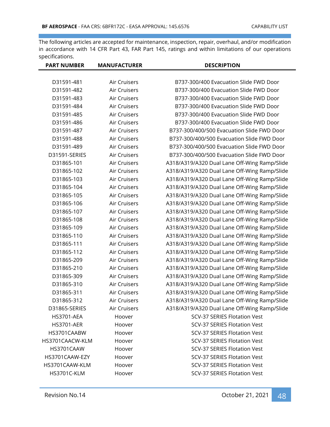| <b>PART NUMBER</b> | <b>MANUFACTURER</b> | <b>DESCRIPTION</b>                           |
|--------------------|---------------------|----------------------------------------------|
|                    |                     |                                              |
| D31591-481         | Air Cruisers        | B737-300/400 Evacuation Slide FWD Door       |
| D31591-482         | Air Cruisers        | B737-300/400 Evacuation Slide FWD Door       |
| D31591-483         | Air Cruisers        | B737-300/400 Evacuation Slide FWD Door       |
| D31591-484         | Air Cruisers        | B737-300/400 Evacuation Slide FWD Door       |
| D31591-485         | Air Cruisers        | B737-300/400 Evacuation Slide FWD Door       |
| D31591-486         | Air Cruisers        | B737-300/400 Evacuation Slide FWD Door       |
| D31591-487         | Air Cruisers        | B737-300/400/500 Evacuation Slide FWD Door   |
| D31591-488         | <b>Air Cruisers</b> | B737-300/400/500 Evacuation Slide FWD Door   |
| D31591-489         | Air Cruisers        | B737-300/400/500 Evacuation Slide FWD Door   |
| D31591-SERIES      | Air Cruisers        | B737-300/400/500 Evacuation Slide FWD Door   |
| D31865-101         | Air Cruisers        | A318/A319/A320 Dual Lane Off-Wing Ramp/Slide |
| D31865-102         | Air Cruisers        | A318/A319/A320 Dual Lane Off-Wing Ramp/Slide |
| D31865-103         | Air Cruisers        | A318/A319/A320 Dual Lane Off-Wing Ramp/Slide |
| D31865-104         | Air Cruisers        | A318/A319/A320 Dual Lane Off-Wing Ramp/Slide |
| D31865-105         | <b>Air Cruisers</b> | A318/A319/A320 Dual Lane Off-Wing Ramp/Slide |
| D31865-106         | Air Cruisers        | A318/A319/A320 Dual Lane Off-Wing Ramp/Slide |
| D31865-107         | Air Cruisers        | A318/A319/A320 Dual Lane Off-Wing Ramp/Slide |
| D31865-108         | Air Cruisers        | A318/A319/A320 Dual Lane Off-Wing Ramp/Slide |
| D31865-109         | Air Cruisers        | A318/A319/A320 Dual Lane Off-Wing Ramp/Slide |
| D31865-110         | Air Cruisers        | A318/A319/A320 Dual Lane Off-Wing Ramp/Slide |
| D31865-111         | Air Cruisers        | A318/A319/A320 Dual Lane Off-Wing Ramp/Slide |
| D31865-112         | Air Cruisers        | A318/A319/A320 Dual Lane Off-Wing Ramp/Slide |
| D31865-209         | Air Cruisers        | A318/A319/A320 Dual Lane Off-Wing Ramp/Slide |
| D31865-210         | Air Cruisers        | A318/A319/A320 Dual Lane Off-Wing Ramp/Slide |
| D31865-309         | Air Cruisers        | A318/A319/A320 Dual Lane Off-Wing Ramp/Slide |
| D31865-310         | Air Cruisers        | A318/A319/A320 Dual Lane Off-Wing Ramp/Slide |
| D31865-311         | Air Cruisers        | A318/A319/A320 Dual Lane Off-Wing Ramp/Slide |
| D31865-312         | Air Cruisers        | A318/A319/A320 Dual Lane Off-Wing Ramp/Slide |
| D31865-SERIES      | Air Cruisers        | A318/A319/A320 Dual Lane Off-Wing Ramp/Slide |
| <b>HS3701-AEA</b>  | Hoover              | <b>SCV-37 SERIES Flotation Vest</b>          |
| <b>HS3701-AER</b>  | Hoover              | <b>SCV-37 SERIES Flotation Vest</b>          |
| HS3701CAABW        | Hoover              | <b>SCV-37 SERIES Flotation Vest</b>          |
| HS3701CAACW-KLM    | Hoover              | <b>SCV-37 SERIES Flotation Vest</b>          |
| HS3701CAAW         | Hoover              | <b>SCV-37 SERIES Flotation Vest</b>          |
| HS3701CAAW-EZY     | Hoover              | <b>SCV-37 SERIES Flotation Vest</b>          |
| HS3701CAAW-KLM     | Hoover              | <b>SCV-37 SERIES Flotation Vest</b>          |
| HS3701C-KLM        | Hoover              | <b>SCV-37 SERIES Flotation Vest</b>          |
|                    |                     |                                              |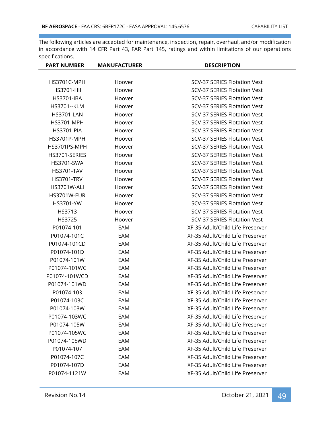| <b>PART NUMBER</b> | <b>MANUFACTURER</b> | <b>DESCRIPTION</b>                  |
|--------------------|---------------------|-------------------------------------|
|                    |                     |                                     |
| HS3701C-MPH        | Hoover              | <b>SCV-37 SERIES Flotation Vest</b> |
| <b>HS3701-HII</b>  | Hoover              | <b>SCV-37 SERIES Flotation Vest</b> |
| <b>HS3701-IBA</b>  | Hoover              | <b>SCV-37 SERIES Flotation Vest</b> |
| <b>HS3701--KLM</b> | Hoover              | <b>SCV-37 SERIES Flotation Vest</b> |
| <b>HS3701-LAN</b>  | Hoover              | SCV-37 SERIES Flotation Vest        |
| <b>HS3701-MPH</b>  | Hoover              | <b>SCV-37 SERIES Flotation Vest</b> |
| <b>HS3701-PIA</b>  | Hoover              | SCV-37 SERIES Flotation Vest        |
| HS3701P-MPH        | Hoover              | <b>SCV-37 SERIES Flotation Vest</b> |
| HS3701PS-MPH       | Hoover              | SCV-37 SERIES Flotation Vest        |
| HS3701-SERIES      | Hoover              | <b>SCV-37 SERIES Flotation Vest</b> |
| <b>HS3701-SWA</b>  | Hoover              | SCV-37 SERIES Flotation Vest        |
| <b>HS3701-TAV</b>  | Hoover              | <b>SCV-37 SERIES Flotation Vest</b> |
| <b>HS3701-TRV</b>  | Hoover              | <b>SCV-37 SERIES Flotation Vest</b> |
| HS3701W-ALI        | Hoover              | <b>SCV-37 SERIES Flotation Vest</b> |
| HS3701W-EUR        | Hoover              | <b>SCV-37 SERIES Flotation Vest</b> |
| HS3701-YW          | Hoover              | <b>SCV-37 SERIES Flotation Vest</b> |
| HS3713             | Hoover              | <b>SCV-37 SERIES Flotation Vest</b> |
| HS3725             | Hoover              | <b>SCV-37 SERIES Flotation Vest</b> |
| P01074-101         | EAM                 | XF-35 Adult/Child Life Preserver    |
| P01074-101C        | EAM                 | XF-35 Adult/Child Life Preserver    |
| P01074-101CD       | EAM                 | XF-35 Adult/Child Life Preserver    |
| P01074-101D        | EAM                 | XF-35 Adult/Child Life Preserver    |
| P01074-101W        | EAM                 | XF-35 Adult/Child Life Preserver    |
| P01074-101WC       | EAM                 | XF-35 Adult/Child Life Preserver    |
| P01074-101WCD      | EAM                 | XF-35 Adult/Child Life Preserver    |
| P01074-101WD       | EAM                 | XF-35 Adult/Child Life Preserver    |
| P01074-103         | EAM                 | XF-35 Adult/Child Life Preserver    |
| P01074-103C        | EAM                 | XF-35 Adult/Child Life Preserver    |
| P01074-103W        | EAM                 | XF-35 Adult/Child Life Preserver    |
| P01074-103WC       | EAM                 | XF-35 Adult/Child Life Preserver    |
| P01074-105W        | EAM                 | XF-35 Adult/Child Life Preserver    |
| P01074-105WC       | EAM                 | XF-35 Adult/Child Life Preserver    |
| P01074-105WD       | EAM                 | XF-35 Adult/Child Life Preserver    |
| P01074-107         | EAM                 | XF-35 Adult/Child Life Preserver    |
| P01074-107C        | EAM                 | XF-35 Adult/Child Life Preserver    |
| P01074-107D        | EAM                 | XF-35 Adult/Child Life Preserver    |
| P01074-1121W       | EAM                 | XF-35 Adult/Child Life Preserver    |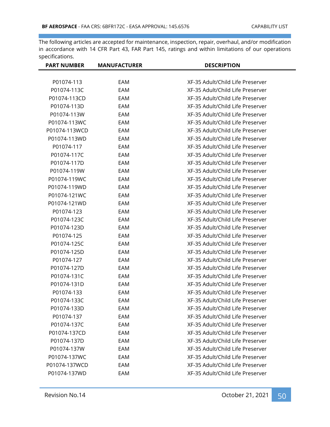| <b>PART NUMBER</b> | <b>MANUFACTURER</b> | <b>DESCRIPTION</b>               |
|--------------------|---------------------|----------------------------------|
|                    |                     |                                  |
| P01074-113         | EAM                 | XF-35 Adult/Child Life Preserver |
| P01074-113C        | EAM                 | XF-35 Adult/Child Life Preserver |
| P01074-113CD       | EAM                 | XF-35 Adult/Child Life Preserver |
| P01074-113D        | EAM                 | XF-35 Adult/Child Life Preserver |
| P01074-113W        | EAM                 | XF-35 Adult/Child Life Preserver |
| P01074-113WC       | EAM                 | XF-35 Adult/Child Life Preserver |
| P01074-113WCD      | EAM                 | XF-35 Adult/Child Life Preserver |
| P01074-113WD       | EAM                 | XF-35 Adult/Child Life Preserver |
| P01074-117         | EAM                 | XF-35 Adult/Child Life Preserver |
| P01074-117C        | EAM                 | XF-35 Adult/Child Life Preserver |
| P01074-117D        | EAM                 | XF-35 Adult/Child Life Preserver |
| P01074-119W        | EAM                 | XF-35 Adult/Child Life Preserver |
| P01074-119WC       | EAM                 | XF-35 Adult/Child Life Preserver |
| P01074-119WD       | EAM                 | XF-35 Adult/Child Life Preserver |
| P01074-121WC       | EAM                 | XF-35 Adult/Child Life Preserver |
| P01074-121WD       | EAM                 | XF-35 Adult/Child Life Preserver |
| P01074-123         | EAM                 | XF-35 Adult/Child Life Preserver |
| P01074-123C        | EAM                 | XF-35 Adult/Child Life Preserver |
| P01074-123D        | EAM                 | XF-35 Adult/Child Life Preserver |
| P01074-125         | EAM                 | XF-35 Adult/Child Life Preserver |
| P01074-125C        | EAM                 | XF-35 Adult/Child Life Preserver |
| P01074-125D        | EAM                 | XF-35 Adult/Child Life Preserver |
| P01074-127         | EAM                 | XF-35 Adult/Child Life Preserver |
| P01074-127D        | EAM                 | XF-35 Adult/Child Life Preserver |
| P01074-131C        | EAM                 | XF-35 Adult/Child Life Preserver |
| P01074-131D        | EAM                 | XF-35 Adult/Child Life Preserver |
| P01074-133         | EAM                 | XF-35 Adult/Child Life Preserver |
| P01074-133C        | EAM                 | XF-35 Adult/Child Life Preserver |
| P01074-133D        | EAM                 | XF-35 Adult/Child Life Preserver |
| P01074-137         | EAM                 | XF-35 Adult/Child Life Preserver |
| P01074-137C        | EAM                 | XF-35 Adult/Child Life Preserver |
| P01074-137CD       | EAM                 | XF-35 Adult/Child Life Preserver |
| P01074-137D        | EAM                 | XF-35 Adult/Child Life Preserver |
| P01074-137W        | EAM                 | XF-35 Adult/Child Life Preserver |
| P01074-137WC       | EAM                 | XF-35 Adult/Child Life Preserver |
| P01074-137WCD      | EAM                 | XF-35 Adult/Child Life Preserver |
| P01074-137WD       | EAM                 | XF-35 Adult/Child Life Preserver |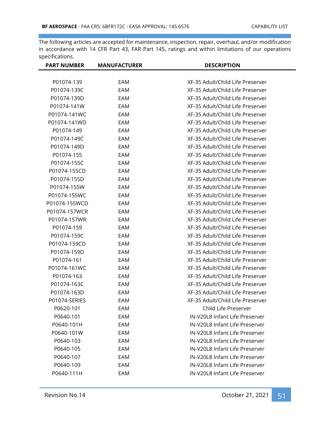| <b>PART NUMBER</b> | <b>MANUFACTURER</b> | <b>DESCRIPTION</b>               |
|--------------------|---------------------|----------------------------------|
|                    |                     |                                  |
| P01074-139         | EAM                 | XF-35 Adult/Child Life Preserver |
| P01074-139C        | EAM                 | XF-35 Adult/Child Life Preserver |
| P01074-139D        | EAM                 | XF-35 Adult/Child Life Preserver |
| P01074-141W        | EAM                 | XF-35 Adult/Child Life Preserver |
| P01074-141WC       | EAM                 | XF-35 Adult/Child Life Preserver |
| P01074-141WD       | EAM                 | XF-35 Adult/Child Life Preserver |
| P01074-149         | EAM                 | XF-35 Adult/Child Life Preserver |
| P01074-149C        | EAM                 | XF-35 Adult/Child Life Preserver |
| P01074-149D        | EAM                 | XF-35 Adult/Child Life Preserver |
| P01074-155         | EAM                 | XF-35 Adult/Child Life Preserver |
| P01074-155C        | EAM                 | XF-35 Adult/Child Life Preserver |
| P01074-155CD       | EAM                 | XF-35 Adult/Child Life Preserver |
| P01074-155D        | EAM                 | XF-35 Adult/Child Life Preserver |
| P01074-155W        | EAM                 | XF-35 Adult/Child Life Preserver |
| P01074-155WC       | EAM                 | XF-35 Adult/Child Life Preserver |
| P01074-155WCD      | EAM                 | XF-35 Adult/Child Life Preserver |
| P01074-157WCR      | EAM                 | XF-35 Adult/Child Life Preserver |
| P01074-157WR       | EAM                 | XF-35 Adult/Child Life Preserver |
| P01074-159         | EAM                 | XF-35 Adult/Child Life Preserver |
| P01074-159C        | EAM                 | XF-35 Adult/Child Life Preserver |
| P01074-159CD       | EAM                 | XF-35 Adult/Child Life Preserver |
| P01074-159D        | EAM                 | XF-35 Adult/Child Life Preserver |
| P01074-161         | EAM                 | XF-35 Adult/Child Life Preserver |
| P01074-161WC       | EAM                 | XF-35 Adult/Child Life Preserver |
| P01074-163         | EAM                 | XF-35 Adult/Child Life Preserver |
| P01074-163C        | EAM                 | XF-35 Adult/Child Life Preserver |
| P01074-163D        | EAM                 | XF-35 Adult/Child Life Preserver |
| P01074-SERIES      | EAM                 | XF-35 Adult/Child Life Preserver |
| P0620-101          | EAM                 | Child Life Preserver             |
| P0640-101          | EAM                 | IN-V20L8 Infant Life Preserver   |
| P0640-101H         | EAM                 | IN-V20L8 Infant Life Preserver   |
| P0640-101W         | EAM                 | IN-V20L8 Infant Life Preserver   |
| P0640-103          | EAM                 | IN-V20L8 Infant Life Preserver   |
| P0640-105          | EAM                 | IN-V20L8 Infant Life Preserver   |
| P0640-107          | EAM                 | IN-V20L8 Infant Life Preserver   |
| P0640-109          | EAM                 | IN-V20L8 Infant Life Preserver   |
| P0640-111H         | EAM                 | IN-V20L8 Infant Life Preserver   |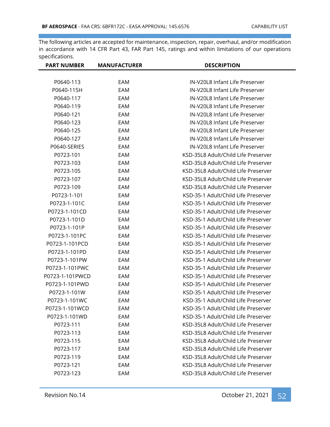| <b>PART NUMBER</b> | <b>MANUFACTURER</b> | <b>DESCRIPTION</b>                  |
|--------------------|---------------------|-------------------------------------|
| P0640-113          | EAM                 | IN-V20L8 Infant Life Preserver      |
| P0640-115H         | EAM                 | IN-V20L8 Infant Life Preserver      |
| P0640-117          | EAM                 | IN-V20L8 Infant Life Preserver      |
| P0640-119          | EAM                 | IN-V20L8 Infant Life Preserver      |
| P0640-121          | EAM                 | IN-V20L8 Infant Life Preserver      |
| P0640-123          | EAM                 | IN-V20L8 Infant Life Preserver      |
| P0640-125          | EAM                 | IN-V20L8 Infant Life Preserver      |
| P0640-127          | EAM                 | IN-V20L8 Infant Life Preserver      |
| P0640-SERIES       | EAM                 | IN-V20L8 Infant Life Preserver      |
| P0723-101          | EAM                 | KSD-35L8 Adult/Child Life Preserver |
| P0723-103          | EAM                 | KSD-35L8 Adult/Child Life Preserver |
| P0723-105          | EAM                 | KSD-35L8 Adult/Child Life Preserver |
| P0723-107          | EAM                 | KSD-35L8 Adult/Child Life Preserver |
| P0723-109          | EAM                 | KSD-35L8 Adult/Child Life Preserver |
| P0723-1-101        | EAM                 | KSD-35-1 Adult/Child Life Preserver |
| P0723-1-101C       | EAM                 | KSD-35-1 Adult/Child Life Preserver |
| P0723-1-101CD      | EAM                 | KSD-35-1 Adult/Child Life Preserver |
| P0723-1-101D       | EAM                 | KSD-35-1 Adult/Child Life Preserver |
| P0723-1-101P       | EAM                 | KSD-35-1 Adult/Child Life Preserver |
| P0723-1-101PC      | EAM                 | KSD-35-1 Adult/Child Life Preserver |
| P0723-1-101PCD     | EAM                 | KSD-35-1 Adult/Child Life Preserver |
| P0723-1-101PD      | EAM                 | KSD-35-1 Adult/Child Life Preserver |
| P0723-1-101PW      | EAM                 | KSD-35-1 Adult/Child Life Preserver |
| P0723-1-101PWC     | EAM                 | KSD-35-1 Adult/Child Life Preserver |
| P0723-1-101PWCD    | EAM                 | KSD-35-1 Adult/Child Life Preserver |
| P0723-1-101PWD     | EAM                 | KSD-35-1 Adult/Child Life Preserver |
| P0723-1-101W       | EAM                 | KSD-35-1 Adult/Child Life Preserver |
| P0723-1-101WC      | EAM                 | KSD-35-1 Adult/Child Life Preserver |
| P0723-1-101WCD     | EAM                 | KSD-35-1 Adult/Child Life Preserver |
| P0723-1-101WD      | EAM                 | KSD-35-1 Adult/Child Life Preserver |
| P0723-111          | EAM                 | KSD-35L8 Adult/Child Life Preserver |
| P0723-113          | EAM                 | KSD-35L8 Adult/Child Life Preserver |
| P0723-115          | EAM                 | KSD-35L8 Adult/Child Life Preserver |
| P0723-117          | EAM                 | KSD-35L8 Adult/Child Life Preserver |
| P0723-119          | EAM                 | KSD-35L8 Adult/Child Life Preserver |
| P0723-121          | EAM                 | KSD-35L8 Adult/Child Life Preserver |
| P0723-123          | EAM                 | KSD-35L8 Adult/Child Life Preserver |
|                    |                     |                                     |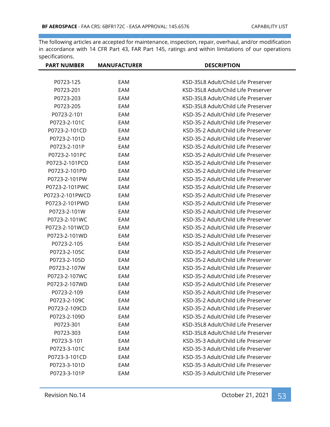| <b>PART NUMBER</b> | <b>MANUFACTURER</b> | <b>DESCRIPTION</b>                  |
|--------------------|---------------------|-------------------------------------|
|                    |                     |                                     |
| P0723-125          | EAM                 | KSD-35L8 Adult/Child Life Preserver |
| P0723-201          | EAM                 | KSD-35L8 Adult/Child Life Preserver |
| P0723-203          | EAM                 | KSD-35L8 Adult/Child Life Preserver |
| P0723-205          | EAM                 | KSD-35L8 Adult/Child Life Preserver |
| P0723-2-101        | EAM                 | KSD-35-2 Adult/Child Life Preserver |
| P0723-2-101C       | EAM                 | KSD-35-2 Adult/Child Life Preserver |
| P0723-2-101CD      | EAM                 | KSD-35-2 Adult/Child Life Preserver |
| P0723-2-101D       | EAM                 | KSD-35-2 Adult/Child Life Preserver |
| P0723-2-101P       | EAM                 | KSD-35-2 Adult/Child Life Preserver |
| P0723-2-101PC      | EAM                 | KSD-35-2 Adult/Child Life Preserver |
| P0723-2-101PCD     | EAM                 | KSD-35-2 Adult/Child Life Preserver |
| P0723-2-101PD      | EAM                 | KSD-35-2 Adult/Child Life Preserver |
| P0723-2-101PW      | EAM                 | KSD-35-2 Adult/Child Life Preserver |
| P0723-2-101PWC     | EAM                 | KSD-35-2 Adult/Child Life Preserver |
| P0723-2-101PWCD    | EAM                 | KSD-35-2 Adult/Child Life Preserver |
| P0723-2-101PWD     | EAM                 | KSD-35-2 Adult/Child Life Preserver |
| P0723-2-101W       | EAM                 | KSD-35-2 Adult/Child Life Preserver |
| P0723-2-101WC      | EAM                 | KSD-35-2 Adult/Child Life Preserver |
| P0723-2-101WCD     | EAM                 | KSD-35-2 Adult/Child Life Preserver |
| P0723-2-101WD      | EAM                 | KSD-35-2 Adult/Child Life Preserver |
| P0723-2-105        | EAM                 | KSD-35-2 Adult/Child Life Preserver |
| P0723-2-105C       | EAM                 | KSD-35-2 Adult/Child Life Preserver |
| P0723-2-105D       | EAM                 | KSD-35-2 Adult/Child Life Preserver |
| P0723-2-107W       | EAM                 | KSD-35-2 Adult/Child Life Preserver |
| P0723-2-107WC      | EAM                 | KSD-35-2 Adult/Child Life Preserver |
| P0723-2-107WD      | EAM                 | KSD-35-2 Adult/Child Life Preserver |
| P0723-2-109        | EAM                 | KSD-35-2 Adult/Child Life Preserver |
| P0723-2-109C       | EAM                 | KSD-35-2 Adult/Child Life Preserver |
| P0723-2-109CD      | EAM                 | KSD-35-2 Adult/Child Life Preserver |
| P0723-2-109D       | EAM                 | KSD-35-2 Adult/Child Life Preserver |
| P0723-301          | EAM                 | KSD-35L8 Adult/Child Life Preserver |
| P0723-303          | EAM                 | KSD-35L8 Adult/Child Life Preserver |
| P0723-3-101        | EAM                 | KSD-35-3 Adult/Child Life Preserver |
| P0723-3-101C       | EAM                 | KSD-35-3 Adult/Child Life Preserver |
| P0723-3-101CD      | EAM                 | KSD-35-3 Adult/Child Life Preserver |
| P0723-3-101D       | EAM                 | KSD-35-3 Adult/Child Life Preserver |
| P0723-3-101P       | EAM                 | KSD-35-3 Adult/Child Life Preserver |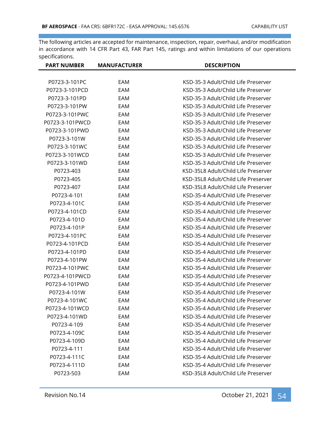| <b>PART NUMBER</b> | <b>MANUFACTURER</b> | <b>DESCRIPTION</b>                  |
|--------------------|---------------------|-------------------------------------|
|                    |                     |                                     |
| P0723-3-101PC      | EAM                 | KSD-35-3 Adult/Child Life Preserver |
| P0723-3-101PCD     | EAM                 | KSD-35-3 Adult/Child Life Preserver |
| P0723-3-101PD      | EAM                 | KSD-35-3 Adult/Child Life Preserver |
| P0723-3-101PW      | EAM                 | KSD-35-3 Adult/Child Life Preserver |
| P0723-3-101PWC     | EAM                 | KSD-35-3 Adult/Child Life Preserver |
| P0723-3-101PWCD    | EAM                 | KSD-35-3 Adult/Child Life Preserver |
| P0723-3-101PWD     | EAM                 | KSD-35-3 Adult/Child Life Preserver |
| P0723-3-101W       | EAM                 | KSD-35-3 Adult/Child Life Preserver |
| P0723-3-101WC      | EAM                 | KSD-35-3 Adult/Child Life Preserver |
| P0723-3-101WCD     | EAM                 | KSD-35-3 Adult/Child Life Preserver |
| P0723-3-101WD      | EAM                 | KSD-35-3 Adult/Child Life Preserver |
| P0723-403          | EAM                 | KSD-35L8 Adult/Child Life Preserver |
| P0723-405          | EAM                 | KSD-35L8 Adult/Child Life Preserver |
| P0723-407          | EAM                 | KSD-35L8 Adult/Child Life Preserver |
| P0723-4-101        | EAM                 | KSD-35-4 Adult/Child Life Preserver |
| P0723-4-101C       | EAM                 | KSD-35-4 Adult/Child Life Preserver |
| P0723-4-101CD      | EAM                 | KSD-35-4 Adult/Child Life Preserver |
| P0723-4-101D       | EAM                 | KSD-35-4 Adult/Child Life Preserver |
| P0723-4-101P       | EAM                 | KSD-35-4 Adult/Child Life Preserver |
| P0723-4-101PC      | EAM                 | KSD-35-4 Adult/Child Life Preserver |
| P0723-4-101PCD     | EAM                 | KSD-35-4 Adult/Child Life Preserver |
| P0723-4-101PD      | EAM                 | KSD-35-4 Adult/Child Life Preserver |
| P0723-4-101PW      | EAM                 | KSD-35-4 Adult/Child Life Preserver |
| P0723-4-101PWC     | EAM                 | KSD-35-4 Adult/Child Life Preserver |
| P0723-4-101PWCD    | EAM                 | KSD-35-4 Adult/Child Life Preserver |
| P0723-4-101PWD     | EAM                 | KSD-35-4 Adult/Child Life Preserver |
| P0723-4-101W       | EAM                 | KSD-35-4 Adult/Child Life Preserver |
| P0723-4-101WC      | EAM                 | KSD-35-4 Adult/Child Life Preserver |
| P0723-4-101WCD     | EAM                 | KSD-35-4 Adult/Child Life Preserver |
| P0723-4-101WD      | EAM                 | KSD-35-4 Adult/Child Life Preserver |
| P0723-4-109        | EAM                 | KSD-35-4 Adult/Child Life Preserver |
| P0723-4-109C       | EAM                 | KSD-35-4 Adult/Child Life Preserver |
| P0723-4-109D       | EAM                 | KSD-35-4 Adult/Child Life Preserver |
| P0723-4-111        | EAM                 | KSD-35-4 Adult/Child Life Preserver |
| P0723-4-111C       | EAM                 | KSD-35-4 Adult/Child Life Preserver |
| P0723-4-111D       | EAM                 | KSD-35-4 Adult/Child Life Preserver |
| P0723-503          | EAM                 | KSD-35L8 Adult/Child Life Preserver |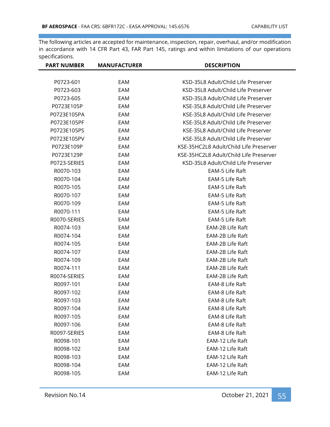| <b>PART NUMBER</b> | <b>MANUFACTURER</b> | <b>DESCRIPTION</b>                     |
|--------------------|---------------------|----------------------------------------|
|                    |                     |                                        |
| P0723-601          | EAM                 | KSD-35L8 Adult/Child Life Preserver    |
| P0723-603          | EAM                 | KSD-35L8 Adult/Child Life Preserver    |
| P0723-605          | EAM                 | KSD-35L8 Adult/Child Life Preserver    |
| P0723E105P         | EAM                 | KSE-35L8 Adult/Child Life Preserver    |
| P0723E105PA        | EAM                 | KSE-35L8 Adult/Child Life Preserver    |
| P0723E105PF        | EAM                 | KSE-35L8 Adult/Child Life Preserver    |
| P0723E105PS        | EAM                 | KSE-35L8 Adult/Child Life Preserver    |
| P0723E105PV        | EAM                 | KSE-35L8 Adult/Child Life Preserver    |
| P0723E109P         | EAM                 | KSE-35HC2L8 Adult/Child Life Preserver |
| P0723E129P         | EAM                 | KSE-35HC2L8 Adult/Child Life Preserver |
| P0723-SERIES       | EAM                 | KSD-35L8 Adult/Child Life Preserver    |
| R0070-103          | EAM                 | EAM-5 Life Raft                        |
| R0070-104          | EAM                 | EAM-5 Life Raft                        |
| R0070-105          | EAM                 | EAM-5 Life Raft                        |
| R0070-107          | EAM                 | EAM-5 Life Raft                        |
| R0070-109          | EAM                 | EAM-5 Life Raft                        |
| R0070-111          | EAM                 | EAM-5 Life Raft                        |
| R0070-SERIES       | EAM                 | EAM-5 Life Raft                        |
| R0074-103          | EAM                 | EAM-2B Life Raft                       |
| R0074-104          | EAM                 | EAM-2B Life Raft                       |
| R0074-105          | EAM                 | EAM-2B Life Raft                       |
| R0074-107          | EAM                 | EAM-2B Life Raft                       |
| R0074-109          | EAM                 | EAM-2B Life Raft                       |
| R0074-111          | EAM                 | EAM-2B Life Raft                       |
| R0074-SERIES       | EAM                 | EAM-2B Life Raft                       |
| R0097-101          | EAM                 | EAM-8 Life Raft                        |
| R0097-102          | EAM                 | EAM-8 Life Raft                        |
| R0097-103          | EAM                 | EAM-8 Life Raft                        |
| R0097-104          | EAM                 | EAM-8 Life Raft                        |
| R0097-105          | EAM                 | EAM-8 Life Raft                        |
| R0097-106          | EAM                 | EAM-8 Life Raft                        |
| R0097-SERIES       | EAM                 | EAM-8 Life Raft                        |
| R0098-101          | EAM                 | EAM-12 Life Raft                       |
| R0098-102          | EAM                 | EAM-12 Life Raft                       |
| R0098-103          | EAM                 | EAM-12 Life Raft                       |
| R0098-104          | EAM                 | EAM-12 Life Raft                       |
| R0098-105          | EAM                 | EAM-12 Life Raft                       |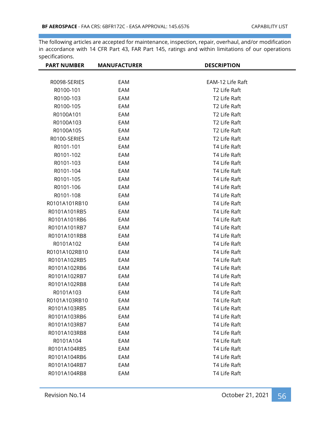| <b>PART NUMBER</b> | <b>MANUFACTURER</b> | <b>DESCRIPTION</b> |
|--------------------|---------------------|--------------------|
|                    |                     |                    |
| R0098-SERIES       | EAM                 | EAM-12 Life Raft   |
| R0100-101          | EAM                 | T2 Life Raft       |
| R0100-103          | EAM                 | T2 Life Raft       |
| R0100-105          | EAM                 | T2 Life Raft       |
| R0100A101          | EAM                 | T2 Life Raft       |
| R0100A103          | EAM                 | T2 Life Raft       |
| R0100A105          | EAM                 | T2 Life Raft       |
| R0100-SERIES       | EAM                 | T2 Life Raft       |
| R0101-101          | EAM                 | T4 Life Raft       |
| R0101-102          | EAM                 | T4 Life Raft       |
| R0101-103          | EAM                 | T4 Life Raft       |
| R0101-104          | EAM                 | T4 Life Raft       |
| R0101-105          | EAM                 | T4 Life Raft       |
| R0101-106          | EAM                 | T4 Life Raft       |
| R0101-108          | EAM                 | T4 Life Raft       |
| R0101A101RB10      | EAM                 | T4 Life Raft       |
| R0101A101RB5       | EAM                 | T4 Life Raft       |
| R0101A101RB6       | EAM                 | T4 Life Raft       |
| R0101A101RB7       | EAM                 | T4 Life Raft       |
| R0101A101RB8       | EAM                 | T4 Life Raft       |
| R0101A102          | EAM                 | T4 Life Raft       |
| R0101A102RB10      | EAM                 | T4 Life Raft       |
| R0101A102RB5       | EAM                 | T4 Life Raft       |
| R0101A102RB6       | EAM                 | T4 Life Raft       |
| R0101A102RB7       | EAM                 | T4 Life Raft       |
| R0101A102RB8       | EAM                 | T4 Life Raft       |
| R0101A103          | EAM                 | T4 Life Raft       |
| R0101A103RB10      | EAM                 | T4 Life Raft       |
| R0101A103RB5       | EAM                 | T4 Life Raft       |
| R0101A103RB6       | EAM                 | T4 Life Raft       |
| R0101A103RB7       | EAM                 | T4 Life Raft       |
| R0101A103RB8       | EAM                 | T4 Life Raft       |
| R0101A104          | EAM                 | T4 Life Raft       |
| R0101A104RB5       | EAM                 | T4 Life Raft       |
| R0101A104RB6       | EAM                 | T4 Life Raft       |
| R0101A104RB7       | EAM                 | T4 Life Raft       |
| R0101A104RB8       | EAM                 | T4 Life Raft       |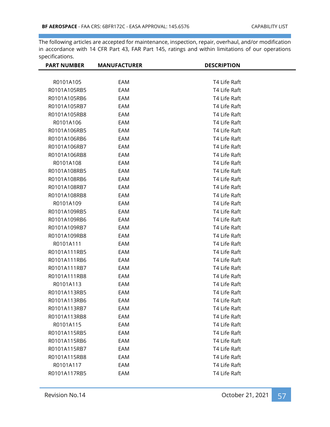| <b>PART NUMBER</b> | <b>MANUFACTURER</b> | <b>DESCRIPTION</b> |  |
|--------------------|---------------------|--------------------|--|
|                    |                     |                    |  |
| R0101A105          | EAM                 | T4 Life Raft       |  |
| R0101A105RB5       | EAM                 | T4 Life Raft       |  |
| R0101A105RB6       | EAM                 | T4 Life Raft       |  |
| R0101A105RB7       | EAM                 | T4 Life Raft       |  |
| R0101A105RB8       | EAM                 | T4 Life Raft       |  |
| R0101A106          | EAM                 | T4 Life Raft       |  |
| R0101A106RB5       | EAM                 | T4 Life Raft       |  |
| R0101A106RB6       | EAM                 | T4 Life Raft       |  |
| R0101A106RB7       | EAM                 | T4 Life Raft       |  |
| R0101A106RB8       | EAM                 | T4 Life Raft       |  |
| R0101A108          | EAM                 | T4 Life Raft       |  |
| R0101A108RB5       | EAM                 | T4 Life Raft       |  |
| R0101A108RB6       | EAM                 | T4 Life Raft       |  |
| R0101A108RB7       | EAM                 | T4 Life Raft       |  |
| R0101A108RB8       | EAM                 | T4 Life Raft       |  |
| R0101A109          | EAM                 | T4 Life Raft       |  |
| R0101A109RB5       | EAM                 | T4 Life Raft       |  |
| R0101A109RB6       | EAM                 | T4 Life Raft       |  |
| R0101A109RB7       | EAM                 | T4 Life Raft       |  |
| R0101A109RB8       | EAM                 | T4 Life Raft       |  |
| R0101A111          | EAM                 | T4 Life Raft       |  |
| R0101A111RB5       | EAM                 | T4 Life Raft       |  |
| R0101A111RB6       | EAM                 | T4 Life Raft       |  |
| R0101A111RB7       | EAM                 | T4 Life Raft       |  |
| R0101A111RB8       | EAM                 | T4 Life Raft       |  |
| R0101A113          | EAM                 | T4 Life Raft       |  |
| R0101A113RB5       | EAM                 | T4 Life Raft       |  |
| R0101A113RB6       | EAM                 | T4 Life Raft       |  |
| R0101A113RB7       | EAM                 | T4 Life Raft       |  |
| R0101A113RB8       | EAM                 | T4 Life Raft       |  |
| R0101A115          | EAM                 | T4 Life Raft       |  |
| R0101A115RB5       | EAM                 | T4 Life Raft       |  |
| R0101A115RB6       | EAM                 | T4 Life Raft       |  |
| R0101A115RB7       | EAM                 | T4 Life Raft       |  |
| R0101A115RB8       | EAM                 | T4 Life Raft       |  |
| R0101A117          | EAM                 | T4 Life Raft       |  |
| R0101A117RB5       | EAM                 | T4 Life Raft       |  |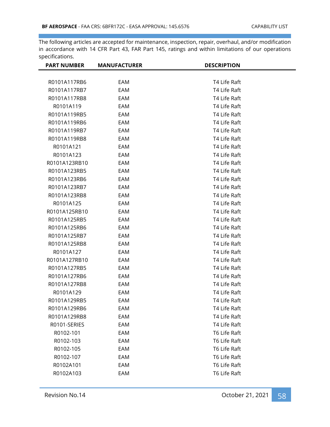| <b>PART NUMBER</b> | <b>MANUFACTURER</b> | <b>DESCRIPTION</b> |
|--------------------|---------------------|--------------------|
|                    |                     |                    |
| R0101A117RB6       | EAM                 | T4 Life Raft       |
| R0101A117RB7       | EAM                 | T4 Life Raft       |
| R0101A117RB8       | EAM                 | T4 Life Raft       |
| R0101A119          | EAM                 | T4 Life Raft       |
| R0101A119RB5       | EAM                 | T4 Life Raft       |
| R0101A119RB6       | EAM                 | T4 Life Raft       |
| R0101A119RB7       | EAM                 | T4 Life Raft       |
| R0101A119RB8       | EAM                 | T4 Life Raft       |
| R0101A121          | EAM                 | T4 Life Raft       |
| R0101A123          | EAM                 | T4 Life Raft       |
| R0101A123RB10      | EAM                 | T4 Life Raft       |
| R0101A123RB5       | EAM                 | T4 Life Raft       |
| R0101A123RB6       | EAM                 | T4 Life Raft       |
| R0101A123RB7       | EAM                 | T4 Life Raft       |
| R0101A123RB8       | EAM                 | T4 Life Raft       |
| R0101A125          | EAM                 | T4 Life Raft       |
| R0101A125RB10      | EAM                 | T4 Life Raft       |
| R0101A125RB5       | EAM                 | T4 Life Raft       |
| R0101A125RB6       | EAM                 | T4 Life Raft       |
| R0101A125RB7       | EAM                 | T4 Life Raft       |
| R0101A125RB8       | EAM                 | T4 Life Raft       |
| R0101A127          | EAM                 | T4 Life Raft       |
| R0101A127RB10      | EAM                 | T4 Life Raft       |
| R0101A127RB5       | EAM                 | T4 Life Raft       |
| R0101A127RB6       | EAM                 | T4 Life Raft       |
| R0101A127RB8       | EAM                 | T4 Life Raft       |
| R0101A129          | EAM                 | T4 Life Raft       |
| R0101A129RB5       | EAM                 | T4 Life Raft       |
| R0101A129RB6       | EAM                 | T4 Life Raft       |
| R0101A129RB8       | EAM                 | T4 Life Raft       |
| R0101-SERIES       | EAM                 | T4 Life Raft       |
| R0102-101          | EAM                 | T6 Life Raft       |
| R0102-103          | EAM                 | T6 Life Raft       |
| R0102-105          | EAM                 | T6 Life Raft       |
| R0102-107          | EAM                 | T6 Life Raft       |
| R0102A101          | EAM                 | T6 Life Raft       |
| R0102A103          | EAM                 | T6 Life Raft       |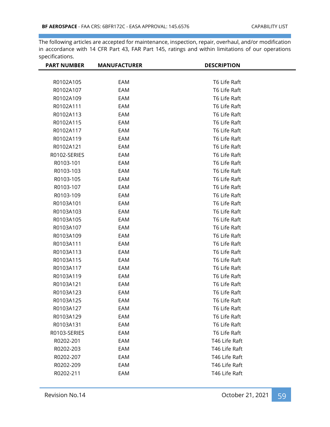| <b>PART NUMBER</b> | <b>MANUFACTURER</b> | <b>DESCRIPTION</b> |  |
|--------------------|---------------------|--------------------|--|
|                    |                     |                    |  |
| R0102A105          | EAM                 | T6 Life Raft       |  |
| R0102A107          | EAM                 | T6 Life Raft       |  |
| R0102A109          | EAM                 | T6 Life Raft       |  |
| R0102A111          | EAM                 | T6 Life Raft       |  |
| R0102A113          | EAM                 | T6 Life Raft       |  |
| R0102A115          | EAM                 | T6 Life Raft       |  |
| R0102A117          | EAM                 | T6 Life Raft       |  |
| R0102A119          | EAM                 | T6 Life Raft       |  |
| R0102A121          | EAM                 | T6 Life Raft       |  |
| R0102-SERIES       | EAM                 | T6 Life Raft       |  |
| R0103-101          | EAM                 | T6 Life Raft       |  |
| R0103-103          | EAM                 | T6 Life Raft       |  |
| R0103-105          | EAM                 | T6 Life Raft       |  |
| R0103-107          | EAM                 | T6 Life Raft       |  |
| R0103-109          | EAM                 | T6 Life Raft       |  |
| R0103A101          | EAM                 | T6 Life Raft       |  |
| R0103A103          | EAM                 | T6 Life Raft       |  |
| R0103A105          | EAM                 | T6 Life Raft       |  |
| R0103A107          | EAM                 | T6 Life Raft       |  |
| R0103A109          | EAM                 | T6 Life Raft       |  |
| R0103A111          | EAM                 | T6 Life Raft       |  |
| R0103A113          | EAM                 | T6 Life Raft       |  |
| R0103A115          | EAM                 | T6 Life Raft       |  |
| R0103A117          | EAM                 | T6 Life Raft       |  |
| R0103A119          | EAM                 | T6 Life Raft       |  |
| R0103A121          | EAM                 | T6 Life Raft       |  |
| R0103A123          | EAM                 | T6 Life Raft       |  |
| R0103A125          | EAM                 | T6 Life Raft       |  |
| R0103A127          | EAM                 | T6 Life Raft       |  |
| R0103A129          | EAM                 | T6 Life Raft       |  |
| R0103A131          | EAM                 | T6 Life Raft       |  |
| R0103-SERIES       | EAM                 | T6 Life Raft       |  |
| R0202-201          | EAM                 | T46 Life Raft      |  |
| R0202-203          | EAM                 | T46 Life Raft      |  |
| R0202-207          | EAM                 | T46 Life Raft      |  |
| R0202-209          | EAM                 | T46 Life Raft      |  |
| R0202-211          | EAM                 | T46 Life Raft      |  |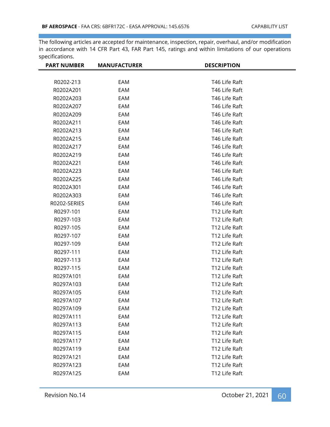| <b>PART NUMBER</b> | <b>MANUFACTURER</b> | <b>DESCRIPTION</b> |
|--------------------|---------------------|--------------------|
|                    |                     |                    |
| R0202-213          | EAM                 | T46 Life Raft      |
| R0202A201          | EAM                 | T46 Life Raft      |
| R0202A203          | EAM                 | T46 Life Raft      |
| R0202A207          | EAM                 | T46 Life Raft      |
| R0202A209          | EAM                 | T46 Life Raft      |
| R0202A211          | EAM                 | T46 Life Raft      |
| R0202A213          | EAM                 | T46 Life Raft      |
| R0202A215          | EAM                 | T46 Life Raft      |
| R0202A217          | EAM                 | T46 Life Raft      |
| R0202A219          | EAM                 | T46 Life Raft      |
| R0202A221          | EAM                 | T46 Life Raft      |
| R0202A223          | EAM                 | T46 Life Raft      |
| R0202A225          | EAM                 | T46 Life Raft      |
| R0202A301          | EAM                 | T46 Life Raft      |
| R0202A303          | EAM                 | T46 Life Raft      |
| R0202-SERIES       | EAM                 | T46 Life Raft      |
| R0297-101          | EAM                 | T12 Life Raft      |
| R0297-103          | EAM                 | T12 Life Raft      |
| R0297-105          | EAM                 | T12 Life Raft      |
| R0297-107          | EAM                 | T12 Life Raft      |
| R0297-109          | EAM                 | T12 Life Raft      |
| R0297-111          | EAM                 | T12 Life Raft      |
| R0297-113          | EAM                 | T12 Life Raft      |
| R0297-115          | EAM                 | T12 Life Raft      |
| R0297A101          | EAM                 | T12 Life Raft      |
| R0297A103          | EAM                 | T12 Life Raft      |
| R0297A105          | EAM                 | T12 Life Raft      |
| R0297A107          | EAM                 | T12 Life Raft      |
| R0297A109          | EAM                 | T12 Life Raft      |
| R0297A111          | EAM                 | T12 Life Raft      |
| R0297A113          | EAM                 | T12 Life Raft      |
| R0297A115          | EAM                 | T12 Life Raft      |
| R0297A117          | EAM                 | T12 Life Raft      |
| R0297A119          | EAM                 | T12 Life Raft      |
| R0297A121          | EAM                 | T12 Life Raft      |
| R0297A123          | EAM                 | T12 Life Raft      |
| R0297A125          | EAM                 | T12 Life Raft      |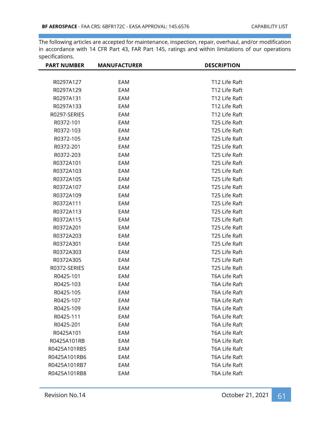| <b>PART NUMBER</b> | <b>MANUFACTURER</b> | <b>DESCRIPTION</b>        |  |
|--------------------|---------------------|---------------------------|--|
|                    |                     |                           |  |
| R0297A127          | EAM                 | T <sub>12</sub> Life Raft |  |
| R0297A129          | EAM                 | T12 Life Raft             |  |
| R0297A131          | EAM                 | T12 Life Raft             |  |
| R0297A133          | EAM                 | T12 Life Raft             |  |
| R0297-SERIES       | EAM                 | T12 Life Raft             |  |
| R0372-101          | EAM                 | T25 Life Raft             |  |
| R0372-103          | EAM                 | T25 Life Raft             |  |
| R0372-105          | EAM                 | T25 Life Raft             |  |
| R0372-201          | EAM                 | T25 Life Raft             |  |
| R0372-203          | EAM                 | T25 Life Raft             |  |
| R0372A101          | EAM                 | T25 Life Raft             |  |
| R0372A103          | EAM                 | T25 Life Raft             |  |
| R0372A105          | EAM                 | T25 Life Raft             |  |
| R0372A107          | EAM                 | T25 Life Raft             |  |
| R0372A109          | EAM                 | T25 Life Raft             |  |
| R0372A111          | EAM                 | T25 Life Raft             |  |
| R0372A113          | EAM                 | T25 Life Raft             |  |
| R0372A115          | EAM                 | T25 Life Raft             |  |
| R0372A201          | EAM                 | T25 Life Raft             |  |
| R0372A203          | EAM                 | T25 Life Raft             |  |
| R0372A301          | EAM                 | T25 Life Raft             |  |
| R0372A303          | EAM                 | T25 Life Raft             |  |
| R0372A305          | EAM                 | T25 Life Raft             |  |
| R0372-SERIES       | EAM                 | T25 Life Raft             |  |
| R0425-101          | EAM                 | T6A Life Raft             |  |
| R0425-103          | EAM                 | T6A Life Raft             |  |
| R0425-105          | EAM                 | T6A Life Raft             |  |
| R0425-107          | EAM                 | T6A Life Raft             |  |
| R0425-109          | EAM                 | T6A Life Raft             |  |
| R0425-111          | EAM                 | T6A Life Raft             |  |
| R0425-201          | EAM                 | T6A Life Raft             |  |
| R0425A101          | EAM                 | T6A Life Raft             |  |
| R0425A101RB        | EAM                 | T6A Life Raft             |  |
| R0425A101RB5       | EAM                 | T6A Life Raft             |  |
| R0425A101RB6       | EAM                 | T6A Life Raft             |  |
| R0425A101RB7       | EAM                 | T6A Life Raft             |  |
| R0425A101RB8       | EAM                 | T6A Life Raft             |  |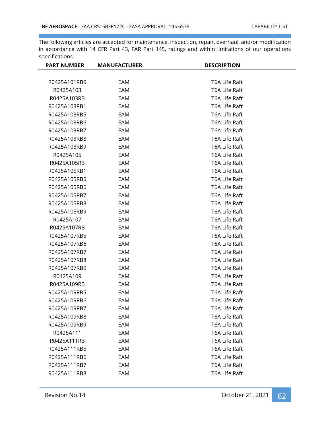| <b>PART NUMBER</b> | <b>MANUFACTURER</b> | <b>DESCRIPTION</b> |
|--------------------|---------------------|--------------------|
|                    |                     |                    |
| R0425A101RB9       | EAM                 | T6A Life Raft      |
| R0425A103          | EAM                 | T6A Life Raft      |
| R0425A103RB        | EAM                 | T6A Life Raft      |
| R0425A103RB1       | EAM                 | T6A Life Raft      |
| R0425A103RB5       | EAM                 | T6A Life Raft      |
| R0425A103RB6       | EAM                 | T6A Life Raft      |
| R0425A103RB7       | EAM                 | T6A Life Raft      |
| R0425A103RB8       | EAM                 | T6A Life Raft      |
| R0425A103RB9       | EAM                 | T6A Life Raft      |
| R0425A105          | EAM                 | T6A Life Raft      |
| R0425A105RB        | EAM                 | T6A Life Raft      |
| R0425A105RB1       | EAM                 | T6A Life Raft      |
| R0425A105RB5       | EAM                 | T6A Life Raft      |
| R0425A105RB6       | EAM                 | T6A Life Raft      |
| R0425A105RB7       | EAM                 | T6A Life Raft      |
| R0425A105RB8       | EAM                 | T6A Life Raft      |
| R0425A105RB9       | EAM                 | T6A Life Raft      |
| R0425A107          | EAM                 | T6A Life Raft      |
| R0425A107RB        | EAM                 | T6A Life Raft      |
| R0425A107RB5       | EAM                 | T6A Life Raft      |
| R0425A107RB6       | EAM                 | T6A Life Raft      |
| R0425A107RB7       | EAM                 | T6A Life Raft      |
| R0425A107RB8       | EAM                 | T6A Life Raft      |
| R0425A107RB9       | EAM                 | T6A Life Raft      |
| R0425A109          | EAM                 | T6A Life Raft      |
| R0425A109RB        | EAM                 | T6A Life Raft      |
| R0425A109RB5       | EAM                 | T6A Life Raft      |
| R0425A109RB6       | EAM                 | T6A Life Raft      |
| R0425A109RB7       | EAM                 | T6A Life Raft      |
| R0425A109RB8       | EAM                 | T6A Life Raft      |
| R0425A109RB9       | EAM                 | T6A Life Raft      |
| R0425A111          | EAM                 | T6A Life Raft      |
| R0425A111RB        | EAM                 | T6A Life Raft      |
| R0425A111RB5       | EAM                 | T6A Life Raft      |
| R0425A111RB6       | EAM                 | T6A Life Raft      |
| R0425A111RB7       | EAM                 | T6A Life Raft      |
| R0425A111RB8       | EAM                 | T6A Life Raft      |